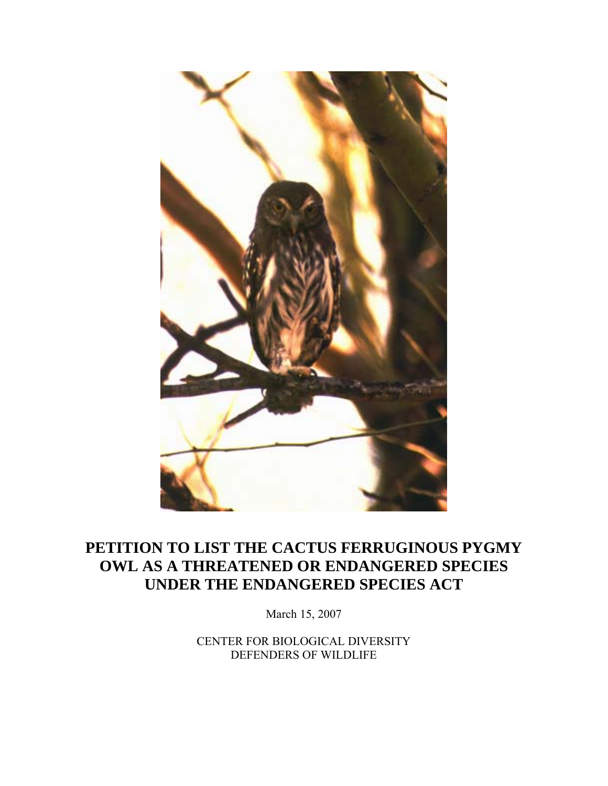

# **PETITION TO LIST THE CACTUS FERRUGINOUS PYGMY OWL AS A THREATENED OR ENDANGERED SPECIES UNDER THE ENDANGERED SPECIES ACT**

March 15, 2007

CENTER FOR BIOLOGICAL DIVERSITY DEFENDERS OF WILDLIFE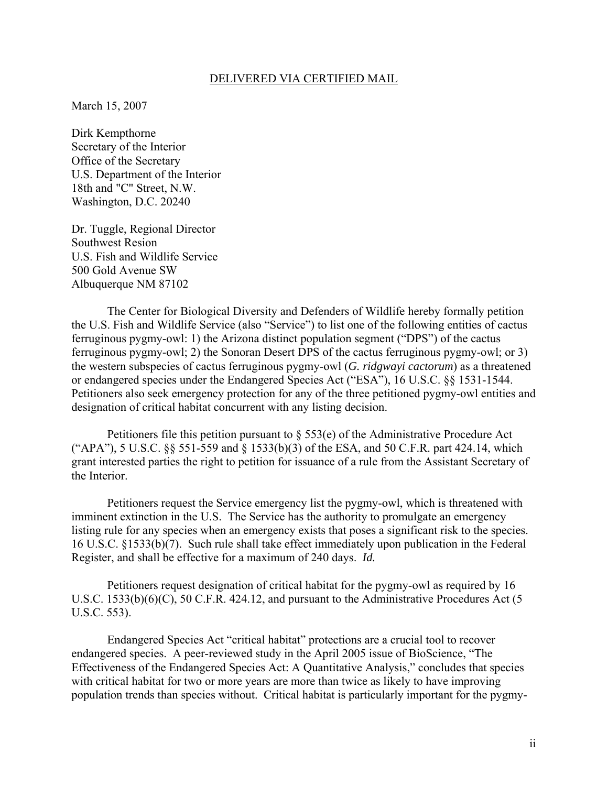#### DELIVERED VIA CERTIFIED MAIL

March 15, 2007

Dirk Kempthorne Secretary of the Interior Office of the Secretary U.S. Department of the Interior 18th and "C" Street, N.W. Washington, D.C. 20240

Dr. Tuggle, Regional Director Southwest Resion U.S. Fish and Wildlife Service 500 Gold Avenue SW Albuquerque NM 87102

 The Center for Biological Diversity and Defenders of Wildlife hereby formally petition the U.S. Fish and Wildlife Service (also "Service") to list one of the following entities of cactus ferruginous pygmy-owl: 1) the Arizona distinct population segment ("DPS") of the cactus ferruginous pygmy-owl; 2) the Sonoran Desert DPS of the cactus ferruginous pygmy-owl; or 3) the western subspecies of cactus ferruginous pygmy-owl (*G. ridgwayi cactorum*) as a threatened or endangered species under the Endangered Species Act ("ESA"), 16 U.S.C. §§ 1531-1544. Petitioners also seek emergency protection for any of the three petitioned pygmy-owl entities and designation of critical habitat concurrent with any listing decision.

Petitioners file this petition pursuant to  $\S$  553(e) of the Administrative Procedure Act ("APA"), 5 U.S.C. §§ 551-559 and § 1533(b)(3) of the ESA, and 50 C.F.R. part 424.14, which grant interested parties the right to petition for issuance of a rule from the Assistant Secretary of the Interior.

 Petitioners request the Service emergency list the pygmy-owl, which is threatened with imminent extinction in the U.S. The Service has the authority to promulgate an emergency listing rule for any species when an emergency exists that poses a significant risk to the species. 16 U.S.C. §1533(b)(7). Such rule shall take effect immediately upon publication in the Federal Register, and shall be effective for a maximum of 240 days. *Id.*

 Petitioners request designation of critical habitat for the pygmy-owl as required by 16 U.S.C. 1533(b)(6)(C), 50 C.F.R. 424.12, and pursuant to the Administrative Procedures Act (5 U.S.C. 553).

 Endangered Species Act "critical habitat" protections are a crucial tool to recover endangered species. A peer-reviewed study in the April 2005 issue of BioScience, "The Effectiveness of the Endangered Species Act: A Quantitative Analysis," concludes that species with critical habitat for two or more years are more than twice as likely to have improving population trends than species without. Critical habitat is particularly important for the pygmy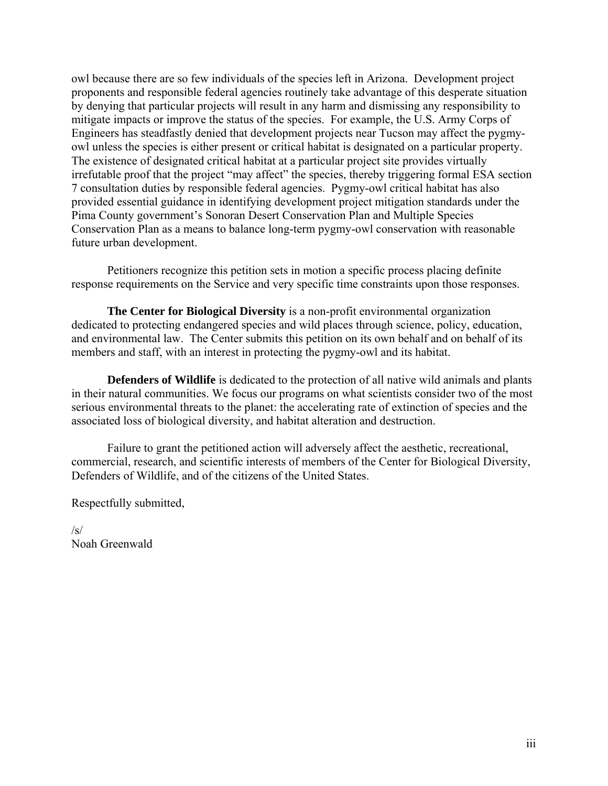owl because there are so few individuals of the species left in Arizona. Development project proponents and responsible federal agencies routinely take advantage of this desperate situation by denying that particular projects will result in any harm and dismissing any responsibility to mitigate impacts or improve the status of the species. For example, the U.S. Army Corps of Engineers has steadfastly denied that development projects near Tucson may affect the pygmyowl unless the species is either present or critical habitat is designated on a particular property. The existence of designated critical habitat at a particular project site provides virtually irrefutable proof that the project "may affect" the species, thereby triggering formal ESA section 7 consultation duties by responsible federal agencies. Pygmy-owl critical habitat has also provided essential guidance in identifying development project mitigation standards under the Pima County government's Sonoran Desert Conservation Plan and Multiple Species Conservation Plan as a means to balance long-term pygmy-owl conservation with reasonable future urban development.

 Petitioners recognize this petition sets in motion a specific process placing definite response requirements on the Service and very specific time constraints upon those responses.

**The Center for Biological Diversity** is a non-profit environmental organization dedicated to protecting endangered species and wild places through science, policy, education, and environmental law. The Center submits this petition on its own behalf and on behalf of its members and staff, with an interest in protecting the pygmy-owl and its habitat.

**Defenders of Wildlife** is dedicated to the protection of all native wild animals and plants in their natural communities. We focus our programs on what scientists consider two of the most serious environmental threats to the planet: the accelerating rate of extinction of species and the associated loss of biological diversity, and habitat alteration and destruction.

 Failure to grant the petitioned action will adversely affect the aesthetic, recreational, commercial, research, and scientific interests of members of the Center for Biological Diversity, Defenders of Wildlife, and of the citizens of the United States.

Respectfully submitted,

/s/ Noah Greenwald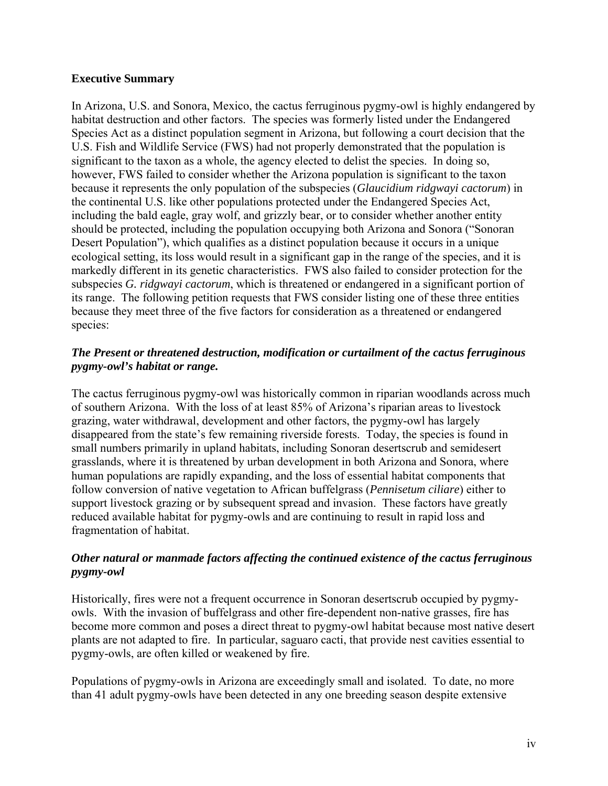#### **Executive Summary**

In Arizona, U.S. and Sonora, Mexico, the cactus ferruginous pygmy-owl is highly endangered by habitat destruction and other factors. The species was formerly listed under the Endangered Species Act as a distinct population segment in Arizona, but following a court decision that the U.S. Fish and Wildlife Service (FWS) had not properly demonstrated that the population is significant to the taxon as a whole, the agency elected to delist the species. In doing so, however, FWS failed to consider whether the Arizona population is significant to the taxon because it represents the only population of the subspecies (*Glaucidium ridgwayi cactorum*) in the continental U.S. like other populations protected under the Endangered Species Act, including the bald eagle, gray wolf, and grizzly bear, or to consider whether another entity should be protected, including the population occupying both Arizona and Sonora ("Sonoran Desert Population"), which qualifies as a distinct population because it occurs in a unique ecological setting, its loss would result in a significant gap in the range of the species, and it is markedly different in its genetic characteristics. FWS also failed to consider protection for the subspecies *G. ridgwayi cactorum*, which is threatened or endangered in a significant portion of its range. The following petition requests that FWS consider listing one of these three entities because they meet three of the five factors for consideration as a threatened or endangered species:

#### *The Present or threatened destruction, modification or curtailment of the cactus ferruginous pygmy-owl's habitat or range.*

The cactus ferruginous pygmy-owl was historically common in riparian woodlands across much of southern Arizona. With the loss of at least 85% of Arizona's riparian areas to livestock grazing, water withdrawal, development and other factors, the pygmy-owl has largely disappeared from the state's few remaining riverside forests. Today, the species is found in small numbers primarily in upland habitats, including Sonoran desertscrub and semidesert grasslands, where it is threatened by urban development in both Arizona and Sonora, where human populations are rapidly expanding, and the loss of essential habitat components that follow conversion of native vegetation to African buffelgrass (*Pennisetum ciliare*) either to support livestock grazing or by subsequent spread and invasion. These factors have greatly reduced available habitat for pygmy-owls and are continuing to result in rapid loss and fragmentation of habitat.

#### *Other natural or manmade factors affecting the continued existence of the cactus ferruginous pygmy-owl*

Historically, fires were not a frequent occurrence in Sonoran desertscrub occupied by pygmyowls. With the invasion of buffelgrass and other fire-dependent non-native grasses, fire has become more common and poses a direct threat to pygmy-owl habitat because most native desert plants are not adapted to fire. In particular, saguaro cacti, that provide nest cavities essential to pygmy-owls, are often killed or weakened by fire.

Populations of pygmy-owls in Arizona are exceedingly small and isolated. To date, no more than 41 adult pygmy-owls have been detected in any one breeding season despite extensive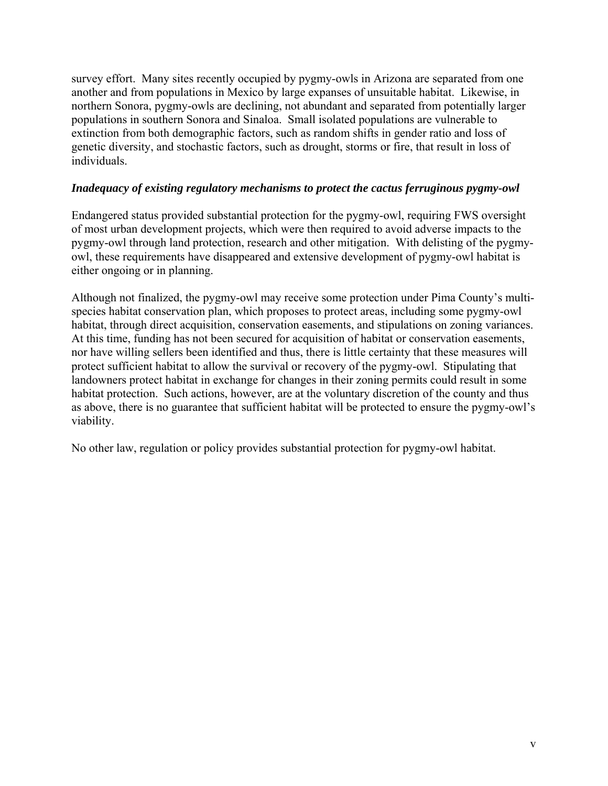survey effort. Many sites recently occupied by pygmy-owls in Arizona are separated from one another and from populations in Mexico by large expanses of unsuitable habitat. Likewise, in northern Sonora, pygmy-owls are declining, not abundant and separated from potentially larger populations in southern Sonora and Sinaloa. Small isolated populations are vulnerable to extinction from both demographic factors, such as random shifts in gender ratio and loss of genetic diversity, and stochastic factors, such as drought, storms or fire, that result in loss of individuals.

#### *Inadequacy of existing regulatory mechanisms to protect the cactus ferruginous pygmy-owl*

Endangered status provided substantial protection for the pygmy-owl, requiring FWS oversight of most urban development projects, which were then required to avoid adverse impacts to the pygmy-owl through land protection, research and other mitigation. With delisting of the pygmyowl, these requirements have disappeared and extensive development of pygmy-owl habitat is either ongoing or in planning.

Although not finalized, the pygmy-owl may receive some protection under Pima County's multispecies habitat conservation plan, which proposes to protect areas, including some pygmy-owl habitat, through direct acquisition, conservation easements, and stipulations on zoning variances. At this time, funding has not been secured for acquisition of habitat or conservation easements, nor have willing sellers been identified and thus, there is little certainty that these measures will protect sufficient habitat to allow the survival or recovery of the pygmy-owl. Stipulating that landowners protect habitat in exchange for changes in their zoning permits could result in some habitat protection. Such actions, however, are at the voluntary discretion of the county and thus as above, there is no guarantee that sufficient habitat will be protected to ensure the pygmy-owl's viability.

No other law, regulation or policy provides substantial protection for pygmy-owl habitat.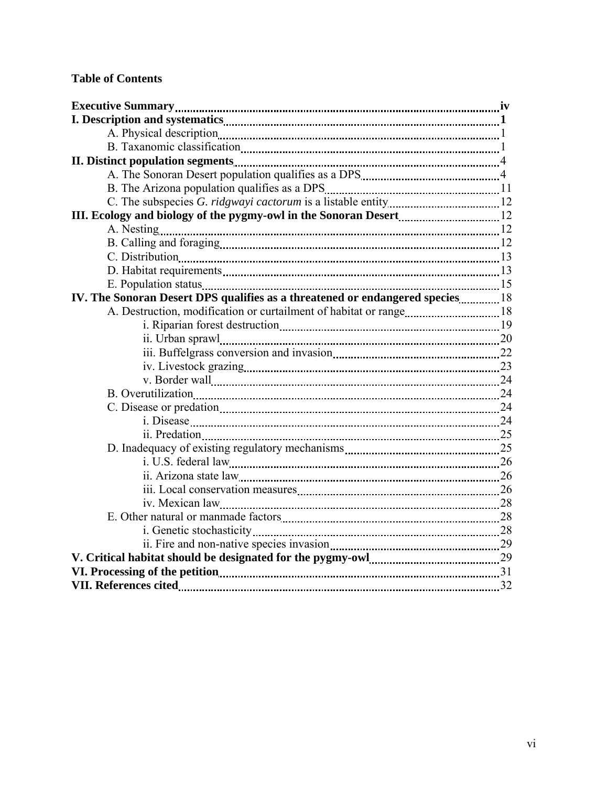## **Table of Contents**

| IV. The Sonoran Desert DPS qualifies as a threatened or endangered species 18 |  |
|-------------------------------------------------------------------------------|--|
|                                                                               |  |
|                                                                               |  |
|                                                                               |  |
|                                                                               |  |
|                                                                               |  |
|                                                                               |  |
|                                                                               |  |
|                                                                               |  |
|                                                                               |  |
|                                                                               |  |
|                                                                               |  |
|                                                                               |  |
|                                                                               |  |
|                                                                               |  |
|                                                                               |  |
|                                                                               |  |
|                                                                               |  |
|                                                                               |  |
|                                                                               |  |
|                                                                               |  |
|                                                                               |  |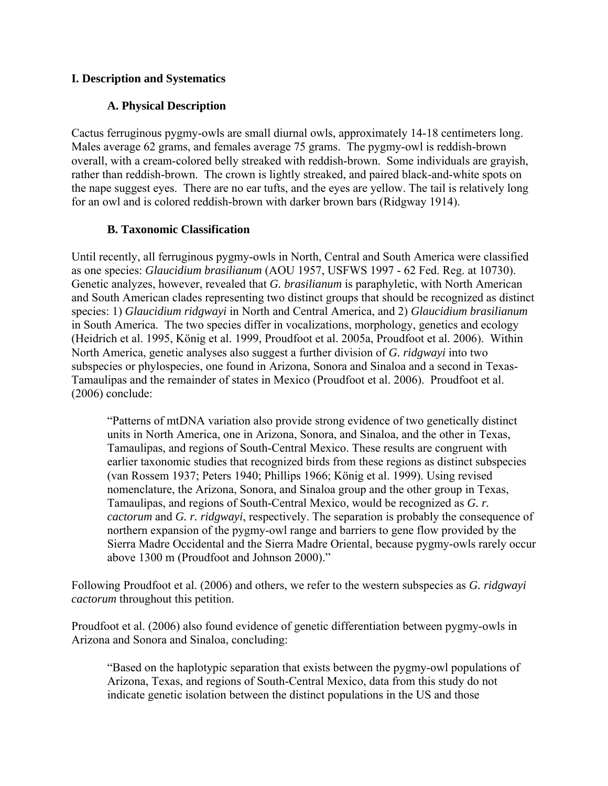### **I. Description and Systematics**

## **A. Physical Description**

Cactus ferruginous pygmy-owls are small diurnal owls, approximately 14-18 centimeters long. Males average 62 grams, and females average 75 grams. The pygmy-owl is reddish-brown overall, with a cream-colored belly streaked with reddish-brown. Some individuals are grayish, rather than reddish-brown. The crown is lightly streaked, and paired black-and-white spots on the nape suggest eyes. There are no ear tufts, and the eyes are yellow. The tail is relatively long for an owl and is colored reddish-brown with darker brown bars (Ridgway 1914).

#### **B. Taxonomic Classification**

Until recently, all ferruginous pygmy-owls in North, Central and South America were classified as one species: *Glaucidium brasilianum* (AOU 1957, USFWS 1997 - 62 Fed. Reg. at 10730). Genetic analyzes, however, revealed that *G. brasilianum* is paraphyletic, with North American and South American clades representing two distinct groups that should be recognized as distinct species: 1) *Glaucidium ridgwayi* in North and Central America, and 2) *Glaucidium brasilianum* in South America. The two species differ in vocalizations, morphology, genetics and ecology (Heidrich et al. 1995, König et al. 1999, Proudfoot et al. 2005a, Proudfoot et al. 2006). Within North America, genetic analyses also suggest a further division of *G. ridgwayi* into two subspecies or phylospecies, one found in Arizona, Sonora and Sinaloa and a second in Texas-Tamaulipas and the remainder of states in Mexico (Proudfoot et al. 2006). Proudfoot et al. (2006) conclude:

"Patterns of mtDNA variation also provide strong evidence of two genetically distinct units in North America, one in Arizona, Sonora, and Sinaloa, and the other in Texas, Tamaulipas, and regions of South-Central Mexico. These results are congruent with earlier taxonomic studies that recognized birds from these regions as distinct subspecies (van Rossem 1937; Peters 1940; Phillips 1966; König et al. 1999). Using revised nomenclature, the Arizona, Sonora, and Sinaloa group and the other group in Texas, Tamaulipas, and regions of South-Central Mexico, would be recognized as *G. r. cactorum* and *G. r. ridgwayi*, respectively. The separation is probably the consequence of northern expansion of the pygmy-owl range and barriers to gene flow provided by the Sierra Madre Occidental and the Sierra Madre Oriental, because pygmy-owls rarely occur above 1300 m (Proudfoot and Johnson 2000)."

Following Proudfoot et al. (2006) and others, we refer to the western subspecies as *G. ridgwayi cactorum* throughout this petition.

Proudfoot et al. (2006) also found evidence of genetic differentiation between pygmy-owls in Arizona and Sonora and Sinaloa, concluding:

"Based on the haplotypic separation that exists between the pygmy-owl populations of Arizona, Texas, and regions of South-Central Mexico, data from this study do not indicate genetic isolation between the distinct populations in the US and those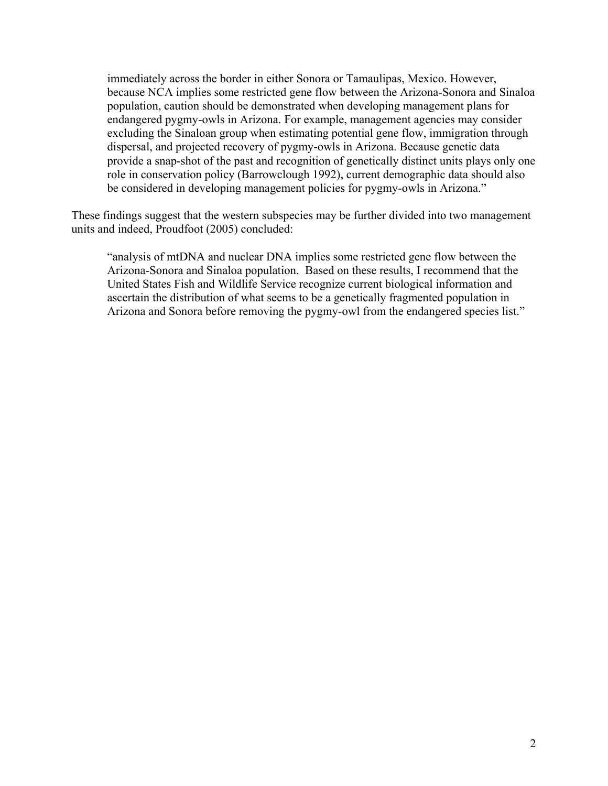immediately across the border in either Sonora or Tamaulipas, Mexico. However, because NCA implies some restricted gene flow between the Arizona-Sonora and Sinaloa population, caution should be demonstrated when developing management plans for endangered pygmy-owls in Arizona. For example, management agencies may consider excluding the Sinaloan group when estimating potential gene flow, immigration through dispersal, and projected recovery of pygmy-owls in Arizona. Because genetic data provide a snap-shot of the past and recognition of genetically distinct units plays only one role in conservation policy (Barrowclough 1992), current demographic data should also be considered in developing management policies for pygmy-owls in Arizona."

These findings suggest that the western subspecies may be further divided into two management units and indeed, Proudfoot (2005) concluded:

"analysis of mtDNA and nuclear DNA implies some restricted gene flow between the Arizona-Sonora and Sinaloa population. Based on these results, I recommend that the United States Fish and Wildlife Service recognize current biological information and ascertain the distribution of what seems to be a genetically fragmented population in Arizona and Sonora before removing the pygmy-owl from the endangered species list."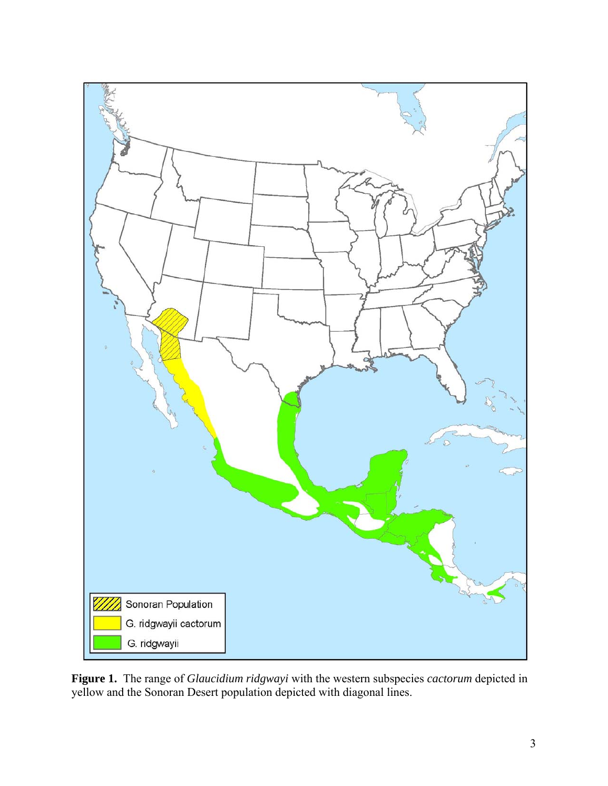

**Figure 1.** The range of *Glaucidium ridgwayi* with the western subspecies *cactorum* depicted in yellow and the Sonoran Desert population depicted with diagonal lines.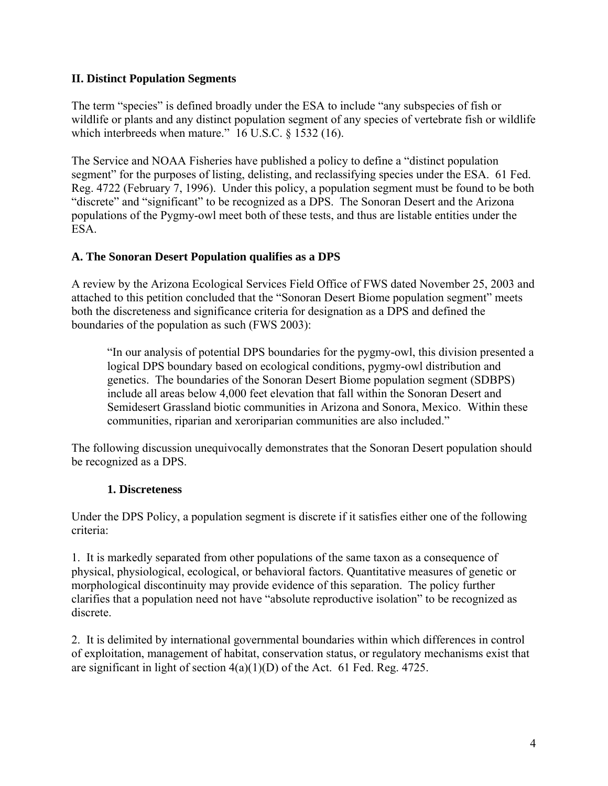### **II. Distinct Population Segments**

The term "species" is defined broadly under the ESA to include "any subspecies of fish or wildlife or plants and any distinct population segment of any species of vertebrate fish or wildlife which interbreeds when mature." 16 U.S.C. § 1532 (16).

The Service and NOAA Fisheries have published a policy to define a "distinct population segment" for the purposes of listing, delisting, and reclassifying species under the ESA. 61 Fed. Reg. 4722 (February 7, 1996). Under this policy, a population segment must be found to be both "discrete" and "significant" to be recognized as a DPS. The Sonoran Desert and the Arizona populations of the Pygmy-owl meet both of these tests, and thus are listable entities under the ESA.

## **A. The Sonoran Desert Population qualifies as a DPS**

A review by the Arizona Ecological Services Field Office of FWS dated November 25, 2003 and attached to this petition concluded that the "Sonoran Desert Biome population segment" meets both the discreteness and significance criteria for designation as a DPS and defined the boundaries of the population as such (FWS 2003):

"In our analysis of potential DPS boundaries for the pygmy-owl, this division presented a logical DPS boundary based on ecological conditions, pygmy-owl distribution and genetics. The boundaries of the Sonoran Desert Biome population segment (SDBPS) include all areas below 4,000 feet elevation that fall within the Sonoran Desert and Semidesert Grassland biotic communities in Arizona and Sonora, Mexico. Within these communities, riparian and xeroriparian communities are also included."

The following discussion unequivocally demonstrates that the Sonoran Desert population should be recognized as a DPS.

#### **1. Discreteness**

Under the DPS Policy, a population segment is discrete if it satisfies either one of the following criteria:

1. It is markedly separated from other populations of the same taxon as a consequence of physical, physiological, ecological, or behavioral factors. Quantitative measures of genetic or morphological discontinuity may provide evidence of this separation. The policy further clarifies that a population need not have "absolute reproductive isolation" to be recognized as discrete.

2. It is delimited by international governmental boundaries within which differences in control of exploitation, management of habitat, conservation status, or regulatory mechanisms exist that are significant in light of section 4(a)(1)(D) of the Act. 61 Fed. Reg. 4725.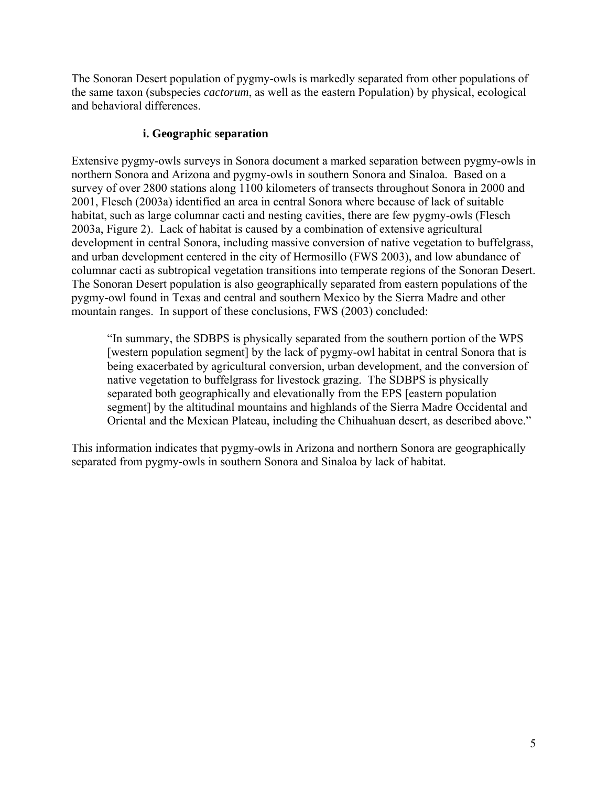The Sonoran Desert population of pygmy-owls is markedly separated from other populations of the same taxon (subspecies *cactorum*, as well as the eastern Population) by physical, ecological and behavioral differences.

#### **i. Geographic separation**

Extensive pygmy-owls surveys in Sonora document a marked separation between pygmy-owls in northern Sonora and Arizona and pygmy-owls in southern Sonora and Sinaloa. Based on a survey of over 2800 stations along 1100 kilometers of transects throughout Sonora in 2000 and 2001, Flesch (2003a) identified an area in central Sonora where because of lack of suitable habitat, such as large columnar cacti and nesting cavities, there are few pygmy-owls (Flesch 2003a, Figure 2). Lack of habitat is caused by a combination of extensive agricultural development in central Sonora, including massive conversion of native vegetation to buffelgrass, and urban development centered in the city of Hermosillo (FWS 2003), and low abundance of columnar cacti as subtropical vegetation transitions into temperate regions of the Sonoran Desert. The Sonoran Desert population is also geographically separated from eastern populations of the pygmy-owl found in Texas and central and southern Mexico by the Sierra Madre and other mountain ranges. In support of these conclusions, FWS (2003) concluded:

"In summary, the SDBPS is physically separated from the southern portion of the WPS [western population segment] by the lack of pygmy-owl habitat in central Sonora that is being exacerbated by agricultural conversion, urban development, and the conversion of native vegetation to buffelgrass for livestock grazing. The SDBPS is physically separated both geographically and elevationally from the EPS [eastern population segment] by the altitudinal mountains and highlands of the Sierra Madre Occidental and Oriental and the Mexican Plateau, including the Chihuahuan desert, as described above."

This information indicates that pygmy-owls in Arizona and northern Sonora are geographically separated from pygmy-owls in southern Sonora and Sinaloa by lack of habitat.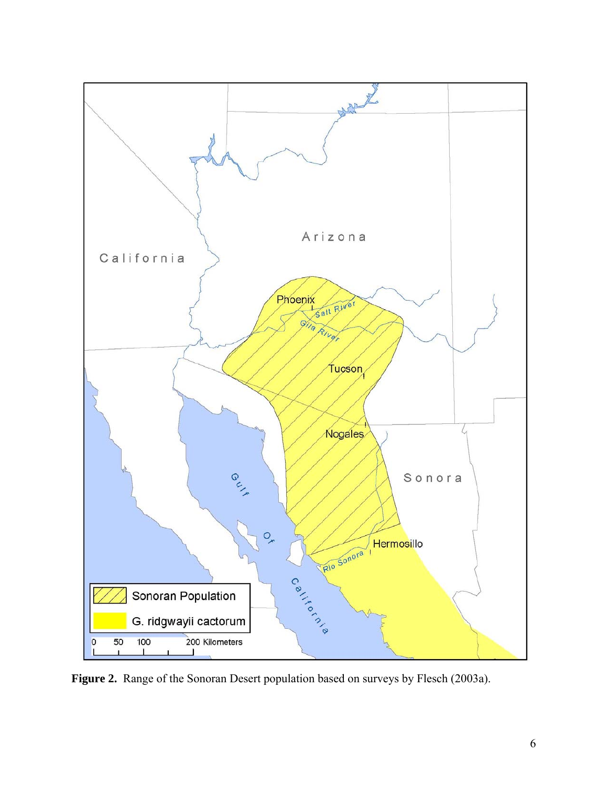

**Figure 2.** Range of the Sonoran Desert population based on surveys by Flesch (2003a).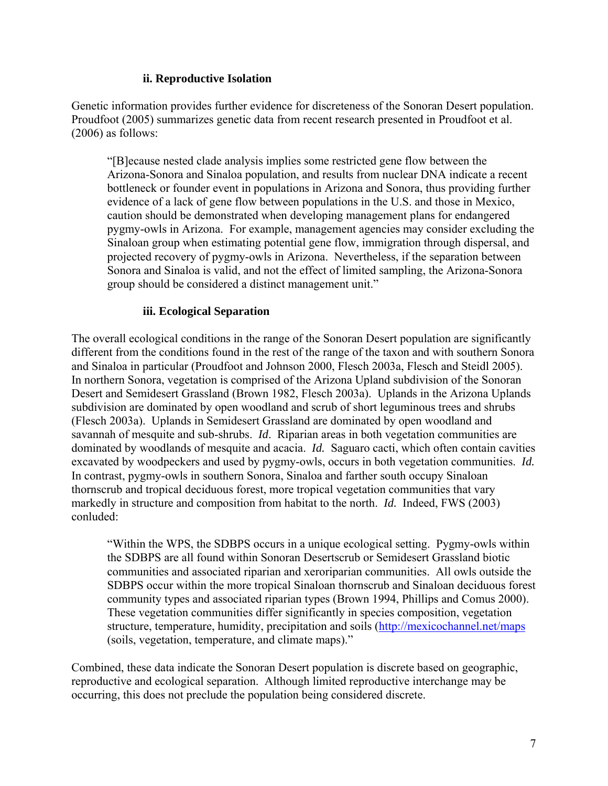#### **ii. Reproductive Isolation**

Genetic information provides further evidence for discreteness of the Sonoran Desert population. Proudfoot (2005) summarizes genetic data from recent research presented in Proudfoot et al. (2006) as follows:

"[B]ecause nested clade analysis implies some restricted gene flow between the Arizona-Sonora and Sinaloa population, and results from nuclear DNA indicate a recent bottleneck or founder event in populations in Arizona and Sonora, thus providing further evidence of a lack of gene flow between populations in the U.S. and those in Mexico, caution should be demonstrated when developing management plans for endangered pygmy-owls in Arizona. For example, management agencies may consider excluding the Sinaloan group when estimating potential gene flow, immigration through dispersal, and projected recovery of pygmy-owls in Arizona. Nevertheless, if the separation between Sonora and Sinaloa is valid, and not the effect of limited sampling, the Arizona-Sonora group should be considered a distinct management unit."

#### **iii. Ecological Separation**

The overall ecological conditions in the range of the Sonoran Desert population are significantly different from the conditions found in the rest of the range of the taxon and with southern Sonora and Sinaloa in particular (Proudfoot and Johnson 2000, Flesch 2003a, Flesch and Steidl 2005). In northern Sonora, vegetation is comprised of the Arizona Upland subdivision of the Sonoran Desert and Semidesert Grassland (Brown 1982, Flesch 2003a). Uplands in the Arizona Uplands subdivision are dominated by open woodland and scrub of short leguminous trees and shrubs (Flesch 2003a). Uplands in Semidesert Grassland are dominated by open woodland and savannah of mesquite and sub-shrubs. *Id*. Riparian areas in both vegetation communities are dominated by woodlands of mesquite and acacia. *Id.* Saguaro cacti, which often contain cavities excavated by woodpeckers and used by pygmy-owls, occurs in both vegetation communities. *Id.* In contrast, pygmy-owls in southern Sonora, Sinaloa and farther south occupy Sinaloan thornscrub and tropical deciduous forest, more tropical vegetation communities that vary markedly in structure and composition from habitat to the north. *Id.* Indeed, FWS (2003) conluded:

"Within the WPS, the SDBPS occurs in a unique ecological setting. Pygmy-owls within the SDBPS are all found within Sonoran Desertscrub or Semidesert Grassland biotic communities and associated riparian and xeroriparian communities. All owls outside the SDBPS occur within the more tropical Sinaloan thornscrub and Sinaloan deciduous forest community types and associated riparian types (Brown 1994, Phillips and Comus 2000). These vegetation communities differ significantly in species composition, vegetation structure, temperature, humidity, precipitation and soils (http://mexicochannel.net/maps (soils, vegetation, temperature, and climate maps)."

Combined, these data indicate the Sonoran Desert population is discrete based on geographic, reproductive and ecological separation. Although limited reproductive interchange may be occurring, this does not preclude the population being considered discrete.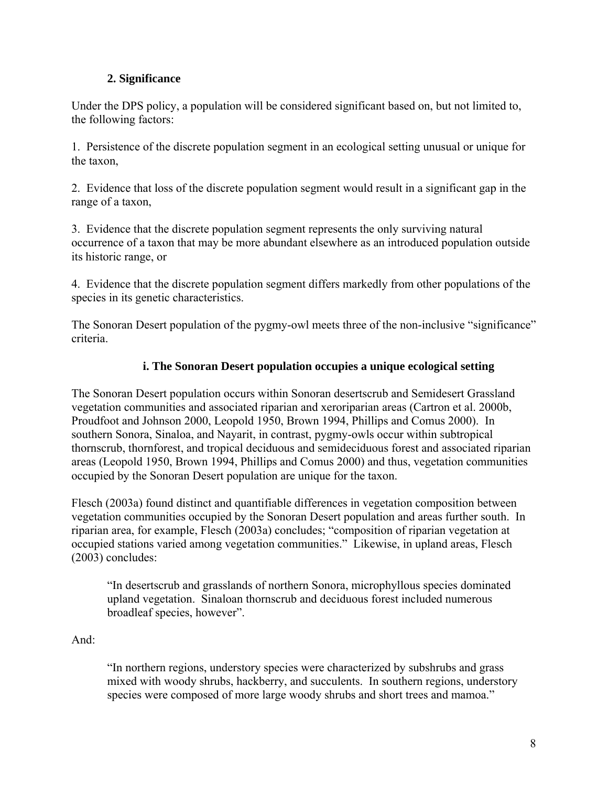## **2. Significance**

Under the DPS policy, a population will be considered significant based on, but not limited to, the following factors:

1. Persistence of the discrete population segment in an ecological setting unusual or unique for the taxon,

2. Evidence that loss of the discrete population segment would result in a significant gap in the range of a taxon,

3. Evidence that the discrete population segment represents the only surviving natural occurrence of a taxon that may be more abundant elsewhere as an introduced population outside its historic range, or

4. Evidence that the discrete population segment differs markedly from other populations of the species in its genetic characteristics.

The Sonoran Desert population of the pygmy-owl meets three of the non-inclusive "significance" criteria.

## **i. The Sonoran Desert population occupies a unique ecological setting**

The Sonoran Desert population occurs within Sonoran desertscrub and Semidesert Grassland vegetation communities and associated riparian and xeroriparian areas (Cartron et al. 2000b, Proudfoot and Johnson 2000, Leopold 1950, Brown 1994, Phillips and Comus 2000). In southern Sonora, Sinaloa, and Nayarit, in contrast, pygmy-owls occur within subtropical thornscrub, thornforest, and tropical deciduous and semideciduous forest and associated riparian areas (Leopold 1950, Brown 1994, Phillips and Comus 2000) and thus, vegetation communities occupied by the Sonoran Desert population are unique for the taxon.

Flesch (2003a) found distinct and quantifiable differences in vegetation composition between vegetation communities occupied by the Sonoran Desert population and areas further south. In riparian area, for example, Flesch (2003a) concludes; "composition of riparian vegetation at occupied stations varied among vegetation communities." Likewise, in upland areas, Flesch (2003) concludes:

"In desertscrub and grasslands of northern Sonora, microphyllous species dominated upland vegetation. Sinaloan thornscrub and deciduous forest included numerous broadleaf species, however".

And:

"In northern regions, understory species were characterized by subshrubs and grass mixed with woody shrubs, hackberry, and succulents. In southern regions, understory species were composed of more large woody shrubs and short trees and mamoa."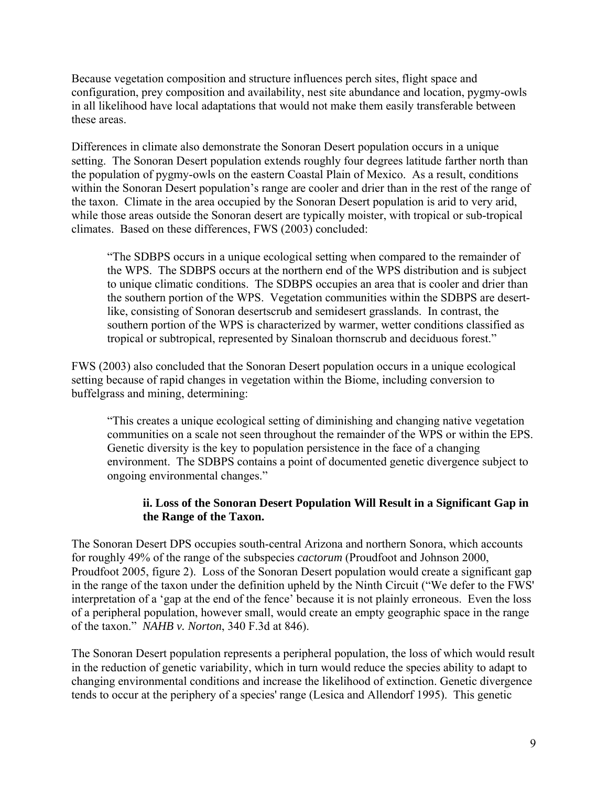Because vegetation composition and structure influences perch sites, flight space and configuration, prey composition and availability, nest site abundance and location, pygmy-owls in all likelihood have local adaptations that would not make them easily transferable between these areas.

Differences in climate also demonstrate the Sonoran Desert population occurs in a unique setting. The Sonoran Desert population extends roughly four degrees latitude farther north than the population of pygmy-owls on the eastern Coastal Plain of Mexico. As a result, conditions within the Sonoran Desert population's range are cooler and drier than in the rest of the range of the taxon. Climate in the area occupied by the Sonoran Desert population is arid to very arid, while those areas outside the Sonoran desert are typically moister, with tropical or sub-tropical climates. Based on these differences, FWS (2003) concluded:

"The SDBPS occurs in a unique ecological setting when compared to the remainder of the WPS. The SDBPS occurs at the northern end of the WPS distribution and is subject to unique climatic conditions. The SDBPS occupies an area that is cooler and drier than the southern portion of the WPS. Vegetation communities within the SDBPS are desertlike, consisting of Sonoran desertscrub and semidesert grasslands. In contrast, the southern portion of the WPS is characterized by warmer, wetter conditions classified as tropical or subtropical, represented by Sinaloan thornscrub and deciduous forest."

FWS (2003) also concluded that the Sonoran Desert population occurs in a unique ecological setting because of rapid changes in vegetation within the Biome, including conversion to buffelgrass and mining, determining:

"This creates a unique ecological setting of diminishing and changing native vegetation communities on a scale not seen throughout the remainder of the WPS or within the EPS. Genetic diversity is the key to population persistence in the face of a changing environment. The SDBPS contains a point of documented genetic divergence subject to ongoing environmental changes."

#### **ii. Loss of the Sonoran Desert Population Will Result in a Significant Gap in the Range of the Taxon.**

The Sonoran Desert DPS occupies south-central Arizona and northern Sonora, which accounts for roughly 49% of the range of the subspecies *cactorum* (Proudfoot and Johnson 2000, Proudfoot 2005, figure 2). Loss of the Sonoran Desert population would create a significant gap in the range of the taxon under the definition upheld by the Ninth Circuit ("We defer to the FWS' interpretation of a 'gap at the end of the fence' because it is not plainly erroneous. Even the loss of a peripheral population, however small, would create an empty geographic space in the range of the taxon." *NAHB v. Norton*, 340 F.3d at 846).

The Sonoran Desert population represents a peripheral population, the loss of which would result in the reduction of genetic variability, which in turn would reduce the species ability to adapt to changing environmental conditions and increase the likelihood of extinction. Genetic divergence tends to occur at the periphery of a species' range (Lesica and Allendorf 1995). This genetic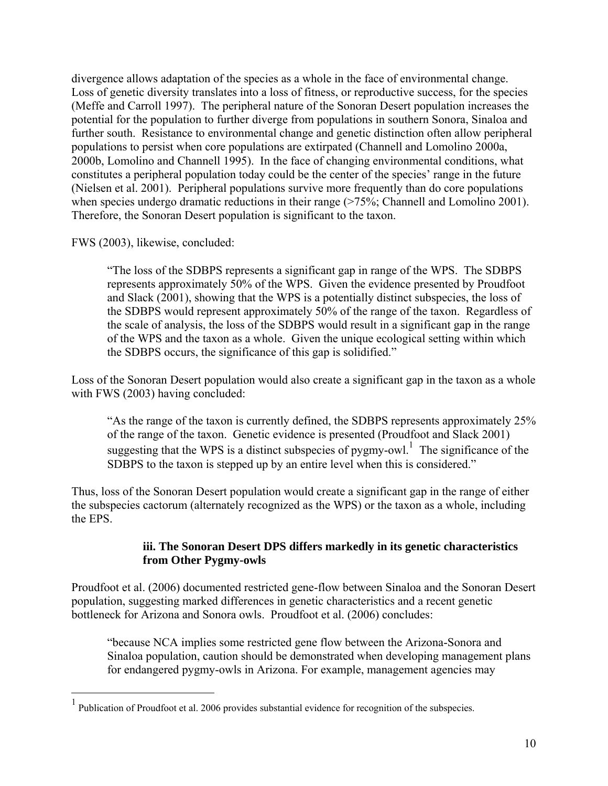divergence allows adaptation of the species as a whole in the face of environmental change. Loss of genetic diversity translates into a loss of fitness, or reproductive success, for the species (Meffe and Carroll 1997). The peripheral nature of the Sonoran Desert population increases the potential for the population to further diverge from populations in southern Sonora, Sinaloa and further south. Resistance to environmental change and genetic distinction often allow peripheral populations to persist when core populations are extirpated (Channell and Lomolino 2000a, 2000b, Lomolino and Channell 1995). In the face of changing environmental conditions, what constitutes a peripheral population today could be the center of the species' range in the future (Nielsen et al. 2001). Peripheral populations survive more frequently than do core populations when species undergo dramatic reductions in their range (>75%; Channell and Lomolino 2001). Therefore, the Sonoran Desert population is significant to the taxon.

FWS (2003), likewise, concluded:

 $\overline{a}$ 

"The loss of the SDBPS represents a significant gap in range of the WPS. The SDBPS represents approximately 50% of the WPS. Given the evidence presented by Proudfoot and Slack (2001), showing that the WPS is a potentially distinct subspecies, the loss of the SDBPS would represent approximately 50% of the range of the taxon. Regardless of the scale of analysis, the loss of the SDBPS would result in a significant gap in the range of the WPS and the taxon as a whole. Given the unique ecological setting within which the SDBPS occurs, the significance of this gap is solidified."

Loss of the Sonoran Desert population would also create a significant gap in the taxon as a whole with FWS (2003) having concluded:

"As the range of the taxon is currently defined, the SDBPS represents approximately 25% of the range of the taxon. Genetic evidence is presented (Proudfoot and Slack 2001) suggesting that the WPS is a distinct subspecies of pygmy-owl.<sup>1</sup> The significance of the SDBPS to the taxon is stepped up by an entire level when this is considered."

Thus, loss of the Sonoran Desert population would create a significant gap in the range of either the subspecies cactorum (alternately recognized as the WPS) or the taxon as a whole, including the EPS.

#### **iii. The Sonoran Desert DPS differs markedly in its genetic characteristics from Other Pygmy-owls**

Proudfoot et al. (2006) documented restricted gene-flow between Sinaloa and the Sonoran Desert population, suggesting marked differences in genetic characteristics and a recent genetic bottleneck for Arizona and Sonora owls. Proudfoot et al. (2006) concludes:

"because NCA implies some restricted gene flow between the Arizona-Sonora and Sinaloa population, caution should be demonstrated when developing management plans for endangered pygmy-owls in Arizona. For example, management agencies may

<sup>1</sup> Publication of Proudfoot et al. 2006 provides substantial evidence for recognition of the subspecies.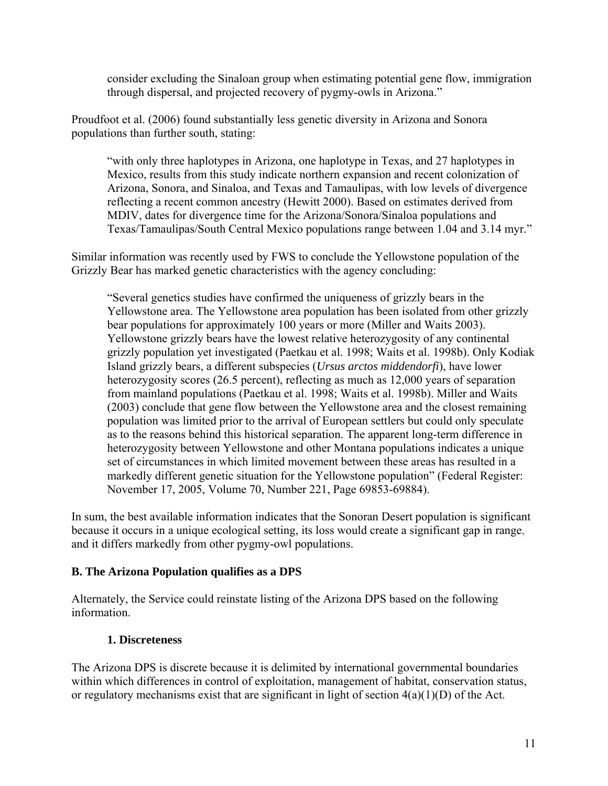consider excluding the Sinaloan group when estimating potential gene flow, immigration through dispersal, and projected recovery of pygmy-owls in Arizona."

Proudfoot et al. (2006) found substantially less genetic diversity in Arizona and Sonora populations than further south, stating:

"with only three haplotypes in Arizona, one haplotype in Texas, and 27 haplotypes in Mexico, results from this study indicate northern expansion and recent colonization of Arizona, Sonora, and Sinaloa, and Texas and Tamaulipas, with low levels of divergence reflecting a recent common ancestry (Hewitt 2000). Based on estimates derived from MDIV, dates for divergence time for the Arizona/Sonora/Sinaloa populations and Texas/Tamaulipas/South Central Mexico populations range between 1.04 and 3.14 myr."

Similar information was recently used by FWS to conclude the Yellowstone population of the Grizzly Bear has marked genetic characteristics with the agency concluding:

"Several genetics studies have confirmed the uniqueness of grizzly bears in the Yellowstone area. The Yellowstone area population has been isolated from other grizzly bear populations for approximately 100 years or more (Miller and Waits 2003). Yellowstone grizzly bears have the lowest relative heterozygosity of any continental grizzly population yet investigated (Paetkau et al. 1998; Waits et al. 1998b). Only Kodiak Island grizzly bears, a different subspecies (*Ursus arctos middendorfi*), have lower heterozygosity scores (26.5 percent), reflecting as much as 12,000 years of separation from mainland populations (Paetkau et al. 1998; Waits et al. 1998b). Miller and Waits (2003) conclude that gene flow between the Yellowstone area and the closest remaining population was limited prior to the arrival of European settlers but could only speculate as to the reasons behind this historical separation. The apparent long-term difference in heterozygosity between Yellowstone and other Montana populations indicates a unique set of circumstances in which limited movement between these areas has resulted in a markedly different genetic situation for the Yellowstone population" (Federal Register: November 17, 2005, Volume 70, Number 221, Page 69853-69884).

In sum, the best available information indicates that the Sonoran Desert population is significant because it occurs in a unique ecological setting, its loss would create a significant gap in range, and it differs markedly from other pygmy-owl populations.

#### **B. The Arizona Population qualifies as a DPS**

Alternately, the Service could reinstate listing of the Arizona DPS based on the following information.

#### **1. Discreteness**

The Arizona DPS is discrete because it is delimited by international governmental boundaries within which differences in control of exploitation, management of habitat, conservation status, or regulatory mechanisms exist that are significant in light of section  $4(a)(1)(D)$  of the Act.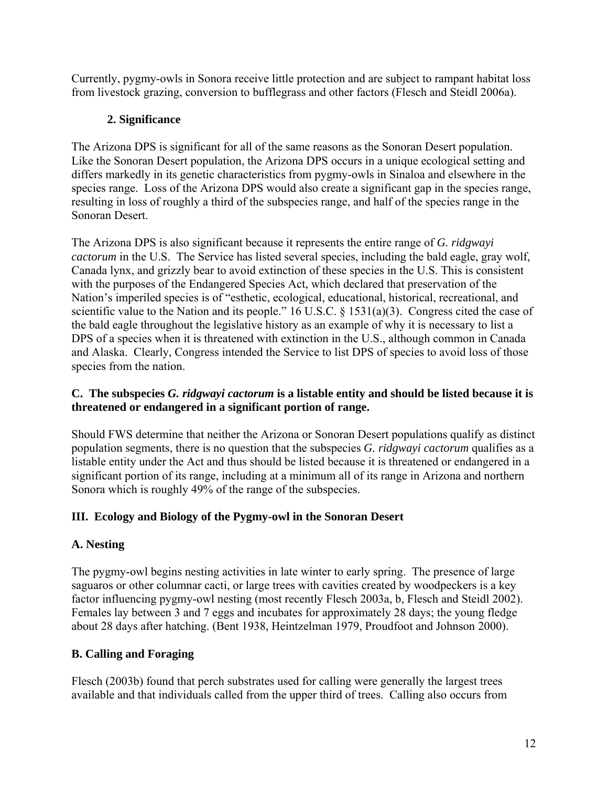Currently, pygmy-owls in Sonora receive little protection and are subject to rampant habitat loss from livestock grazing, conversion to bufflegrass and other factors (Flesch and Steidl 2006a).

## **2. Significance**

The Arizona DPS is significant for all of the same reasons as the Sonoran Desert population. Like the Sonoran Desert population, the Arizona DPS occurs in a unique ecological setting and differs markedly in its genetic characteristics from pygmy-owls in Sinaloa and elsewhere in the species range. Loss of the Arizona DPS would also create a significant gap in the species range, resulting in loss of roughly a third of the subspecies range, and half of the species range in the Sonoran Desert.

The Arizona DPS is also significant because it represents the entire range of *G. ridgwayi cactorum* in the U.S. The Service has listed several species, including the bald eagle, gray wolf, Canada lynx, and grizzly bear to avoid extinction of these species in the U.S. This is consistent with the purposes of the Endangered Species Act, which declared that preservation of the Nation's imperiled species is of "esthetic, ecological, educational, historical, recreational, and scientific value to the Nation and its people." 16 U.S.C. § 1531(a)(3). Congress cited the case of the bald eagle throughout the legislative history as an example of why it is necessary to list a DPS of a species when it is threatened with extinction in the U.S., although common in Canada and Alaska. Clearly, Congress intended the Service to list DPS of species to avoid loss of those species from the nation.

## **C. The subspecies** *G. ridgwayi cactorum* **is a listable entity and should be listed because it is threatened or endangered in a significant portion of range.**

Should FWS determine that neither the Arizona or Sonoran Desert populations qualify as distinct population segments, there is no question that the subspecies *G. ridgwayi cactorum* qualifies as a listable entity under the Act and thus should be listed because it is threatened or endangered in a significant portion of its range, including at a minimum all of its range in Arizona and northern Sonora which is roughly 49% of the range of the subspecies.

## **III. Ecology and Biology of the Pygmy-owl in the Sonoran Desert**

## **A. Nesting**

The pygmy-owl begins nesting activities in late winter to early spring. The presence of large saguaros or other columnar cacti, or large trees with cavities created by woodpeckers is a key factor influencing pygmy-owl nesting (most recently Flesch 2003a, b, Flesch and Steidl 2002). Females lay between 3 and 7 eggs and incubates for approximately 28 days; the young fledge about 28 days after hatching. (Bent 1938, Heintzelman 1979, Proudfoot and Johnson 2000).

## **B. Calling and Foraging**

Flesch (2003b) found that perch substrates used for calling were generally the largest trees available and that individuals called from the upper third of trees. Calling also occurs from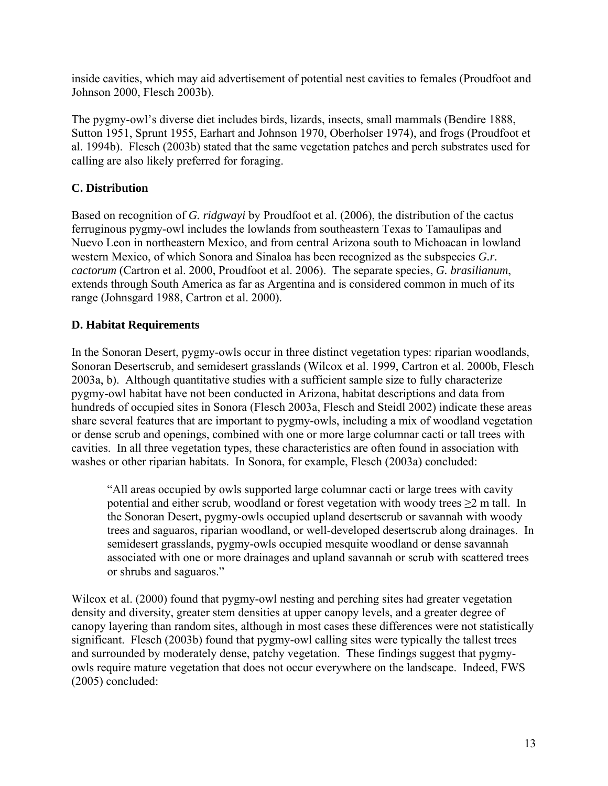inside cavities, which may aid advertisement of potential nest cavities to females (Proudfoot and Johnson 2000, Flesch 2003b).

The pygmy-owl's diverse diet includes birds, lizards, insects, small mammals (Bendire 1888, Sutton 1951, Sprunt 1955, Earhart and Johnson 1970, Oberholser 1974), and frogs (Proudfoot et al. 1994b). Flesch (2003b) stated that the same vegetation patches and perch substrates used for calling are also likely preferred for foraging.

## **C. Distribution**

Based on recognition of *G. ridgwayi* by Proudfoot et al. (2006), the distribution of the cactus ferruginous pygmy-owl includes the lowlands from southeastern Texas to Tamaulipas and Nuevo Leon in northeastern Mexico, and from central Arizona south to Michoacan in lowland western Mexico, of which Sonora and Sinaloa has been recognized as the subspecies *G.r. cactorum* (Cartron et al. 2000, Proudfoot et al. 2006). The separate species, *G. brasilianum*, extends through South America as far as Argentina and is considered common in much of its range (Johnsgard 1988, Cartron et al. 2000).

## **D. Habitat Requirements**

In the Sonoran Desert, pygmy-owls occur in three distinct vegetation types: riparian woodlands, Sonoran Desertscrub, and semidesert grasslands (Wilcox et al. 1999, Cartron et al. 2000b, Flesch 2003a, b). Although quantitative studies with a sufficient sample size to fully characterize pygmy-owl habitat have not been conducted in Arizona, habitat descriptions and data from hundreds of occupied sites in Sonora (Flesch 2003a, Flesch and Steidl 2002) indicate these areas share several features that are important to pygmy-owls, including a mix of woodland vegetation or dense scrub and openings, combined with one or more large columnar cacti or tall trees with cavities. In all three vegetation types, these characteristics are often found in association with washes or other riparian habitats. In Sonora, for example, Flesch (2003a) concluded:

"All areas occupied by owls supported large columnar cacti or large trees with cavity potential and either scrub, woodland or forest vegetation with woody trees ≥2 m tall. In the Sonoran Desert, pygmy-owls occupied upland desertscrub or savannah with woody trees and saguaros, riparian woodland, or well-developed desertscrub along drainages. In semidesert grasslands, pygmy-owls occupied mesquite woodland or dense savannah associated with one or more drainages and upland savannah or scrub with scattered trees or shrubs and saguaros."

Wilcox et al. (2000) found that pygmy-owl nesting and perching sites had greater vegetation density and diversity, greater stem densities at upper canopy levels, and a greater degree of canopy layering than random sites, although in most cases these differences were not statistically significant. Flesch (2003b) found that pygmy-owl calling sites were typically the tallest trees and surrounded by moderately dense, patchy vegetation. These findings suggest that pygmyowls require mature vegetation that does not occur everywhere on the landscape. Indeed, FWS (2005) concluded: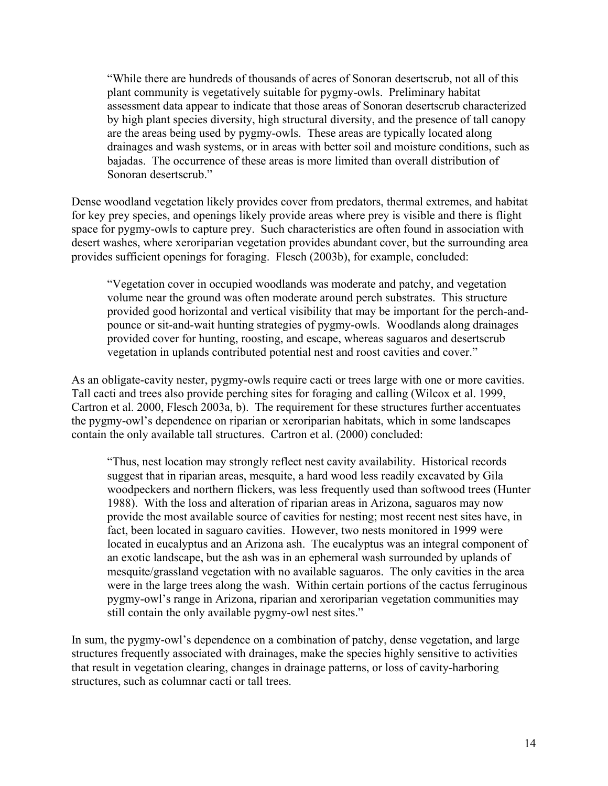"While there are hundreds of thousands of acres of Sonoran desertscrub, not all of this plant community is vegetatively suitable for pygmy-owls. Preliminary habitat assessment data appear to indicate that those areas of Sonoran desertscrub characterized by high plant species diversity, high structural diversity, and the presence of tall canopy are the areas being used by pygmy-owls. These areas are typically located along drainages and wash systems, or in areas with better soil and moisture conditions, such as bajadas. The occurrence of these areas is more limited than overall distribution of Sonoran desertscrub."

Dense woodland vegetation likely provides cover from predators, thermal extremes, and habitat for key prey species, and openings likely provide areas where prey is visible and there is flight space for pygmy-owls to capture prey. Such characteristics are often found in association with desert washes, where xeroriparian vegetation provides abundant cover, but the surrounding area provides sufficient openings for foraging. Flesch (2003b), for example, concluded:

"Vegetation cover in occupied woodlands was moderate and patchy, and vegetation volume near the ground was often moderate around perch substrates. This structure provided good horizontal and vertical visibility that may be important for the perch-andpounce or sit-and-wait hunting strategies of pygmy-owls. Woodlands along drainages provided cover for hunting, roosting, and escape, whereas saguaros and desertscrub vegetation in uplands contributed potential nest and roost cavities and cover."

As an obligate-cavity nester, pygmy-owls require cacti or trees large with one or more cavities. Tall cacti and trees also provide perching sites for foraging and calling (Wilcox et al. 1999, Cartron et al. 2000, Flesch 2003a, b). The requirement for these structures further accentuates the pygmy-owl's dependence on riparian or xeroriparian habitats, which in some landscapes contain the only available tall structures. Cartron et al. (2000) concluded:

"Thus, nest location may strongly reflect nest cavity availability. Historical records suggest that in riparian areas, mesquite, a hard wood less readily excavated by Gila woodpeckers and northern flickers, was less frequently used than softwood trees (Hunter 1988). With the loss and alteration of riparian areas in Arizona, saguaros may now provide the most available source of cavities for nesting; most recent nest sites have, in fact, been located in saguaro cavities. However, two nests monitored in 1999 were located in eucalyptus and an Arizona ash. The eucalyptus was an integral component of an exotic landscape, but the ash was in an ephemeral wash surrounded by uplands of mesquite/grassland vegetation with no available saguaros. The only cavities in the area were in the large trees along the wash. Within certain portions of the cactus ferruginous pygmy-owl's range in Arizona, riparian and xeroriparian vegetation communities may still contain the only available pygmy-owl nest sites."

In sum, the pygmy-owl's dependence on a combination of patchy, dense vegetation, and large structures frequently associated with drainages, make the species highly sensitive to activities that result in vegetation clearing, changes in drainage patterns, or loss of cavity-harboring structures, such as columnar cacti or tall trees.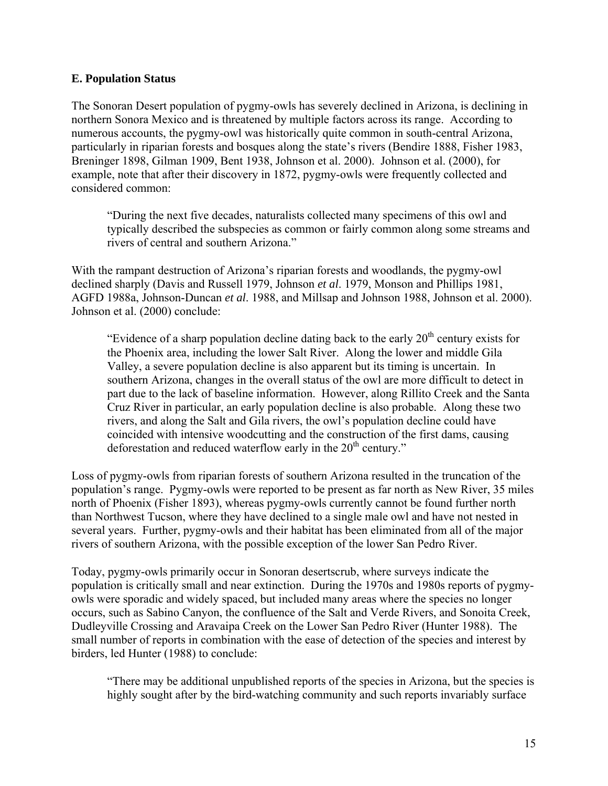#### **E. Population Status**

The Sonoran Desert population of pygmy-owls has severely declined in Arizona, is declining in northern Sonora Mexico and is threatened by multiple factors across its range. According to numerous accounts, the pygmy-owl was historically quite common in south-central Arizona, particularly in riparian forests and bosques along the state's rivers (Bendire 1888, Fisher 1983, Breninger 1898, Gilman 1909, Bent 1938, Johnson et al. 2000). Johnson et al. (2000), for example, note that after their discovery in 1872, pygmy-owls were frequently collected and considered common:

"During the next five decades, naturalists collected many specimens of this owl and typically described the subspecies as common or fairly common along some streams and rivers of central and southern Arizona."

With the rampant destruction of Arizona's riparian forests and woodlands, the pygmy-owl declined sharply (Davis and Russell 1979, Johnson *et al*. 1979, Monson and Phillips 1981, AGFD 1988a, Johnson-Duncan *et al*. 1988, and Millsap and Johnson 1988, Johnson et al. 2000). Johnson et al. (2000) conclude:

"Evidence of a sharp population decline dating back to the early  $20<sup>th</sup>$  century exists for the Phoenix area, including the lower Salt River. Along the lower and middle Gila Valley, a severe population decline is also apparent but its timing is uncertain. In southern Arizona, changes in the overall status of the owl are more difficult to detect in part due to the lack of baseline information. However, along Rillito Creek and the Santa Cruz River in particular, an early population decline is also probable. Along these two rivers, and along the Salt and Gila rivers, the owl's population decline could have coincided with intensive woodcutting and the construction of the first dams, causing deforestation and reduced waterflow early in the 20<sup>th</sup> century."

Loss of pygmy-owls from riparian forests of southern Arizona resulted in the truncation of the population's range. Pygmy-owls were reported to be present as far north as New River, 35 miles north of Phoenix (Fisher 1893), whereas pygmy-owls currently cannot be found further north than Northwest Tucson, where they have declined to a single male owl and have not nested in several years. Further, pygmy-owls and their habitat has been eliminated from all of the major rivers of southern Arizona, with the possible exception of the lower San Pedro River.

Today, pygmy-owls primarily occur in Sonoran desertscrub, where surveys indicate the population is critically small and near extinction. During the 1970s and 1980s reports of pygmyowls were sporadic and widely spaced, but included many areas where the species no longer occurs, such as Sabino Canyon, the confluence of the Salt and Verde Rivers, and Sonoita Creek, Dudleyville Crossing and Aravaipa Creek on the Lower San Pedro River (Hunter 1988). The small number of reports in combination with the ease of detection of the species and interest by birders, led Hunter (1988) to conclude:

"There may be additional unpublished reports of the species in Arizona, but the species is highly sought after by the bird-watching community and such reports invariably surface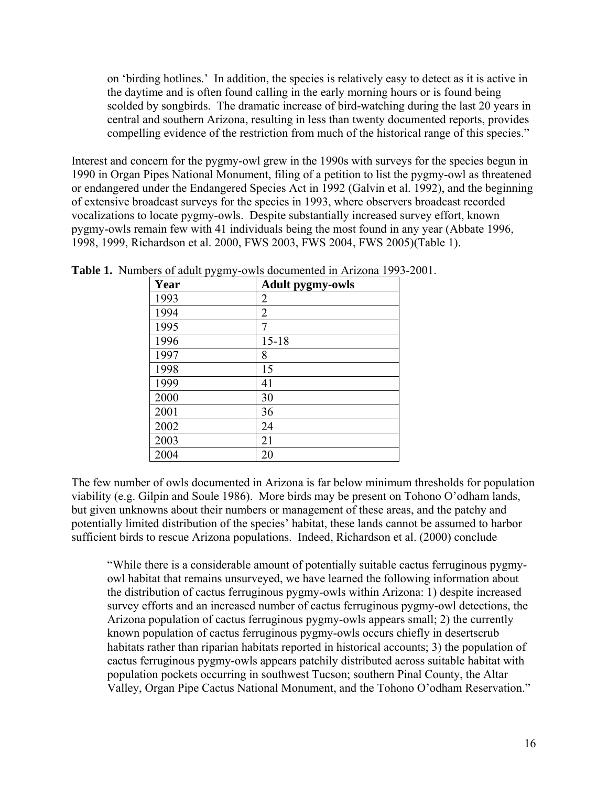on 'birding hotlines.' In addition, the species is relatively easy to detect as it is active in the daytime and is often found calling in the early morning hours or is found being scolded by songbirds. The dramatic increase of bird-watching during the last 20 years in central and southern Arizona, resulting in less than twenty documented reports, provides compelling evidence of the restriction from much of the historical range of this species."

Interest and concern for the pygmy-owl grew in the 1990s with surveys for the species begun in 1990 in Organ Pipes National Monument, filing of a petition to list the pygmy-owl as threatened or endangered under the Endangered Species Act in 1992 (Galvin et al. 1992), and the beginning of extensive broadcast surveys for the species in 1993, where observers broadcast recorded vocalizations to locate pygmy-owls. Despite substantially increased survey effort, known pygmy-owls remain few with 41 individuals being the most found in any year (Abbate 1996, 1998, 1999, Richardson et al. 2000, FWS 2003, FWS 2004, FWS 2005)(Table 1).

| Year | <b>Adult pygmy-owls</b> |
|------|-------------------------|
| 1993 | 2                       |
| 1994 | 2                       |
| 1995 | 7                       |
| 1996 | $15 - 18$               |
| 1997 | 8                       |
| 1998 | 15                      |
| 1999 | 41                      |
| 2000 | 30                      |
| 2001 | 36                      |
| 2002 | 24                      |
| 2003 | 21                      |
| 2004 | 20                      |

**Table 1.** Numbers of adult pygmy-owls documented in Arizona 1993-2001.

The few number of owls documented in Arizona is far below minimum thresholds for population viability (e.g. Gilpin and Soule 1986). More birds may be present on Tohono O'odham lands, but given unknowns about their numbers or management of these areas, and the patchy and potentially limited distribution of the species' habitat, these lands cannot be assumed to harbor sufficient birds to rescue Arizona populations. Indeed, Richardson et al. (2000) conclude

"While there is a considerable amount of potentially suitable cactus ferruginous pygmyowl habitat that remains unsurveyed, we have learned the following information about the distribution of cactus ferruginous pygmy-owls within Arizona: 1) despite increased survey efforts and an increased number of cactus ferruginous pygmy-owl detections, the Arizona population of cactus ferruginous pygmy-owls appears small; 2) the currently known population of cactus ferruginous pygmy-owls occurs chiefly in desertscrub habitats rather than riparian habitats reported in historical accounts; 3) the population of cactus ferruginous pygmy-owls appears patchily distributed across suitable habitat with population pockets occurring in southwest Tucson; southern Pinal County, the Altar Valley, Organ Pipe Cactus National Monument, and the Tohono O'odham Reservation."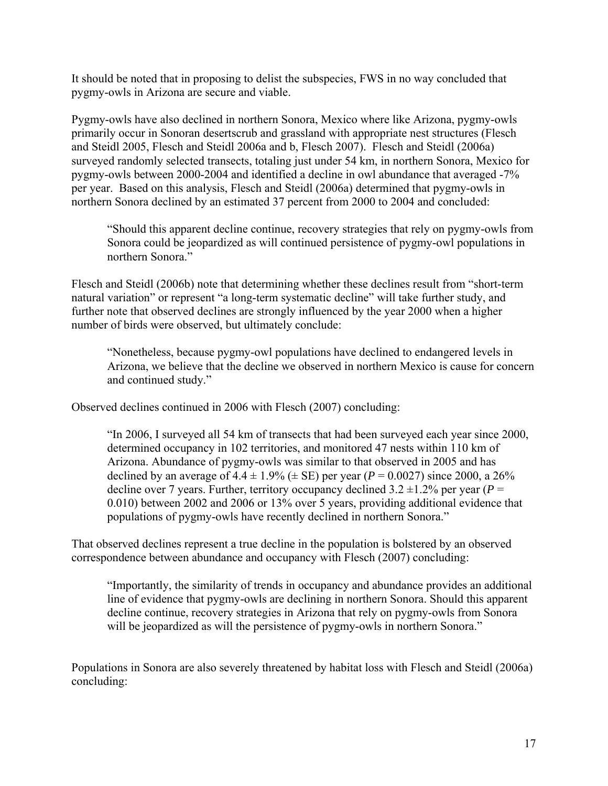It should be noted that in proposing to delist the subspecies, FWS in no way concluded that pygmy-owls in Arizona are secure and viable.

Pygmy-owls have also declined in northern Sonora, Mexico where like Arizona, pygmy-owls primarily occur in Sonoran desertscrub and grassland with appropriate nest structures (Flesch and Steidl 2005, Flesch and Steidl 2006a and b, Flesch 2007). Flesch and Steidl (2006a) surveyed randomly selected transects, totaling just under 54 km, in northern Sonora, Mexico for pygmy-owls between 2000-2004 and identified a decline in owl abundance that averaged -7% per year. Based on this analysis, Flesch and Steidl (2006a) determined that pygmy-owls in northern Sonora declined by an estimated 37 percent from 2000 to 2004 and concluded:

"Should this apparent decline continue, recovery strategies that rely on pygmy-owls from Sonora could be jeopardized as will continued persistence of pygmy-owl populations in northern Sonora."

Flesch and Steidl (2006b) note that determining whether these declines result from "short-term natural variation" or represent "a long-term systematic decline" will take further study, and further note that observed declines are strongly influenced by the year 2000 when a higher number of birds were observed, but ultimately conclude:

"Nonetheless, because pygmy-owl populations have declined to endangered levels in Arizona, we believe that the decline we observed in northern Mexico is cause for concern and continued study."

Observed declines continued in 2006 with Flesch (2007) concluding:

"In 2006, I surveyed all 54 km of transects that had been surveyed each year since 2000, determined occupancy in 102 territories, and monitored 47 nests within 110 km of Arizona. Abundance of pygmy-owls was similar to that observed in 2005 and has declined by an average of  $4.4 \pm 1.9\%$  ( $\pm$  SE) per year ( $P = 0.0027$ ) since 2000, a 26% decline over 7 years. Further, territory occupancy declined  $3.2 \pm 1.2$ % per year ( $P =$ 0.010) between 2002 and 2006 or 13% over 5 years, providing additional evidence that populations of pygmy-owls have recently declined in northern Sonora."

That observed declines represent a true decline in the population is bolstered by an observed correspondence between abundance and occupancy with Flesch (2007) concluding:

"Importantly, the similarity of trends in occupancy and abundance provides an additional line of evidence that pygmy-owls are declining in northern Sonora. Should this apparent decline continue, recovery strategies in Arizona that rely on pygmy-owls from Sonora will be jeopardized as will the persistence of pygmy-owls in northern Sonora."

Populations in Sonora are also severely threatened by habitat loss with Flesch and Steidl (2006a) concluding: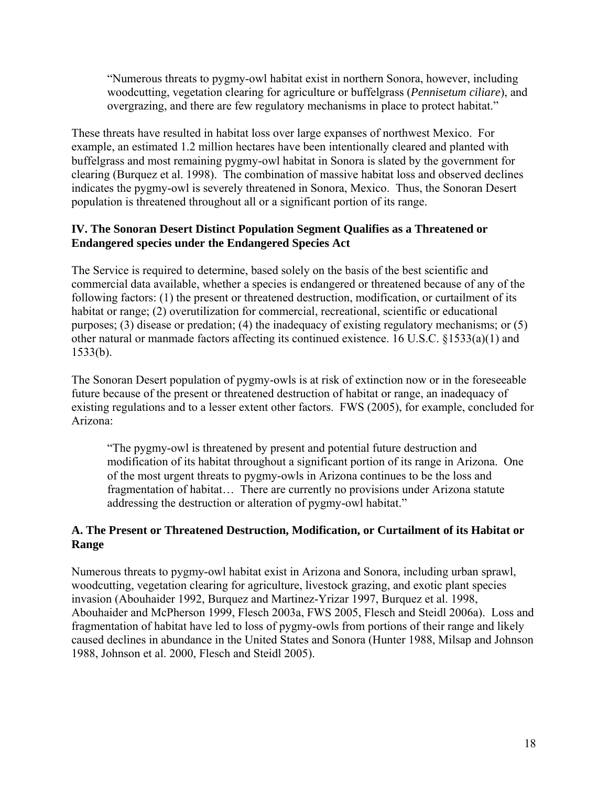"Numerous threats to pygmy-owl habitat exist in northern Sonora, however, including woodcutting, vegetation clearing for agriculture or buffelgrass (*Pennisetum ciliare*), and overgrazing, and there are few regulatory mechanisms in place to protect habitat."

These threats have resulted in habitat loss over large expanses of northwest Mexico. For example, an estimated 1.2 million hectares have been intentionally cleared and planted with buffelgrass and most remaining pygmy-owl habitat in Sonora is slated by the government for clearing (Burquez et al. 1998). The combination of massive habitat loss and observed declines indicates the pygmy-owl is severely threatened in Sonora, Mexico. Thus, the Sonoran Desert population is threatened throughout all or a significant portion of its range.

## **IV. The Sonoran Desert Distinct Population Segment Qualifies as a Threatened or Endangered species under the Endangered Species Act**

The Service is required to determine, based solely on the basis of the best scientific and commercial data available, whether a species is endangered or threatened because of any of the following factors: (1) the present or threatened destruction, modification, or curtailment of its habitat or range; (2) overutilization for commercial, recreational, scientific or educational purposes; (3) disease or predation; (4) the inadequacy of existing regulatory mechanisms; or (5) other natural or manmade factors affecting its continued existence. 16 U.S.C. §1533(a)(1) and 1533(b).

The Sonoran Desert population of pygmy-owls is at risk of extinction now or in the foreseeable future because of the present or threatened destruction of habitat or range, an inadequacy of existing regulations and to a lesser extent other factors. FWS (2005), for example, concluded for Arizona:

"The pygmy-owl is threatened by present and potential future destruction and modification of its habitat throughout a significant portion of its range in Arizona. One of the most urgent threats to pygmy-owls in Arizona continues to be the loss and fragmentation of habitat… There are currently no provisions under Arizona statute addressing the destruction or alteration of pygmy-owl habitat."

#### **A. The Present or Threatened Destruction, Modification, or Curtailment of its Habitat or Range**

Numerous threats to pygmy-owl habitat exist in Arizona and Sonora, including urban sprawl, woodcutting, vegetation clearing for agriculture, livestock grazing, and exotic plant species invasion (Abouhaider 1992, Burquez and Martinez-Yrizar 1997, Burquez et al. 1998, Abouhaider and McPherson 1999, Flesch 2003a, FWS 2005, Flesch and Steidl 2006a). Loss and fragmentation of habitat have led to loss of pygmy-owls from portions of their range and likely caused declines in abundance in the United States and Sonora (Hunter 1988, Milsap and Johnson 1988, Johnson et al. 2000, Flesch and Steidl 2005).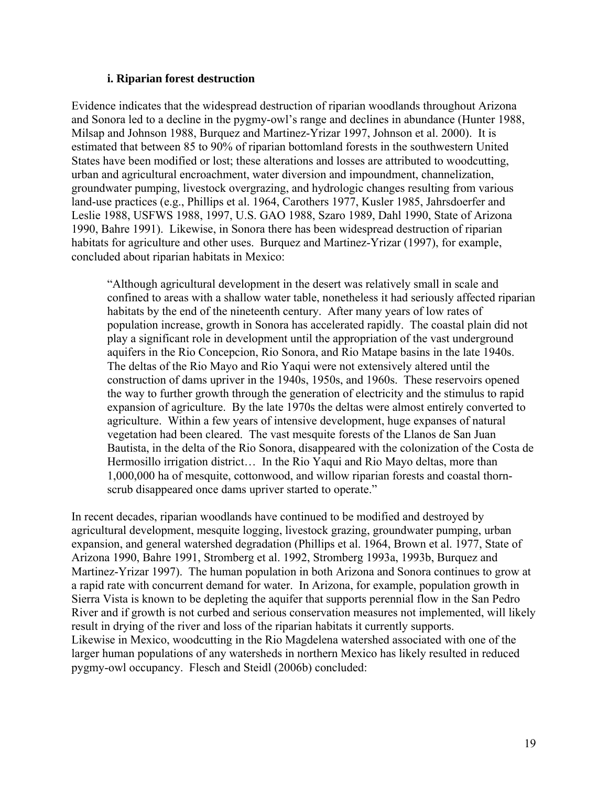#### **i. Riparian forest destruction**

Evidence indicates that the widespread destruction of riparian woodlands throughout Arizona and Sonora led to a decline in the pygmy-owl's range and declines in abundance (Hunter 1988, Milsap and Johnson 1988, Burquez and Martinez-Yrizar 1997, Johnson et al. 2000). It is estimated that between 85 to 90% of riparian bottomland forests in the southwestern United States have been modified or lost; these alterations and losses are attributed to woodcutting, urban and agricultural encroachment, water diversion and impoundment, channelization, groundwater pumping, livestock overgrazing, and hydrologic changes resulting from various land-use practices (e.g., Phillips et al. 1964, Carothers 1977, Kusler 1985, Jahrsdoerfer and Leslie 1988, USFWS 1988, 1997, U.S. GAO 1988, Szaro 1989, Dahl 1990, State of Arizona 1990, Bahre 1991). Likewise, in Sonora there has been widespread destruction of riparian habitats for agriculture and other uses. Burquez and Martinez-Yrizar (1997), for example, concluded about riparian habitats in Mexico:

"Although agricultural development in the desert was relatively small in scale and confined to areas with a shallow water table, nonetheless it had seriously affected riparian habitats by the end of the nineteenth century. After many years of low rates of population increase, growth in Sonora has accelerated rapidly. The coastal plain did not play a significant role in development until the appropriation of the vast underground aquifers in the Rio Concepcion, Rio Sonora, and Rio Matape basins in the late 1940s. The deltas of the Rio Mayo and Rio Yaqui were not extensively altered until the construction of dams upriver in the 1940s, 1950s, and 1960s. These reservoirs opened the way to further growth through the generation of electricity and the stimulus to rapid expansion of agriculture. By the late 1970s the deltas were almost entirely converted to agriculture. Within a few years of intensive development, huge expanses of natural vegetation had been cleared. The vast mesquite forests of the Llanos de San Juan Bautista, in the delta of the Rio Sonora, disappeared with the colonization of the Costa de Hermosillo irrigation district… In the Rio Yaqui and Rio Mayo deltas, more than 1,000,000 ha of mesquite, cottonwood, and willow riparian forests and coastal thornscrub disappeared once dams upriver started to operate."

In recent decades, riparian woodlands have continued to be modified and destroyed by agricultural development, mesquite logging, livestock grazing, groundwater pumping, urban expansion, and general watershed degradation (Phillips et al. 1964, Brown et al. 1977, State of Arizona 1990, Bahre 1991, Stromberg et al. 1992, Stromberg 1993a, 1993b, Burquez and Martinez-Yrizar 1997). The human population in both Arizona and Sonora continues to grow at a rapid rate with concurrent demand for water. In Arizona, for example, population growth in Sierra Vista is known to be depleting the aquifer that supports perennial flow in the San Pedro River and if growth is not curbed and serious conservation measures not implemented, will likely result in drying of the river and loss of the riparian habitats it currently supports. Likewise in Mexico, woodcutting in the Rio Magdelena watershed associated with one of the larger human populations of any watersheds in northern Mexico has likely resulted in reduced pygmy-owl occupancy. Flesch and Steidl (2006b) concluded: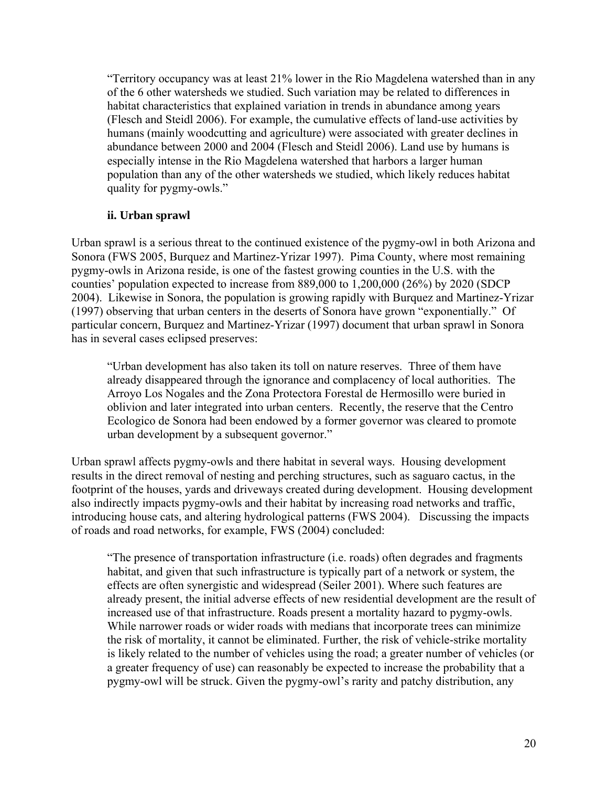"Territory occupancy was at least 21% lower in the Rio Magdelena watershed than in any of the 6 other watersheds we studied. Such variation may be related to differences in habitat characteristics that explained variation in trends in abundance among years (Flesch and Steidl 2006). For example, the cumulative effects of land-use activities by humans (mainly woodcutting and agriculture) were associated with greater declines in abundance between 2000 and 2004 (Flesch and Steidl 2006). Land use by humans is especially intense in the Rio Magdelena watershed that harbors a larger human population than any of the other watersheds we studied, which likely reduces habitat quality for pygmy-owls."

#### **ii. Urban sprawl**

Urban sprawl is a serious threat to the continued existence of the pygmy-owl in both Arizona and Sonora (FWS 2005, Burquez and Martinez-Yrizar 1997). Pima County, where most remaining pygmy-owls in Arizona reside, is one of the fastest growing counties in the U.S. with the counties' population expected to increase from 889,000 to 1,200,000 (26%) by 2020 (SDCP 2004). Likewise in Sonora, the population is growing rapidly with Burquez and Martinez-Yrizar (1997) observing that urban centers in the deserts of Sonora have grown "exponentially." Of particular concern, Burquez and Martinez-Yrizar (1997) document that urban sprawl in Sonora has in several cases eclipsed preserves:

"Urban development has also taken its toll on nature reserves. Three of them have already disappeared through the ignorance and complacency of local authorities. The Arroyo Los Nogales and the Zona Protectora Forestal de Hermosillo were buried in oblivion and later integrated into urban centers. Recently, the reserve that the Centro Ecologico de Sonora had been endowed by a former governor was cleared to promote urban development by a subsequent governor."

Urban sprawl affects pygmy-owls and there habitat in several ways. Housing development results in the direct removal of nesting and perching structures, such as saguaro cactus, in the footprint of the houses, yards and driveways created during development. Housing development also indirectly impacts pygmy-owls and their habitat by increasing road networks and traffic, introducing house cats, and altering hydrological patterns (FWS 2004). Discussing the impacts of roads and road networks, for example, FWS (2004) concluded:

"The presence of transportation infrastructure (i.e. roads) often degrades and fragments habitat, and given that such infrastructure is typically part of a network or system, the effects are often synergistic and widespread (Seiler 2001). Where such features are already present, the initial adverse effects of new residential development are the result of increased use of that infrastructure. Roads present a mortality hazard to pygmy-owls. While narrower roads or wider roads with medians that incorporate trees can minimize the risk of mortality, it cannot be eliminated. Further, the risk of vehicle-strike mortality is likely related to the number of vehicles using the road; a greater number of vehicles (or a greater frequency of use) can reasonably be expected to increase the probability that a pygmy-owl will be struck. Given the pygmy-owl's rarity and patchy distribution, any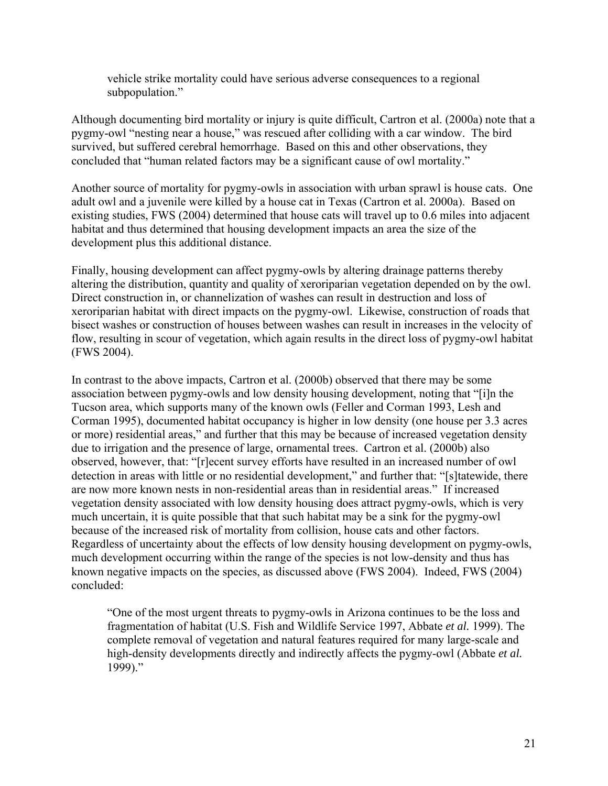vehicle strike mortality could have serious adverse consequences to a regional subpopulation."

Although documenting bird mortality or injury is quite difficult, Cartron et al. (2000a) note that a pygmy-owl "nesting near a house," was rescued after colliding with a car window. The bird survived, but suffered cerebral hemorrhage. Based on this and other observations, they concluded that "human related factors may be a significant cause of owl mortality."

Another source of mortality for pygmy-owls in association with urban sprawl is house cats. One adult owl and a juvenile were killed by a house cat in Texas (Cartron et al. 2000a). Based on existing studies, FWS (2004) determined that house cats will travel up to 0.6 miles into adjacent habitat and thus determined that housing development impacts an area the size of the development plus this additional distance.

Finally, housing development can affect pygmy-owls by altering drainage patterns thereby altering the distribution, quantity and quality of xeroriparian vegetation depended on by the owl. Direct construction in, or channelization of washes can result in destruction and loss of xeroriparian habitat with direct impacts on the pygmy-owl. Likewise, construction of roads that bisect washes or construction of houses between washes can result in increases in the velocity of flow, resulting in scour of vegetation, which again results in the direct loss of pygmy-owl habitat (FWS 2004).

In contrast to the above impacts, Cartron et al. (2000b) observed that there may be some association between pygmy-owls and low density housing development, noting that "[i]n the Tucson area, which supports many of the known owls (Feller and Corman 1993, Lesh and Corman 1995), documented habitat occupancy is higher in low density (one house per 3.3 acres or more) residential areas," and further that this may be because of increased vegetation density due to irrigation and the presence of large, ornamental trees. Cartron et al. (2000b) also observed, however, that: "[r]ecent survey efforts have resulted in an increased number of owl detection in areas with little or no residential development," and further that: "[s]tatewide, there are now more known nests in non-residential areas than in residential areas." If increased vegetation density associated with low density housing does attract pygmy-owls, which is very much uncertain, it is quite possible that that such habitat may be a sink for the pygmy-owl because of the increased risk of mortality from collision, house cats and other factors. Regardless of uncertainty about the effects of low density housing development on pygmy-owls, much development occurring within the range of the species is not low-density and thus has known negative impacts on the species, as discussed above (FWS 2004). Indeed, FWS (2004) concluded:

"One of the most urgent threats to pygmy-owls in Arizona continues to be the loss and fragmentation of habitat (U.S. Fish and Wildlife Service 1997, Abbate *et al.* 1999). The complete removal of vegetation and natural features required for many large-scale and high-density developments directly and indirectly affects the pygmy-owl (Abbate *et al.*  1999)."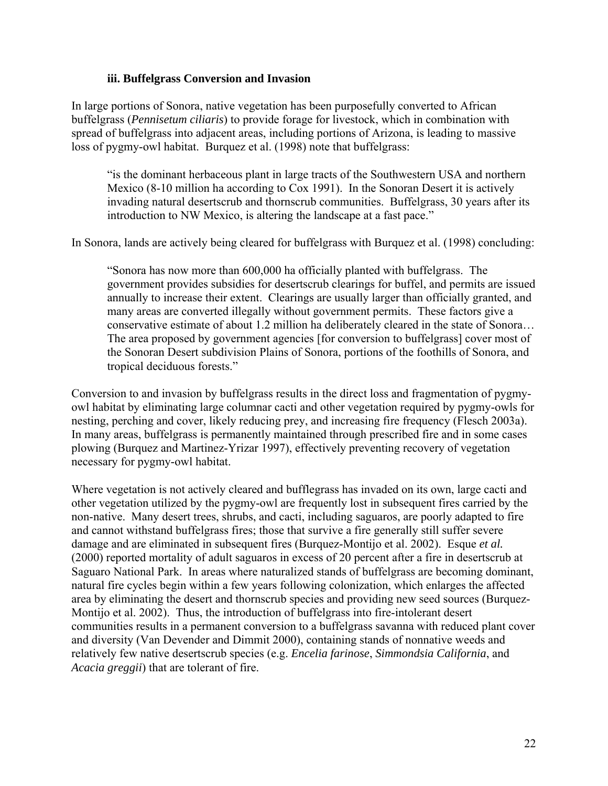#### **iii. Buffelgrass Conversion and Invasion**

In large portions of Sonora, native vegetation has been purposefully converted to African buffelgrass (*Pennisetum ciliaris*) to provide forage for livestock, which in combination with spread of buffelgrass into adjacent areas, including portions of Arizona, is leading to massive loss of pygmy-owl habitat. Burquez et al. (1998) note that buffelgrass:

"is the dominant herbaceous plant in large tracts of the Southwestern USA and northern Mexico (8-10 million ha according to Cox 1991). In the Sonoran Desert it is actively invading natural desertscrub and thornscrub communities. Buffelgrass, 30 years after its introduction to NW Mexico, is altering the landscape at a fast pace."

In Sonora, lands are actively being cleared for buffelgrass with Burquez et al. (1998) concluding:

"Sonora has now more than 600,000 ha officially planted with buffelgrass. The government provides subsidies for desertscrub clearings for buffel, and permits are issued annually to increase their extent. Clearings are usually larger than officially granted, and many areas are converted illegally without government permits. These factors give a conservative estimate of about 1.2 million ha deliberately cleared in the state of Sonora… The area proposed by government agencies [for conversion to buffelgrass] cover most of the Sonoran Desert subdivision Plains of Sonora, portions of the foothills of Sonora, and tropical deciduous forests."

Conversion to and invasion by buffelgrass results in the direct loss and fragmentation of pygmyowl habitat by eliminating large columnar cacti and other vegetation required by pygmy-owls for nesting, perching and cover, likely reducing prey, and increasing fire frequency (Flesch 2003a). In many areas, buffelgrass is permanently maintained through prescribed fire and in some cases plowing (Burquez and Martinez-Yrizar 1997), effectively preventing recovery of vegetation necessary for pygmy-owl habitat.

Where vegetation is not actively cleared and bufflegrass has invaded on its own, large cacti and other vegetation utilized by the pygmy-owl are frequently lost in subsequent fires carried by the non-native. Many desert trees, shrubs, and cacti, including saguaros, are poorly adapted to fire and cannot withstand buffelgrass fires; those that survive a fire generally still suffer severe damage and are eliminated in subsequent fires (Burquez-Montijo et al. 2002). Esque *et al.* (2000) reported mortality of adult saguaros in excess of 20 percent after a fire in desertscrub at Saguaro National Park. In areas where naturalized stands of buffelgrass are becoming dominant, natural fire cycles begin within a few years following colonization, which enlarges the affected area by eliminating the desert and thornscrub species and providing new seed sources (Burquez-Montijo et al. 2002). Thus, the introduction of buffelgrass into fire-intolerant desert communities results in a permanent conversion to a buffelgrass savanna with reduced plant cover and diversity (Van Devender and Dimmit 2000), containing stands of nonnative weeds and relatively few native desertscrub species (e.g. *Encelia farinose*, *Simmondsia California*, and *Acacia greggii*) that are tolerant of fire.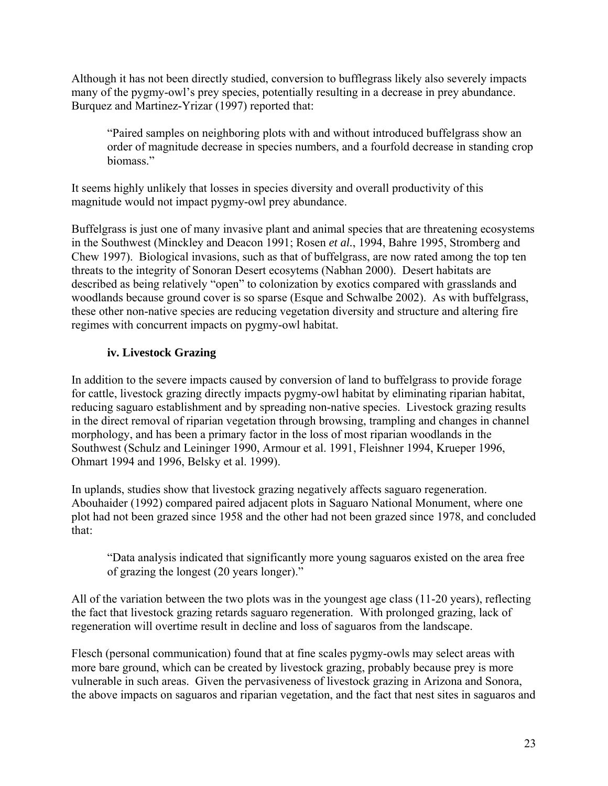Although it has not been directly studied, conversion to bufflegrass likely also severely impacts many of the pygmy-owl's prey species, potentially resulting in a decrease in prey abundance. Burquez and Martinez-Yrizar (1997) reported that:

"Paired samples on neighboring plots with and without introduced buffelgrass show an order of magnitude decrease in species numbers, and a fourfold decrease in standing crop biomass."

It seems highly unlikely that losses in species diversity and overall productivity of this magnitude would not impact pygmy-owl prey abundance.

Buffelgrass is just one of many invasive plant and animal species that are threatening ecosystems in the Southwest (Minckley and Deacon 1991; Rosen *et al.*, 1994, Bahre 1995, Stromberg and Chew 1997). Biological invasions, such as that of buffelgrass, are now rated among the top ten threats to the integrity of Sonoran Desert ecosytems (Nabhan 2000). Desert habitats are described as being relatively "open" to colonization by exotics compared with grasslands and woodlands because ground cover is so sparse (Esque and Schwalbe 2002). As with buffelgrass, these other non-native species are reducing vegetation diversity and structure and altering fire regimes with concurrent impacts on pygmy-owl habitat.

## **iv. Livestock Grazing**

In addition to the severe impacts caused by conversion of land to buffelgrass to provide forage for cattle, livestock grazing directly impacts pygmy-owl habitat by eliminating riparian habitat, reducing saguaro establishment and by spreading non-native species. Livestock grazing results in the direct removal of riparian vegetation through browsing, trampling and changes in channel morphology, and has been a primary factor in the loss of most riparian woodlands in the Southwest (Schulz and Leininger 1990, Armour et al. 1991, Fleishner 1994, Krueper 1996, Ohmart 1994 and 1996, Belsky et al. 1999).

In uplands, studies show that livestock grazing negatively affects saguaro regeneration. Abouhaider (1992) compared paired adjacent plots in Saguaro National Monument, where one plot had not been grazed since 1958 and the other had not been grazed since 1978, and concluded that:

"Data analysis indicated that significantly more young saguaros existed on the area free of grazing the longest (20 years longer)."

All of the variation between the two plots was in the youngest age class (11-20 years), reflecting the fact that livestock grazing retards saguaro regeneration. With prolonged grazing, lack of regeneration will overtime result in decline and loss of saguaros from the landscape.

Flesch (personal communication) found that at fine scales pygmy-owls may select areas with more bare ground, which can be created by livestock grazing, probably because prey is more vulnerable in such areas. Given the pervasiveness of livestock grazing in Arizona and Sonora, the above impacts on saguaros and riparian vegetation, and the fact that nest sites in saguaros and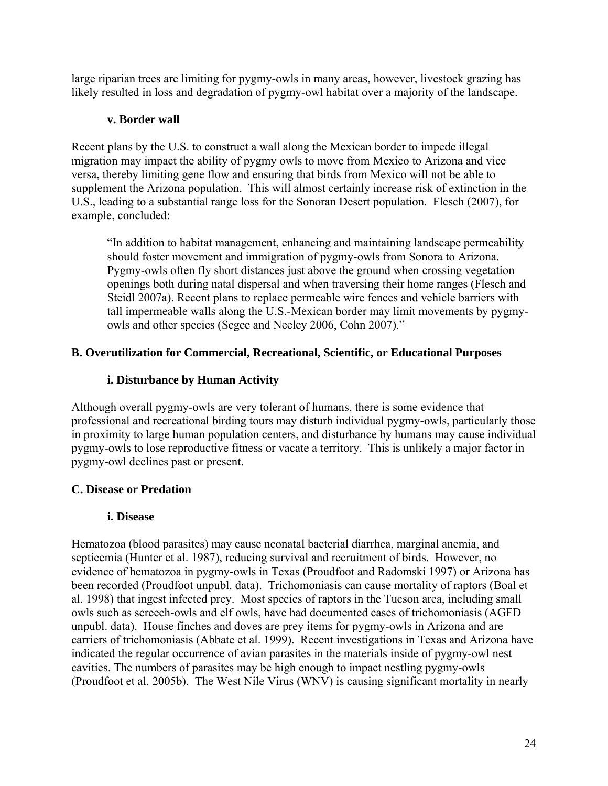large riparian trees are limiting for pygmy-owls in many areas, however, livestock grazing has likely resulted in loss and degradation of pygmy-owl habitat over a majority of the landscape.

### **v. Border wall**

Recent plans by the U.S. to construct a wall along the Mexican border to impede illegal migration may impact the ability of pygmy owls to move from Mexico to Arizona and vice versa, thereby limiting gene flow and ensuring that birds from Mexico will not be able to supplement the Arizona population. This will almost certainly increase risk of extinction in the U.S., leading to a substantial range loss for the Sonoran Desert population. Flesch (2007), for example, concluded:

"In addition to habitat management, enhancing and maintaining landscape permeability should foster movement and immigration of pygmy-owls from Sonora to Arizona. Pygmy-owls often fly short distances just above the ground when crossing vegetation openings both during natal dispersal and when traversing their home ranges (Flesch and Steidl 2007a). Recent plans to replace permeable wire fences and vehicle barriers with tall impermeable walls along the U.S.-Mexican border may limit movements by pygmyowls and other species (Segee and Neeley 2006, Cohn 2007)."

## **B. Overutilization for Commercial, Recreational, Scientific, or Educational Purposes**

## **i. Disturbance by Human Activity**

Although overall pygmy-owls are very tolerant of humans, there is some evidence that professional and recreational birding tours may disturb individual pygmy-owls, particularly those in proximity to large human population centers, and disturbance by humans may cause individual pygmy-owls to lose reproductive fitness or vacate a territory. This is unlikely a major factor in pygmy-owl declines past or present.

## **C. Disease or Predation**

#### **i. Disease**

Hematozoa (blood parasites) may cause neonatal bacterial diarrhea, marginal anemia, and septicemia (Hunter et al. 1987), reducing survival and recruitment of birds. However, no evidence of hematozoa in pygmy-owls in Texas (Proudfoot and Radomski 1997) or Arizona has been recorded (Proudfoot unpubl. data). Trichomoniasis can cause mortality of raptors (Boal et al. 1998) that ingest infected prey. Most species of raptors in the Tucson area, including small owls such as screech-owls and elf owls, have had documented cases of trichomoniasis (AGFD unpubl. data). House finches and doves are prey items for pygmy-owls in Arizona and are carriers of trichomoniasis (Abbate et al. 1999). Recent investigations in Texas and Arizona have indicated the regular occurrence of avian parasites in the materials inside of pygmy-owl nest cavities. The numbers of parasites may be high enough to impact nestling pygmy-owls (Proudfoot et al. 2005b). The West Nile Virus (WNV) is causing significant mortality in nearly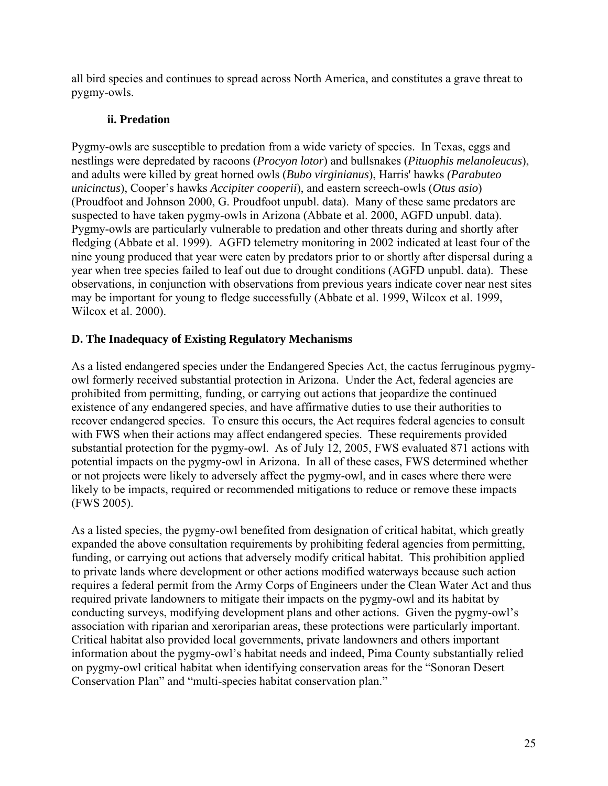all bird species and continues to spread across North America, and constitutes a grave threat to pygmy-owls.

## **ii. Predation**

Pygmy-owls are susceptible to predation from a wide variety of species. In Texas, eggs and nestlings were depredated by racoons (*Procyon lotor*) and bullsnakes (*Pituophis melanoleucus*), and adults were killed by great horned owls (*Bubo virginianus*), Harris' hawks *(Parabuteo unicinctus*), Cooper's hawks *Accipiter cooperii*), and eastern screech-owls (*Otus asio*) (Proudfoot and Johnson 2000, G. Proudfoot unpubl. data). Many of these same predators are suspected to have taken pygmy-owls in Arizona (Abbate et al. 2000, AGFD unpubl. data). Pygmy-owls are particularly vulnerable to predation and other threats during and shortly after fledging (Abbate et al. 1999). AGFD telemetry monitoring in 2002 indicated at least four of the nine young produced that year were eaten by predators prior to or shortly after dispersal during a year when tree species failed to leaf out due to drought conditions (AGFD unpubl. data). These observations, in conjunction with observations from previous years indicate cover near nest sites may be important for young to fledge successfully (Abbate et al. 1999, Wilcox et al. 1999, Wilcox et al. 2000).

## **D. The Inadequacy of Existing Regulatory Mechanisms**

As a listed endangered species under the Endangered Species Act, the cactus ferruginous pygmyowl formerly received substantial protection in Arizona. Under the Act, federal agencies are prohibited from permitting, funding, or carrying out actions that jeopardize the continued existence of any endangered species, and have affirmative duties to use their authorities to recover endangered species. To ensure this occurs, the Act requires federal agencies to consult with FWS when their actions may affect endangered species. These requirements provided substantial protection for the pygmy-owl. As of July 12, 2005, FWS evaluated 871 actions with potential impacts on the pygmy-owl in Arizona. In all of these cases, FWS determined whether or not projects were likely to adversely affect the pygmy-owl, and in cases where there were likely to be impacts, required or recommended mitigations to reduce or remove these impacts (FWS 2005).

As a listed species, the pygmy-owl benefited from designation of critical habitat, which greatly expanded the above consultation requirements by prohibiting federal agencies from permitting, funding, or carrying out actions that adversely modify critical habitat. This prohibition applied to private lands where development or other actions modified waterways because such action requires a federal permit from the Army Corps of Engineers under the Clean Water Act and thus required private landowners to mitigate their impacts on the pygmy-owl and its habitat by conducting surveys, modifying development plans and other actions. Given the pygmy-owl's association with riparian and xeroriparian areas, these protections were particularly important. Critical habitat also provided local governments, private landowners and others important information about the pygmy-owl's habitat needs and indeed, Pima County substantially relied on pygmy-owl critical habitat when identifying conservation areas for the "Sonoran Desert Conservation Plan" and "multi-species habitat conservation plan."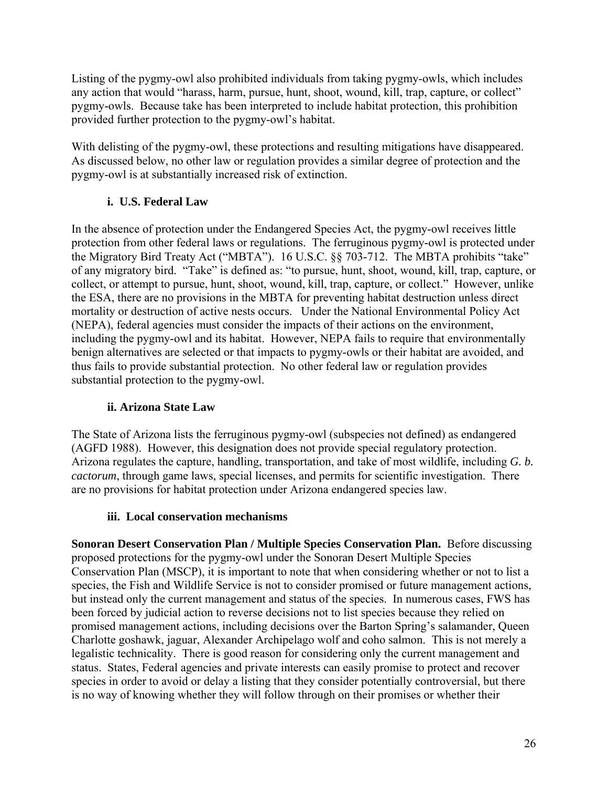Listing of the pygmy-owl also prohibited individuals from taking pygmy-owls, which includes any action that would "harass, harm, pursue, hunt, shoot, wound, kill, trap, capture, or collect" pygmy-owls. Because take has been interpreted to include habitat protection, this prohibition provided further protection to the pygmy-owl's habitat.

With delisting of the pygmy-owl, these protections and resulting mitigations have disappeared. As discussed below, no other law or regulation provides a similar degree of protection and the pygmy-owl is at substantially increased risk of extinction.

## **i. U.S. Federal Law**

In the absence of protection under the Endangered Species Act, the pygmy-owl receives little protection from other federal laws or regulations. The ferruginous pygmy-owl is protected under the Migratory Bird Treaty Act ("MBTA"). 16 U.S.C. §§ 703-712. The MBTA prohibits "take" of any migratory bird. "Take" is defined as: "to pursue, hunt, shoot, wound, kill, trap, capture, or collect, or attempt to pursue, hunt, shoot, wound, kill, trap, capture, or collect." However, unlike the ESA, there are no provisions in the MBTA for preventing habitat destruction unless direct mortality or destruction of active nests occurs.Under the National Environmental Policy Act (NEPA), federal agencies must consider the impacts of their actions on the environment, including the pygmy-owl and its habitat. However, NEPA fails to require that environmentally benign alternatives are selected or that impacts to pygmy-owls or their habitat are avoided, and thus fails to provide substantial protection. No other federal law or regulation provides substantial protection to the pygmy-owl.

## **ii. Arizona State Law**

The State of Arizona lists the ferruginous pygmy-owl (subspecies not defined) as endangered (AGFD 1988). However, this designation does not provide special regulatory protection. Arizona regulates the capture, handling, transportation, and take of most wildlife, including *G. b. cactorum*, through game laws, special licenses, and permits for scientific investigation. There are no provisions for habitat protection under Arizona endangered species law.

## **iii. Local conservation mechanisms**

**Sonoran Desert Conservation Plan / Multiple Species Conservation Plan.** Before discussing proposed protections for the pygmy-owl under the Sonoran Desert Multiple Species Conservation Plan (MSCP), it is important to note that when considering whether or not to list a species, the Fish and Wildlife Service is not to consider promised or future management actions, but instead only the current management and status of the species. In numerous cases, FWS has been forced by judicial action to reverse decisions not to list species because they relied on promised management actions, including decisions over the Barton Spring's salamander, Queen Charlotte goshawk, jaguar, Alexander Archipelago wolf and coho salmon. This is not merely a legalistic technicality. There is good reason for considering only the current management and status. States, Federal agencies and private interests can easily promise to protect and recover species in order to avoid or delay a listing that they consider potentially controversial, but there is no way of knowing whether they will follow through on their promises or whether their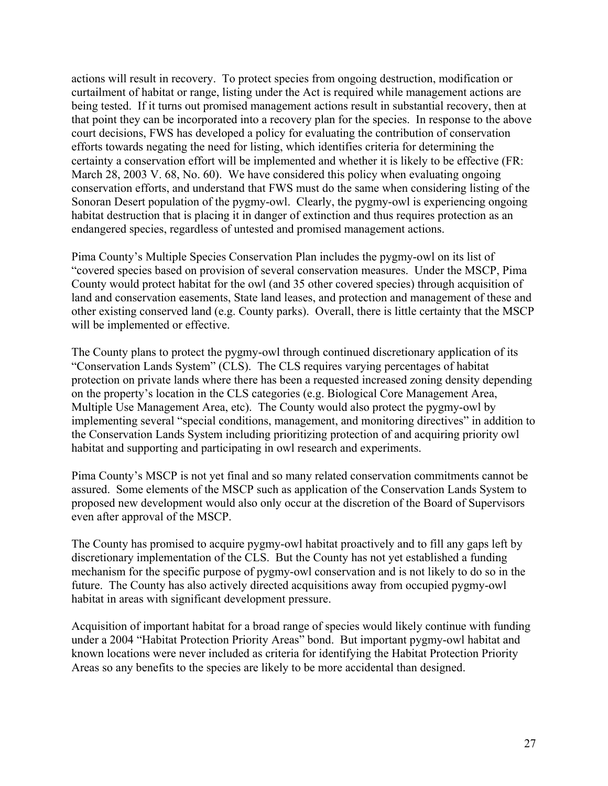actions will result in recovery. To protect species from ongoing destruction, modification or curtailment of habitat or range, listing under the Act is required while management actions are being tested. If it turns out promised management actions result in substantial recovery, then at that point they can be incorporated into a recovery plan for the species. In response to the above court decisions, FWS has developed a policy for evaluating the contribution of conservation efforts towards negating the need for listing, which identifies criteria for determining the certainty a conservation effort will be implemented and whether it is likely to be effective (FR: March 28, 2003 V. 68, No. 60). We have considered this policy when evaluating ongoing conservation efforts, and understand that FWS must do the same when considering listing of the Sonoran Desert population of the pygmy-owl. Clearly, the pygmy-owl is experiencing ongoing habitat destruction that is placing it in danger of extinction and thus requires protection as an endangered species, regardless of untested and promised management actions.

Pima County's Multiple Species Conservation Plan includes the pygmy-owl on its list of "covered species based on provision of several conservation measures. Under the MSCP, Pima County would protect habitat for the owl (and 35 other covered species) through acquisition of land and conservation easements, State land leases, and protection and management of these and other existing conserved land (e.g. County parks). Overall, there is little certainty that the MSCP will be implemented or effective.

The County plans to protect the pygmy-owl through continued discretionary application of its "Conservation Lands System" (CLS). The CLS requires varying percentages of habitat protection on private lands where there has been a requested increased zoning density depending on the property's location in the CLS categories (e.g. Biological Core Management Area, Multiple Use Management Area, etc). The County would also protect the pygmy-owl by implementing several "special conditions, management, and monitoring directives" in addition to the Conservation Lands System including prioritizing protection of and acquiring priority owl habitat and supporting and participating in owl research and experiments.

Pima County's MSCP is not yet final and so many related conservation commitments cannot be assured. Some elements of the MSCP such as application of the Conservation Lands System to proposed new development would also only occur at the discretion of the Board of Supervisors even after approval of the MSCP.

The County has promised to acquire pygmy-owl habitat proactively and to fill any gaps left by discretionary implementation of the CLS. But the County has not yet established a funding mechanism for the specific purpose of pygmy-owl conservation and is not likely to do so in the future. The County has also actively directed acquisitions away from occupied pygmy-owl habitat in areas with significant development pressure.

Acquisition of important habitat for a broad range of species would likely continue with funding under a 2004 "Habitat Protection Priority Areas" bond. But important pygmy-owl habitat and known locations were never included as criteria for identifying the Habitat Protection Priority Areas so any benefits to the species are likely to be more accidental than designed.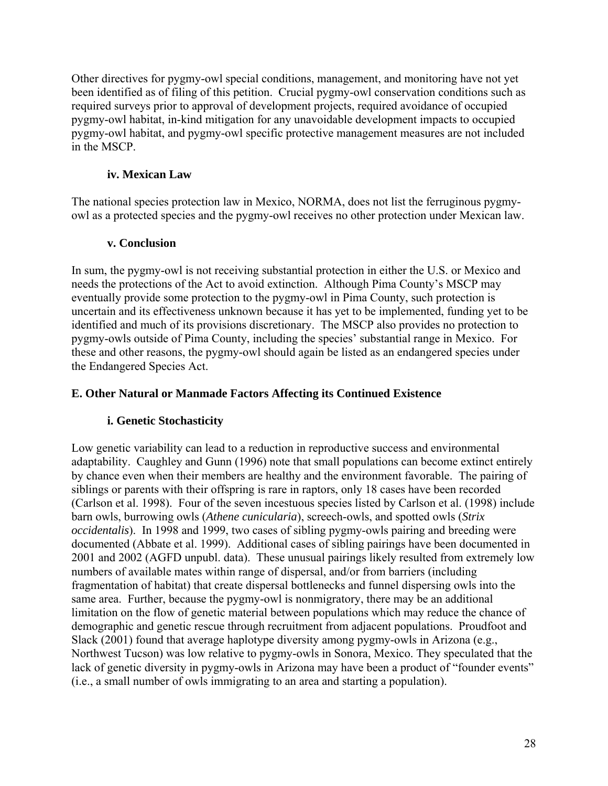Other directives for pygmy-owl special conditions, management, and monitoring have not yet been identified as of filing of this petition. Crucial pygmy-owl conservation conditions such as required surveys prior to approval of development projects, required avoidance of occupied pygmy-owl habitat, in-kind mitigation for any unavoidable development impacts to occupied pygmy-owl habitat, and pygmy-owl specific protective management measures are not included in the MSCP.

### **iv. Mexican Law**

The national species protection law in Mexico, NORMA, does not list the ferruginous pygmyowl as a protected species and the pygmy-owl receives no other protection under Mexican law.

## **v. Conclusion**

In sum, the pygmy-owl is not receiving substantial protection in either the U.S. or Mexico and needs the protections of the Act to avoid extinction. Although Pima County's MSCP may eventually provide some protection to the pygmy-owl in Pima County, such protection is uncertain and its effectiveness unknown because it has yet to be implemented, funding yet to be identified and much of its provisions discretionary. The MSCP also provides no protection to pygmy-owls outside of Pima County, including the species' substantial range in Mexico. For these and other reasons, the pygmy-owl should again be listed as an endangered species under the Endangered Species Act.

## **E. Other Natural or Manmade Factors Affecting its Continued Existence**

## **i. Genetic Stochasticity**

Low genetic variability can lead to a reduction in reproductive success and environmental adaptability. Caughley and Gunn (1996) note that small populations can become extinct entirely by chance even when their members are healthy and the environment favorable. The pairing of siblings or parents with their offspring is rare in raptors, only 18 cases have been recorded (Carlson et al. 1998). Four of the seven incestuous species listed by Carlson et al. (1998) include barn owls, burrowing owls (*Athene cunicularia*), screech-owls, and spotted owls (*Strix occidentalis*). In 1998 and 1999, two cases of sibling pygmy-owls pairing and breeding were documented (Abbate et al. 1999). Additional cases of sibling pairings have been documented in 2001 and 2002 (AGFD unpubl. data). These unusual pairings likely resulted from extremely low numbers of available mates within range of dispersal, and/or from barriers (including fragmentation of habitat) that create dispersal bottlenecks and funnel dispersing owls into the same area. Further, because the pygmy-owl is nonmigratory, there may be an additional limitation on the flow of genetic material between populations which may reduce the chance of demographic and genetic rescue through recruitment from adjacent populations. Proudfoot and Slack (2001) found that average haplotype diversity among pygmy-owls in Arizona (e.g., Northwest Tucson) was low relative to pygmy-owls in Sonora, Mexico. They speculated that the lack of genetic diversity in pygmy-owls in Arizona may have been a product of "founder events" (i.e., a small number of owls immigrating to an area and starting a population).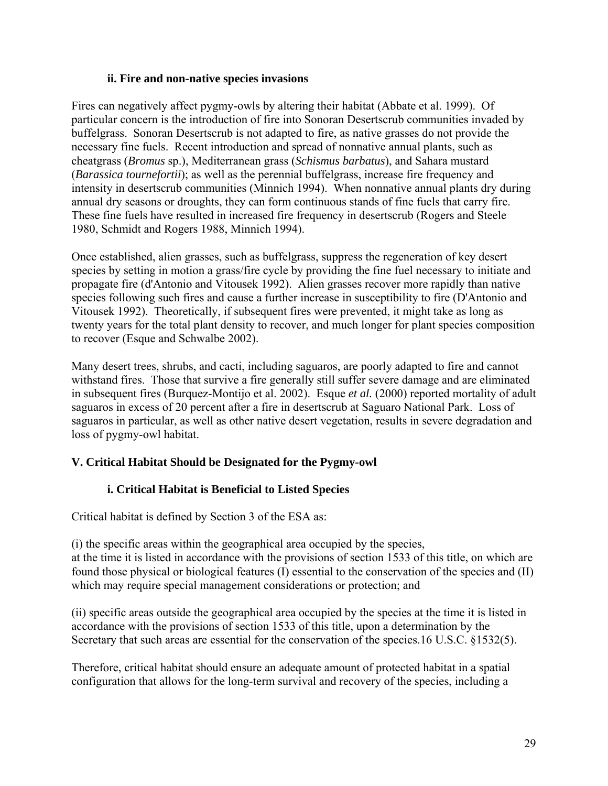#### **ii. Fire and non-native species invasions**

Fires can negatively affect pygmy-owls by altering their habitat (Abbate et al. 1999). Of particular concern is the introduction of fire into Sonoran Desertscrub communities invaded by buffelgrass. Sonoran Desertscrub is not adapted to fire, as native grasses do not provide the necessary fine fuels. Recent introduction and spread of nonnative annual plants, such as cheatgrass (*Bromus* sp.), Mediterranean grass (*Schismus barbatus*), and Sahara mustard (*Barassica tournefortii*); as well as the perennial buffelgrass, increase fire frequency and intensity in desertscrub communities (Minnich 1994). When nonnative annual plants dry during annual dry seasons or droughts, they can form continuous stands of fine fuels that carry fire. These fine fuels have resulted in increased fire frequency in desertscrub (Rogers and Steele 1980, Schmidt and Rogers 1988, Minnich 1994).

Once established, alien grasses, such as buffelgrass, suppress the regeneration of key desert species by setting in motion a grass/fire cycle by providing the fine fuel necessary to initiate and propagate fire (d'Antonio and Vitousek 1992). Alien grasses recover more rapidly than native species following such fires and cause a further increase in susceptibility to fire (D'Antonio and Vitousek 1992). Theoretically, if subsequent fires were prevented, it might take as long as twenty years for the total plant density to recover, and much longer for plant species composition to recover (Esque and Schwalbe 2002).

Many desert trees, shrubs, and cacti, including saguaros, are poorly adapted to fire and cannot withstand fires. Those that survive a fire generally still suffer severe damage and are eliminated in subsequent fires (Burquez-Montijo et al. 2002). Esque *et al.* (2000) reported mortality of adult saguaros in excess of 20 percent after a fire in desertscrub at Saguaro National Park. Loss of saguaros in particular, as well as other native desert vegetation, results in severe degradation and loss of pygmy-owl habitat.

## **V. Critical Habitat Should be Designated for the Pygmy-owl**

## **i. Critical Habitat is Beneficial to Listed Species**

Critical habitat is defined by Section 3 of the ESA as:

(i) the specific areas within the geographical area occupied by the species, at the time it is listed in accordance with the provisions of section 1533 of this title, on which are found those physical or biological features (I) essential to the conservation of the species and (II) which may require special management considerations or protection; and

(ii) specific areas outside the geographical area occupied by the species at the time it is listed in accordance with the provisions of section 1533 of this title, upon a determination by the Secretary that such areas are essential for the conservation of the species.16 U.S.C. §1532(5).

Therefore, critical habitat should ensure an adequate amount of protected habitat in a spatial configuration that allows for the long-term survival and recovery of the species, including a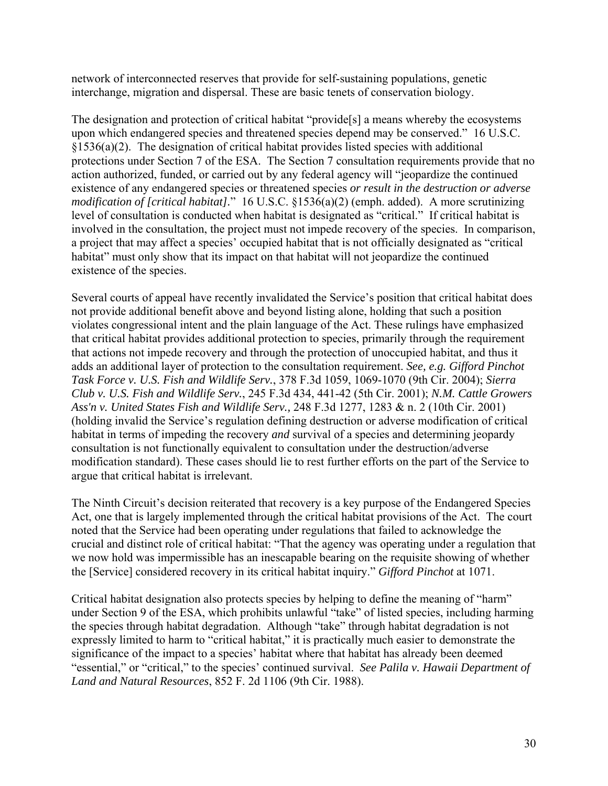network of interconnected reserves that provide for self-sustaining populations, genetic interchange, migration and dispersal. These are basic tenets of conservation biology.

The designation and protection of critical habitat "provide[s] a means whereby the ecosystems upon which endangered species and threatened species depend may be conserved." 16 U.S.C. §1536(a)(2). The designation of critical habitat provides listed species with additional protections under Section 7 of the ESA. The Section 7 consultation requirements provide that no action authorized, funded, or carried out by any federal agency will "jeopardize the continued existence of any endangered species or threatened species *or result in the destruction or adverse modification of [critical habitat].*" 16 U.S.C. §1536(a)(2) (emph. added). A more scrutinizing level of consultation is conducted when habitat is designated as "critical." If critical habitat is involved in the consultation, the project must not impede recovery of the species. In comparison, a project that may affect a species' occupied habitat that is not officially designated as "critical habitat" must only show that its impact on that habitat will not jeopardize the continued existence of the species.

Several courts of appeal have recently invalidated the Service's position that critical habitat does not provide additional benefit above and beyond listing alone, holding that such a position violates congressional intent and the plain language of the Act. These rulings have emphasized that critical habitat provides additional protection to species, primarily through the requirement that actions not impede recovery and through the protection of unoccupied habitat, and thus it adds an additional layer of protection to the consultation requirement. *See, e.g. Gifford Pinchot Task Force v. U.S. Fish and Wildlife Serv.*, 378 F.3d 1059, 1069-1070 (9th Cir. 2004); *Sierra Club v. U.S. Fish and Wildlife Serv.*, 245 F.3d 434, 441-42 (5th Cir. 2001); *N.M. Cattle Growers Ass'n v. United States Fish and Wildlife Serv.,* 248 F.3d 1277, 1283 & n. 2 (10th Cir. 2001) (holding invalid the Service's regulation defining destruction or adverse modification of critical habitat in terms of impeding the recovery *and* survival of a species and determining jeopardy consultation is not functionally equivalent to consultation under the destruction/adverse modification standard). These cases should lie to rest further efforts on the part of the Service to argue that critical habitat is irrelevant.

The Ninth Circuit's decision reiterated that recovery is a key purpose of the Endangered Species Act, one that is largely implemented through the critical habitat provisions of the Act. The court noted that the Service had been operating under regulations that failed to acknowledge the crucial and distinct role of critical habitat: "That the agency was operating under a regulation that we now hold was impermissible has an inescapable bearing on the requisite showing of whether the [Service] considered recovery in its critical habitat inquiry." *Gifford Pinchot* at 1071.

Critical habitat designation also protects species by helping to define the meaning of "harm" under Section 9 of the ESA, which prohibits unlawful "take" of listed species, including harming the species through habitat degradation. Although "take" through habitat degradation is not expressly limited to harm to "critical habitat," it is practically much easier to demonstrate the significance of the impact to a species' habitat where that habitat has already been deemed "essential," or "critical," to the species' continued survival. *See Palila v. Hawaii Department of Land and Natural Resources*, 852 F. 2d 1106 (9th Cir. 1988).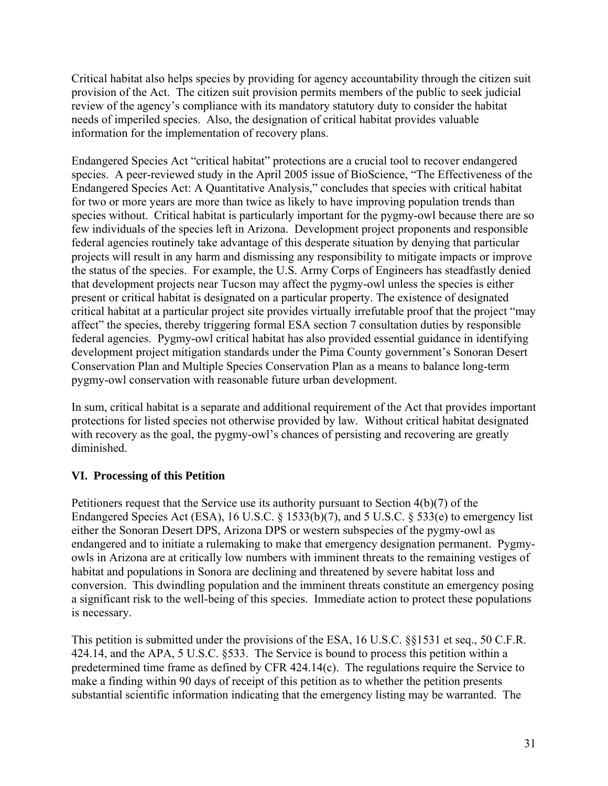Critical habitat also helps species by providing for agency accountability through the citizen suit provision of the Act. The citizen suit provision permits members of the public to seek judicial review of the agency's compliance with its mandatory statutory duty to consider the habitat needs of imperiled species. Also, the designation of critical habitat provides valuable information for the implementation of recovery plans.

Endangered Species Act "critical habitat" protections are a crucial tool to recover endangered species. A peer-reviewed study in the April 2005 issue of BioScience, "The Effectiveness of the Endangered Species Act: A Quantitative Analysis," concludes that species with critical habitat for two or more years are more than twice as likely to have improving population trends than species without. Critical habitat is particularly important for the pygmy-owl because there are so few individuals of the species left in Arizona. Development project proponents and responsible federal agencies routinely take advantage of this desperate situation by denying that particular projects will result in any harm and dismissing any responsibility to mitigate impacts or improve the status of the species. For example, the U.S. Army Corps of Engineers has steadfastly denied that development projects near Tucson may affect the pygmy-owl unless the species is either present or critical habitat is designated on a particular property. The existence of designated critical habitat at a particular project site provides virtually irrefutable proof that the project "may affect" the species, thereby triggering formal ESA section 7 consultation duties by responsible federal agencies. Pygmy-owl critical habitat has also provided essential guidance in identifying development project mitigation standards under the Pima County government's Sonoran Desert Conservation Plan and Multiple Species Conservation Plan as a means to balance long-term pygmy-owl conservation with reasonable future urban development.

In sum, critical habitat is a separate and additional requirement of the Act that provides important protections for listed species not otherwise provided by law. Without critical habitat designated with recovery as the goal, the pygmy-owl's chances of persisting and recovering are greatly diminished.

## **VI. Processing of this Petition**

Petitioners request that the Service use its authority pursuant to Section 4(b)(7) of the Endangered Species Act (ESA), 16 U.S.C. § 1533(b)(7), and 5 U.S.C. § 533(e) to emergency list either the Sonoran Desert DPS, Arizona DPS or western subspecies of the pygmy-owl as endangered and to initiate a rulemaking to make that emergency designation permanent. Pygmyowls in Arizona are at critically low numbers with imminent threats to the remaining vestiges of habitat and populations in Sonora are declining and threatened by severe habitat loss and conversion. This dwindling population and the imminent threats constitute an emergency posing a significant risk to the well-being of this species. Immediate action to protect these populations is necessary.

This petition is submitted under the provisions of the ESA, 16 U.S.C. §§1531 et seq., 50 C.F.R. 424.14, and the APA, 5 U.S.C. §533. The Service is bound to process this petition within a predetermined time frame as defined by CFR 424.14(c). The regulations require the Service to make a finding within 90 days of receipt of this petition as to whether the petition presents substantial scientific information indicating that the emergency listing may be warranted. The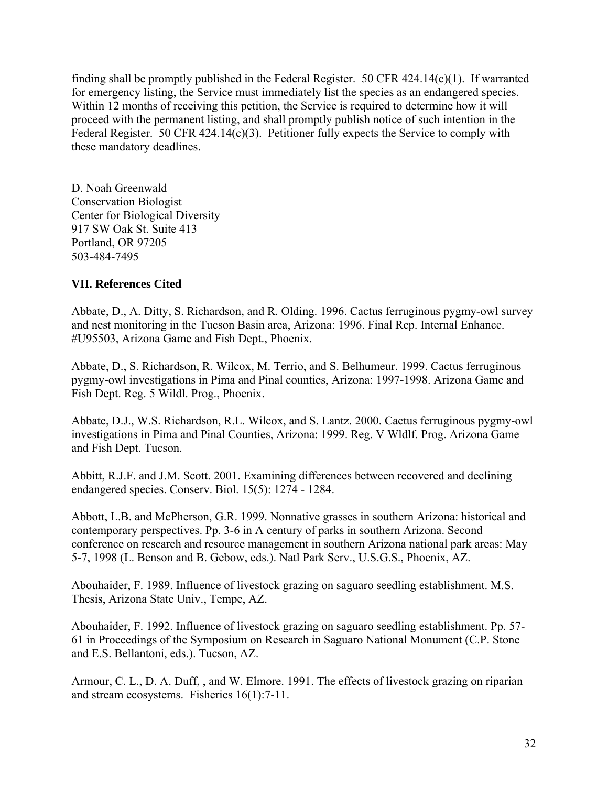finding shall be promptly published in the Federal Register. 50 CFR  $424.14(c)(1)$ . If warranted for emergency listing, the Service must immediately list the species as an endangered species. Within 12 months of receiving this petition, the Service is required to determine how it will proceed with the permanent listing, and shall promptly publish notice of such intention in the Federal Register. 50 CFR 424.14(c)(3). Petitioner fully expects the Service to comply with these mandatory deadlines.

D. Noah Greenwald Conservation Biologist Center for Biological Diversity 917 SW Oak St. Suite 413 Portland, OR 97205 503-484-7495

#### **VII. References Cited**

Abbate, D., A. Ditty, S. Richardson, and R. Olding. 1996. Cactus ferruginous pygmy-owl survey and nest monitoring in the Tucson Basin area, Arizona: 1996. Final Rep. Internal Enhance. #U95503, Arizona Game and Fish Dept., Phoenix.

Abbate, D., S. Richardson, R. Wilcox, M. Terrio, and S. Belhumeur. 1999. Cactus ferruginous pygmy-owl investigations in Pima and Pinal counties, Arizona: 1997-1998. Arizona Game and Fish Dept. Reg. 5 Wildl. Prog., Phoenix.

Abbate, D.J., W.S. Richardson, R.L. Wilcox, and S. Lantz. 2000. Cactus ferruginous pygmy-owl investigations in Pima and Pinal Counties, Arizona: 1999. Reg. V Wldlf. Prog. Arizona Game and Fish Dept. Tucson.

Abbitt, R.J.F. and J.M. Scott. 2001. Examining differences between recovered and declining endangered species. Conserv. Biol. 15(5): 1274 - 1284.

Abbott, L.B. and McPherson, G.R. 1999. Nonnative grasses in southern Arizona: historical and contemporary perspectives. Pp. 3-6 in A century of parks in southern Arizona. Second conference on research and resource management in southern Arizona national park areas: May 5-7, 1998 (L. Benson and B. Gebow, eds.). Natl Park Serv., U.S.G.S., Phoenix, AZ.

Abouhaider, F. 1989. Influence of livestock grazing on saguaro seedling establishment. M.S. Thesis, Arizona State Univ., Tempe, AZ.

Abouhaider, F. 1992. Influence of livestock grazing on saguaro seedling establishment. Pp. 57- 61 in Proceedings of the Symposium on Research in Saguaro National Monument (C.P. Stone and E.S. Bellantoni, eds.). Tucson, AZ.

Armour, C. L., D. A. Duff, , and W. Elmore. 1991. The effects of livestock grazing on riparian and stream ecosystems. Fisheries 16(1):7-11.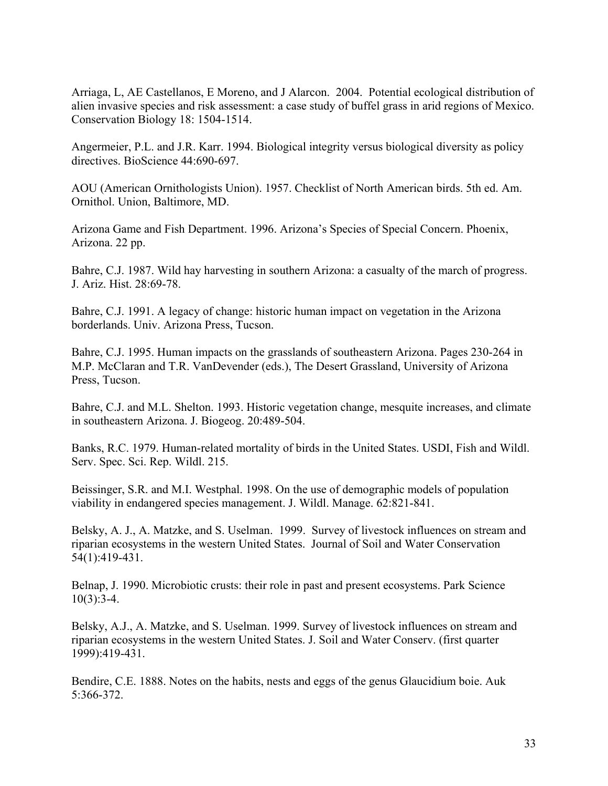Arriaga, L, AE Castellanos, E Moreno, and J Alarcon. 2004. Potential ecological distribution of alien invasive species and risk assessment: a case study of buffel grass in arid regions of Mexico. Conservation Biology 18: 1504-1514.

Angermeier, P.L. and J.R. Karr. 1994. Biological integrity versus biological diversity as policy directives. BioScience 44:690-697.

AOU (American Ornithologists Union). 1957. Checklist of North American birds. 5th ed. Am. Ornithol. Union, Baltimore, MD.

Arizona Game and Fish Department. 1996. Arizona's Species of Special Concern. Phoenix, Arizona. 22 pp.

Bahre, C.J. 1987. Wild hay harvesting in southern Arizona: a casualty of the march of progress. J. Ariz. Hist. 28:69-78.

Bahre, C.J. 1991. A legacy of change: historic human impact on vegetation in the Arizona borderlands. Univ. Arizona Press, Tucson.

Bahre, C.J. 1995. Human impacts on the grasslands of southeastern Arizona. Pages 230-264 in M.P. McClaran and T.R. VanDevender (eds.), The Desert Grassland, University of Arizona Press, Tucson.

Bahre, C.J. and M.L. Shelton. 1993. Historic vegetation change, mesquite increases, and climate in southeastern Arizona. J. Biogeog. 20:489-504.

Banks, R.C. 1979. Human-related mortality of birds in the United States. USDI, Fish and Wildl. Serv. Spec. Sci. Rep. Wildl. 215.

Beissinger, S.R. and M.I. Westphal. 1998. On the use of demographic models of population viability in endangered species management. J. Wildl. Manage. 62:821-841.

Belsky, A. J., A. Matzke, and S. Uselman. 1999. Survey of livestock influences on stream and riparian ecosystems in the western United States. Journal of Soil and Water Conservation 54(1):419-431.

Belnap, J. 1990. Microbiotic crusts: their role in past and present ecosystems. Park Science  $10(3):3-4.$ 

Belsky, A.J., A. Matzke, and S. Uselman. 1999. Survey of livestock influences on stream and riparian ecosystems in the western United States. J. Soil and Water Conserv. (first quarter 1999):419-431.

Bendire, C.E. 1888. Notes on the habits, nests and eggs of the genus Glaucidium boie. Auk 5:366-372.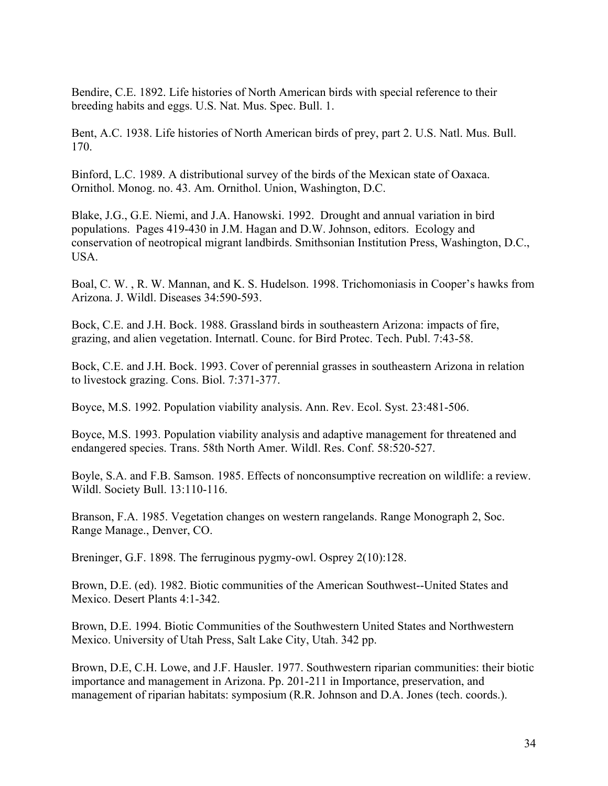Bendire, C.E. 1892. Life histories of North American birds with special reference to their breeding habits and eggs. U.S. Nat. Mus. Spec. Bull. 1.

Bent, A.C. 1938. Life histories of North American birds of prey, part 2. U.S. Natl. Mus. Bull. 170.

Binford, L.C. 1989. A distributional survey of the birds of the Mexican state of Oaxaca. Ornithol. Monog. no. 43. Am. Ornithol. Union, Washington, D.C.

Blake, J.G., G.E. Niemi, and J.A. Hanowski. 1992. Drought and annual variation in bird populations. Pages 419-430 in J.M. Hagan and D.W. Johnson, editors. Ecology and conservation of neotropical migrant landbirds. Smithsonian Institution Press, Washington, D.C., USA.

Boal, C. W. , R. W. Mannan, and K. S. Hudelson. 1998. Trichomoniasis in Cooper's hawks from Arizona. J. Wildl. Diseases 34:590-593.

Bock, C.E. and J.H. Bock. 1988. Grassland birds in southeastern Arizona: impacts of fire, grazing, and alien vegetation. Internatl. Counc. for Bird Protec. Tech. Publ. 7:43-58.

Bock, C.E. and J.H. Bock. 1993. Cover of perennial grasses in southeastern Arizona in relation to livestock grazing. Cons. Biol. 7:371-377.

Boyce, M.S. 1992. Population viability analysis. Ann. Rev. Ecol. Syst. 23:481-506.

Boyce, M.S. 1993. Population viability analysis and adaptive management for threatened and endangered species. Trans. 58th North Amer. Wildl. Res. Conf. 58:520-527.

Boyle, S.A. and F.B. Samson. 1985. Effects of nonconsumptive recreation on wildlife: a review. Wildl. Society Bull. 13:110-116.

Branson, F.A. 1985. Vegetation changes on western rangelands. Range Monograph 2, Soc. Range Manage., Denver, CO.

Breninger, G.F. 1898. The ferruginous pygmy-owl. Osprey 2(10):128.

Brown, D.E. (ed). 1982. Biotic communities of the American Southwest--United States and Mexico. Desert Plants 4:1-342.

Brown, D.E. 1994. Biotic Communities of the Southwestern United States and Northwestern Mexico. University of Utah Press, Salt Lake City, Utah. 342 pp.

Brown, D.E, C.H. Lowe, and J.F. Hausler. 1977. Southwestern riparian communities: their biotic importance and management in Arizona. Pp. 201-211 in Importance, preservation, and management of riparian habitats: symposium (R.R. Johnson and D.A. Jones (tech. coords.).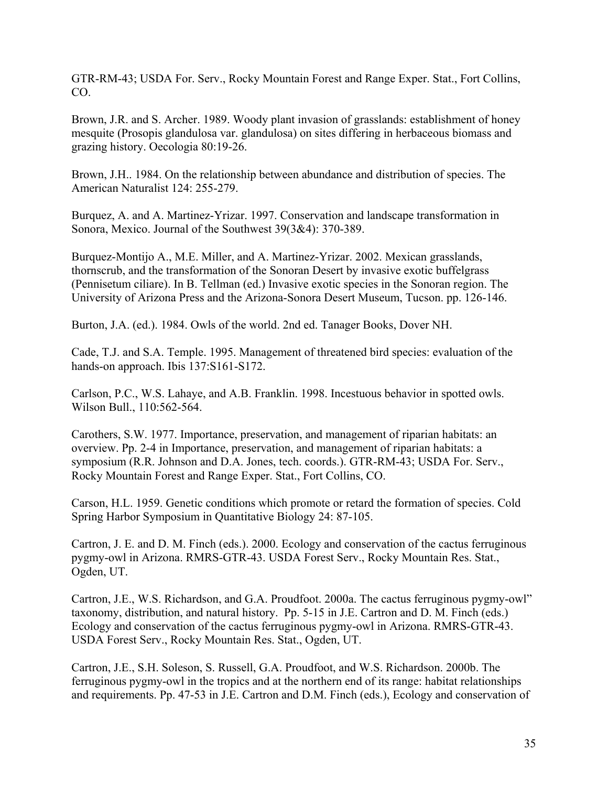GTR-RM-43; USDA For. Serv., Rocky Mountain Forest and Range Exper. Stat., Fort Collins, CO.

Brown, J.R. and S. Archer. 1989. Woody plant invasion of grasslands: establishment of honey mesquite (Prosopis glandulosa var. glandulosa) on sites differing in herbaceous biomass and grazing history. Oecologia 80:19-26.

Brown, J.H.. 1984. On the relationship between abundance and distribution of species. The American Naturalist 124: 255-279.

Burquez, A. and A. Martinez-Yrizar. 1997. Conservation and landscape transformation in Sonora, Mexico. Journal of the Southwest 39(3&4): 370-389.

Burquez-Montijo A., M.E. Miller, and A. Martinez-Yrizar. 2002. Mexican grasslands, thornscrub, and the transformation of the Sonoran Desert by invasive exotic buffelgrass (Pennisetum ciliare). In B. Tellman (ed.) Invasive exotic species in the Sonoran region. The University of Arizona Press and the Arizona-Sonora Desert Museum, Tucson. pp. 126-146.

Burton, J.A. (ed.). 1984. Owls of the world. 2nd ed. Tanager Books, Dover NH.

Cade, T.J. and S.A. Temple. 1995. Management of threatened bird species: evaluation of the hands-on approach. Ibis 137:S161-S172.

Carlson, P.C., W.S. Lahaye, and A.B. Franklin. 1998. Incestuous behavior in spotted owls. Wilson Bull., 110:562-564.

Carothers, S.W. 1977. Importance, preservation, and management of riparian habitats: an overview. Pp. 2-4 in Importance, preservation, and management of riparian habitats: a symposium (R.R. Johnson and D.A. Jones, tech. coords.). GTR-RM-43; USDA For. Serv., Rocky Mountain Forest and Range Exper. Stat., Fort Collins, CO.

Carson, H.L. 1959. Genetic conditions which promote or retard the formation of species. Cold Spring Harbor Symposium in Quantitative Biology 24: 87-105.

Cartron, J. E. and D. M. Finch (eds.). 2000. Ecology and conservation of the cactus ferruginous pygmy-owl in Arizona. RMRS-GTR-43. USDA Forest Serv., Rocky Mountain Res. Stat., Ogden, UT.

Cartron, J.E., W.S. Richardson, and G.A. Proudfoot. 2000a. The cactus ferruginous pygmy-owl" taxonomy, distribution, and natural history. Pp. 5-15 in J.E. Cartron and D. M. Finch (eds.) Ecology and conservation of the cactus ferruginous pygmy-owl in Arizona. RMRS-GTR-43. USDA Forest Serv., Rocky Mountain Res. Stat., Ogden, UT.

Cartron, J.E., S.H. Soleson, S. Russell, G.A. Proudfoot, and W.S. Richardson. 2000b. The ferruginous pygmy-owl in the tropics and at the northern end of its range: habitat relationships and requirements. Pp. 47-53 in J.E. Cartron and D.M. Finch (eds.), Ecology and conservation of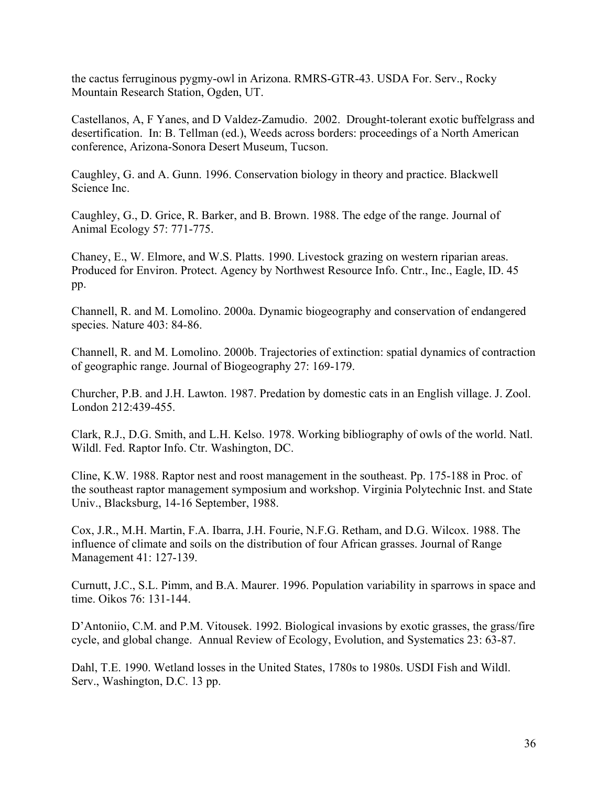the cactus ferruginous pygmy-owl in Arizona. RMRS-GTR-43. USDA For. Serv., Rocky Mountain Research Station, Ogden, UT.

Castellanos, A, F Yanes, and D Valdez-Zamudio. 2002. Drought-tolerant exotic buffelgrass and desertification. In: B. Tellman (ed.), Weeds across borders: proceedings of a North American conference, Arizona-Sonora Desert Museum, Tucson.

Caughley, G. and A. Gunn. 1996. Conservation biology in theory and practice. Blackwell Science Inc.

Caughley, G., D. Grice, R. Barker, and B. Brown. 1988. The edge of the range. Journal of Animal Ecology 57: 771-775.

Chaney, E., W. Elmore, and W.S. Platts. 1990. Livestock grazing on western riparian areas. Produced for Environ. Protect. Agency by Northwest Resource Info. Cntr., Inc., Eagle, ID. 45 pp.

Channell, R. and M. Lomolino. 2000a. Dynamic biogeography and conservation of endangered species. Nature 403: 84-86.

Channell, R. and M. Lomolino. 2000b. Trajectories of extinction: spatial dynamics of contraction of geographic range. Journal of Biogeography 27: 169-179.

Churcher, P.B. and J.H. Lawton. 1987. Predation by domestic cats in an English village. J. Zool. London 212:439-455.

Clark, R.J., D.G. Smith, and L.H. Kelso. 1978. Working bibliography of owls of the world. Natl. Wildl. Fed. Raptor Info. Ctr. Washington, DC.

Cline, K.W. 1988. Raptor nest and roost management in the southeast. Pp. 175-188 in Proc. of the southeast raptor management symposium and workshop. Virginia Polytechnic Inst. and State Univ., Blacksburg, 14-16 September, 1988.

Cox, J.R., M.H. Martin, F.A. Ibarra, J.H. Fourie, N.F.G. Retham, and D.G. Wilcox. 1988. The influence of climate and soils on the distribution of four African grasses. Journal of Range Management 41: 127-139.

Curnutt, J.C., S.L. Pimm, and B.A. Maurer. 1996. Population variability in sparrows in space and time. Oikos 76: 131-144.

D'Antoniio, C.M. and P.M. Vitousek. 1992. Biological invasions by exotic grasses, the grass/fire cycle, and global change. Annual Review of Ecology, Evolution, and Systematics 23: 63-87.

Dahl, T.E. 1990. Wetland losses in the United States, 1780s to 1980s. USDI Fish and Wildl. Serv., Washington, D.C. 13 pp.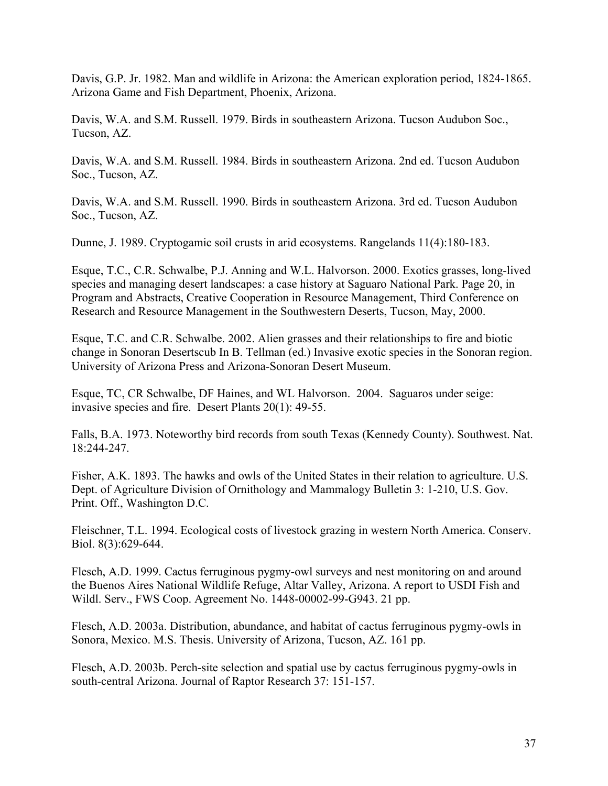Davis, G.P. Jr. 1982. Man and wildlife in Arizona: the American exploration period, 1824-1865. Arizona Game and Fish Department, Phoenix, Arizona.

Davis, W.A. and S.M. Russell. 1979. Birds in southeastern Arizona. Tucson Audubon Soc., Tucson, AZ.

Davis, W.A. and S.M. Russell. 1984. Birds in southeastern Arizona. 2nd ed. Tucson Audubon Soc., Tucson, AZ.

Davis, W.A. and S.M. Russell. 1990. Birds in southeastern Arizona. 3rd ed. Tucson Audubon Soc., Tucson, AZ.

Dunne, J. 1989. Cryptogamic soil crusts in arid ecosystems. Rangelands 11(4):180-183.

Esque, T.C., C.R. Schwalbe, P.J. Anning and W.L. Halvorson. 2000. Exotics grasses, long-lived species and managing desert landscapes: a case history at Saguaro National Park. Page 20, in Program and Abstracts, Creative Cooperation in Resource Management, Third Conference on Research and Resource Management in the Southwestern Deserts, Tucson, May, 2000.

Esque, T.C. and C.R. Schwalbe. 2002. Alien grasses and their relationships to fire and biotic change in Sonoran Desertscub In B. Tellman (ed.) Invasive exotic species in the Sonoran region. University of Arizona Press and Arizona-Sonoran Desert Museum.

Esque, TC, CR Schwalbe, DF Haines, and WL Halvorson. 2004. Saguaros under seige: invasive species and fire. Desert Plants 20(1): 49-55.

Falls, B.A. 1973. Noteworthy bird records from south Texas (Kennedy County). Southwest. Nat. 18:244-247.

Fisher, A.K. 1893. The hawks and owls of the United States in their relation to agriculture. U.S. Dept. of Agriculture Division of Ornithology and Mammalogy Bulletin 3: 1-210, U.S. Gov. Print. Off., Washington D.C.

Fleischner, T.L. 1994. Ecological costs of livestock grazing in western North America. Conserv. Biol. 8(3):629-644.

Flesch, A.D. 1999. Cactus ferruginous pygmy-owl surveys and nest monitoring on and around the Buenos Aires National Wildlife Refuge, Altar Valley, Arizona. A report to USDI Fish and Wildl. Serv., FWS Coop. Agreement No. 1448-00002-99-G943. 21 pp.

Flesch, A.D. 2003a. Distribution, abundance, and habitat of cactus ferruginous pygmy-owls in Sonora, Mexico. M.S. Thesis. University of Arizona, Tucson, AZ. 161 pp.

Flesch, A.D. 2003b. Perch-site selection and spatial use by cactus ferruginous pygmy-owls in south-central Arizona. Journal of Raptor Research 37: 151-157.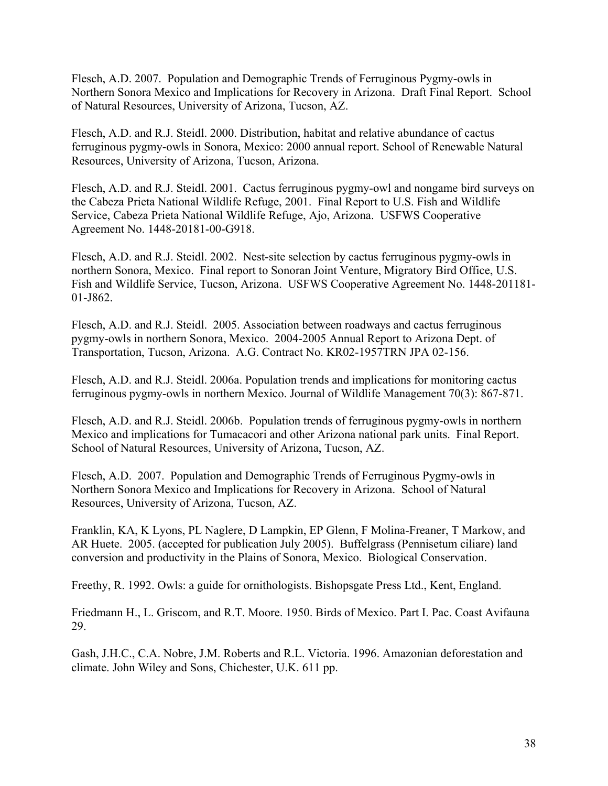Flesch, A.D. 2007. Population and Demographic Trends of Ferruginous Pygmy-owls in Northern Sonora Mexico and Implications for Recovery in Arizona. Draft Final Report. School of Natural Resources, University of Arizona, Tucson, AZ.

Flesch, A.D. and R.J. Steidl. 2000. Distribution, habitat and relative abundance of cactus ferruginous pygmy-owls in Sonora, Mexico: 2000 annual report. School of Renewable Natural Resources, University of Arizona, Tucson, Arizona.

Flesch, A.D. and R.J. Steidl. 2001. Cactus ferruginous pygmy-owl and nongame bird surveys on the Cabeza Prieta National Wildlife Refuge, 2001. Final Report to U.S. Fish and Wildlife Service, Cabeza Prieta National Wildlife Refuge, Ajo, Arizona. USFWS Cooperative Agreement No. 1448-20181-00-G918.

Flesch, A.D. and R.J. Steidl. 2002. Nest-site selection by cactus ferruginous pygmy-owls in northern Sonora, Mexico. Final report to Sonoran Joint Venture, Migratory Bird Office, U.S. Fish and Wildlife Service, Tucson, Arizona. USFWS Cooperative Agreement No. 1448-201181- 01-J862.

Flesch, A.D. and R.J. Steidl. 2005. Association between roadways and cactus ferruginous pygmy-owls in northern Sonora, Mexico. 2004-2005 Annual Report to Arizona Dept. of Transportation, Tucson, Arizona. A.G. Contract No. KR02-1957TRN JPA 02-156.

Flesch, A.D. and R.J. Steidl. 2006a. Population trends and implications for monitoring cactus ferruginous pygmy-owls in northern Mexico. Journal of Wildlife Management 70(3): 867-871.

Flesch, A.D. and R.J. Steidl. 2006b. Population trends of ferruginous pygmy-owls in northern Mexico and implications for Tumacacori and other Arizona national park units. Final Report. School of Natural Resources, University of Arizona, Tucson, AZ.

Flesch, A.D. 2007. Population and Demographic Trends of Ferruginous Pygmy-owls in Northern Sonora Mexico and Implications for Recovery in Arizona. School of Natural Resources, University of Arizona, Tucson, AZ.

Franklin, KA, K Lyons, PL Naglere, D Lampkin, EP Glenn, F Molina-Freaner, T Markow, and AR Huete. 2005. (accepted for publication July 2005). Buffelgrass (Pennisetum ciliare) land conversion and productivity in the Plains of Sonora, Mexico. Biological Conservation.

Freethy, R. 1992. Owls: a guide for ornithologists. Bishopsgate Press Ltd., Kent, England.

Friedmann H., L. Griscom, and R.T. Moore. 1950. Birds of Mexico. Part I. Pac. Coast Avifauna 29.

Gash, J.H.C., C.A. Nobre, J.M. Roberts and R.L. Victoria. 1996. Amazonian deforestation and climate. John Wiley and Sons, Chichester, U.K. 611 pp.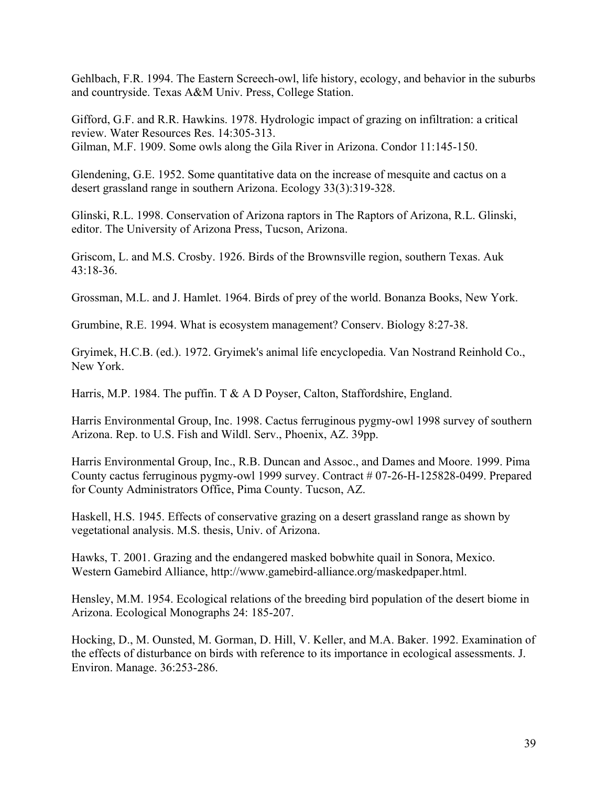Gehlbach, F.R. 1994. The Eastern Screech-owl, life history, ecology, and behavior in the suburbs and countryside. Texas A&M Univ. Press, College Station.

Gifford, G.F. and R.R. Hawkins. 1978. Hydrologic impact of grazing on infiltration: a critical review. Water Resources Res. 14:305-313. Gilman, M.F. 1909. Some owls along the Gila River in Arizona. Condor 11:145-150.

Glendening, G.E. 1952. Some quantitative data on the increase of mesquite and cactus on a desert grassland range in southern Arizona. Ecology 33(3):319-328.

Glinski, R.L. 1998. Conservation of Arizona raptors in The Raptors of Arizona, R.L. Glinski, editor. The University of Arizona Press, Tucson, Arizona.

Griscom, L. and M.S. Crosby. 1926. Birds of the Brownsville region, southern Texas. Auk  $43.18 - 36$ 

Grossman, M.L. and J. Hamlet. 1964. Birds of prey of the world. Bonanza Books, New York.

Grumbine, R.E. 1994. What is ecosystem management? Conserv. Biology 8:27-38.

Gryimek, H.C.B. (ed.). 1972. Gryimek's animal life encyclopedia. Van Nostrand Reinhold Co., New York.

Harris, M.P. 1984. The puffin. T  $\&$  A D Poyser, Calton, Staffordshire, England.

Harris Environmental Group, Inc. 1998. Cactus ferruginous pygmy-owl 1998 survey of southern Arizona. Rep. to U.S. Fish and Wildl. Serv., Phoenix, AZ. 39pp.

Harris Environmental Group, Inc., R.B. Duncan and Assoc., and Dames and Moore. 1999. Pima County cactus ferruginous pygmy-owl 1999 survey. Contract # 07-26-H-125828-0499. Prepared for County Administrators Office, Pima County. Tucson, AZ.

Haskell, H.S. 1945. Effects of conservative grazing on a desert grassland range as shown by vegetational analysis. M.S. thesis, Univ. of Arizona.

Hawks, T. 2001. Grazing and the endangered masked bobwhite quail in Sonora, Mexico. Western Gamebird Alliance, http://www.gamebird-alliance.org/maskedpaper.html.

Hensley, M.M. 1954. Ecological relations of the breeding bird population of the desert biome in Arizona. Ecological Monographs 24: 185-207.

Hocking, D., M. Ounsted, M. Gorman, D. Hill, V. Keller, and M.A. Baker. 1992. Examination of the effects of disturbance on birds with reference to its importance in ecological assessments. J. Environ. Manage. 36:253-286.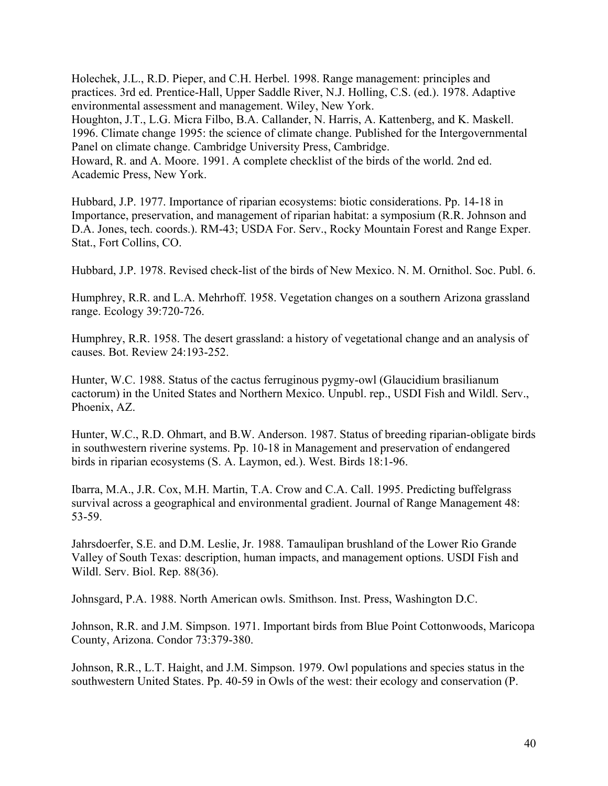Holechek, J.L., R.D. Pieper, and C.H. Herbel. 1998. Range management: principles and practices. 3rd ed. Prentice-Hall, Upper Saddle River, N.J. Holling, C.S. (ed.). 1978. Adaptive environmental assessment and management. Wiley, New York.

Houghton, J.T., L.G. Micra Filbo, B.A. Callander, N. Harris, A. Kattenberg, and K. Maskell. 1996. Climate change 1995: the science of climate change. Published for the Intergovernmental Panel on climate change. Cambridge University Press, Cambridge.

Howard, R. and A. Moore. 1991. A complete checklist of the birds of the world. 2nd ed. Academic Press, New York.

Hubbard, J.P. 1977. Importance of riparian ecosystems: biotic considerations. Pp. 14-18 in Importance, preservation, and management of riparian habitat: a symposium (R.R. Johnson and D.A. Jones, tech. coords.). RM-43; USDA For. Serv., Rocky Mountain Forest and Range Exper. Stat., Fort Collins, CO.

Hubbard, J.P. 1978. Revised check-list of the birds of New Mexico. N. M. Ornithol. Soc. Publ. 6.

Humphrey, R.R. and L.A. Mehrhoff. 1958. Vegetation changes on a southern Arizona grassland range. Ecology 39:720-726.

Humphrey, R.R. 1958. The desert grassland: a history of vegetational change and an analysis of causes. Bot. Review 24:193-252.

Hunter, W.C. 1988. Status of the cactus ferruginous pygmy-owl (Glaucidium brasilianum cactorum) in the United States and Northern Mexico. Unpubl. rep., USDI Fish and Wildl. Serv., Phoenix, AZ.

Hunter, W.C., R.D. Ohmart, and B.W. Anderson. 1987. Status of breeding riparian-obligate birds in southwestern riverine systems. Pp. 10-18 in Management and preservation of endangered birds in riparian ecosystems (S. A. Laymon, ed.). West. Birds 18:1-96.

Ibarra, M.A., J.R. Cox, M.H. Martin, T.A. Crow and C.A. Call. 1995. Predicting buffelgrass survival across a geographical and environmental gradient. Journal of Range Management 48: 53-59.

Jahrsdoerfer, S.E. and D.M. Leslie, Jr. 1988. Tamaulipan brushland of the Lower Rio Grande Valley of South Texas: description, human impacts, and management options. USDI Fish and Wildl. Serv. Biol. Rep. 88(36).

Johnsgard, P.A. 1988. North American owls. Smithson. Inst. Press, Washington D.C.

Johnson, R.R. and J.M. Simpson. 1971. Important birds from Blue Point Cottonwoods, Maricopa County, Arizona. Condor 73:379-380.

Johnson, R.R., L.T. Haight, and J.M. Simpson. 1979. Owl populations and species status in the southwestern United States. Pp. 40-59 in Owls of the west: their ecology and conservation (P.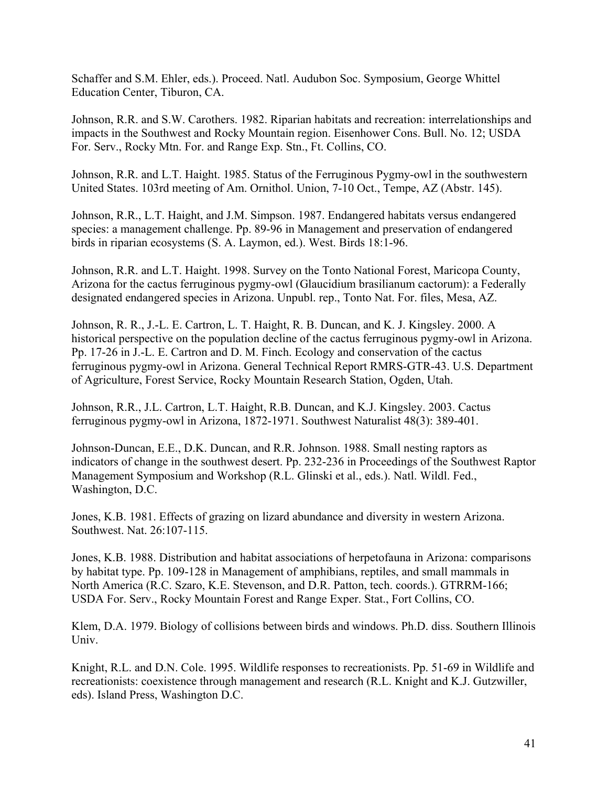Schaffer and S.M. Ehler, eds.). Proceed. Natl. Audubon Soc. Symposium, George Whittel Education Center, Tiburon, CA.

Johnson, R.R. and S.W. Carothers. 1982. Riparian habitats and recreation: interrelationships and impacts in the Southwest and Rocky Mountain region. Eisenhower Cons. Bull. No. 12; USDA For. Serv., Rocky Mtn. For. and Range Exp. Stn., Ft. Collins, CO.

Johnson, R.R. and L.T. Haight. 1985. Status of the Ferruginous Pygmy-owl in the southwestern United States. 103rd meeting of Am. Ornithol. Union, 7-10 Oct., Tempe, AZ (Abstr. 145).

Johnson, R.R., L.T. Haight, and J.M. Simpson. 1987. Endangered habitats versus endangered species: a management challenge. Pp. 89-96 in Management and preservation of endangered birds in riparian ecosystems (S. A. Laymon, ed.). West. Birds 18:1-96.

Johnson, R.R. and L.T. Haight. 1998. Survey on the Tonto National Forest, Maricopa County, Arizona for the cactus ferruginous pygmy-owl (Glaucidium brasilianum cactorum): a Federally designated endangered species in Arizona. Unpubl. rep., Tonto Nat. For. files, Mesa, AZ.

Johnson, R. R., J.-L. E. Cartron, L. T. Haight, R. B. Duncan, and K. J. Kingsley. 2000. A historical perspective on the population decline of the cactus ferruginous pygmy-owl in Arizona. Pp. 17-26 in J.-L. E. Cartron and D. M. Finch. Ecology and conservation of the cactus ferruginous pygmy-owl in Arizona. General Technical Report RMRS-GTR-43. U.S. Department of Agriculture, Forest Service, Rocky Mountain Research Station, Ogden, Utah.

Johnson, R.R., J.L. Cartron, L.T. Haight, R.B. Duncan, and K.J. Kingsley. 2003. Cactus ferruginous pygmy-owl in Arizona, 1872-1971. Southwest Naturalist 48(3): 389-401.

Johnson-Duncan, E.E., D.K. Duncan, and R.R. Johnson. 1988. Small nesting raptors as indicators of change in the southwest desert. Pp. 232-236 in Proceedings of the Southwest Raptor Management Symposium and Workshop (R.L. Glinski et al., eds.). Natl. Wildl. Fed., Washington, D.C.

Jones, K.B. 1981. Effects of grazing on lizard abundance and diversity in western Arizona. Southwest. Nat. 26:107-115.

Jones, K.B. 1988. Distribution and habitat associations of herpetofauna in Arizona: comparisons by habitat type. Pp. 109-128 in Management of amphibians, reptiles, and small mammals in North America (R.C. Szaro, K.E. Stevenson, and D.R. Patton, tech. coords.). GTRRM-166; USDA For. Serv., Rocky Mountain Forest and Range Exper. Stat., Fort Collins, CO.

Klem, D.A. 1979. Biology of collisions between birds and windows. Ph.D. diss. Southern Illinois Univ.

Knight, R.L. and D.N. Cole. 1995. Wildlife responses to recreationists. Pp. 51-69 in Wildlife and recreationists: coexistence through management and research (R.L. Knight and K.J. Gutzwiller, eds). Island Press, Washington D.C.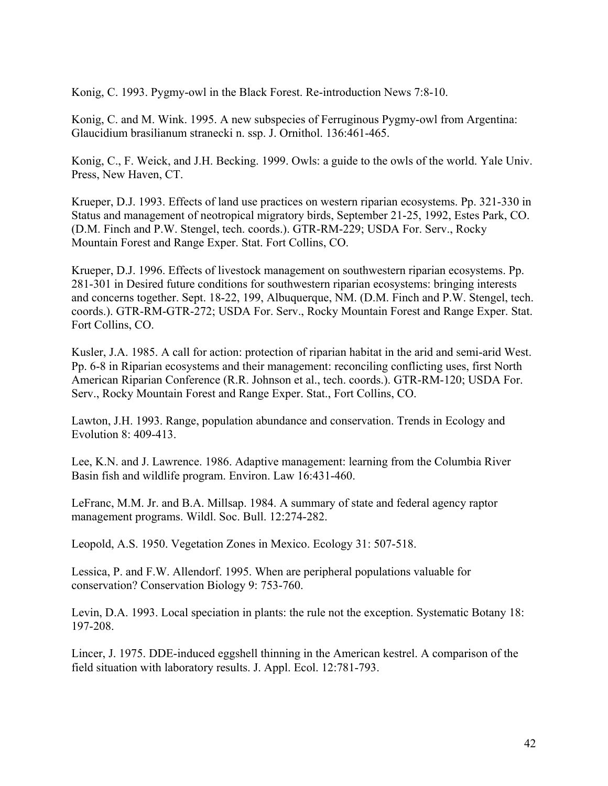Konig, C. 1993. Pygmy-owl in the Black Forest. Re-introduction News 7:8-10.

Konig, C. and M. Wink. 1995. A new subspecies of Ferruginous Pygmy-owl from Argentina: Glaucidium brasilianum stranecki n. ssp. J. Ornithol. 136:461-465.

Konig, C., F. Weick, and J.H. Becking. 1999. Owls: a guide to the owls of the world. Yale Univ. Press, New Haven, CT.

Krueper, D.J. 1993. Effects of land use practices on western riparian ecosystems. Pp. 321-330 in Status and management of neotropical migratory birds, September 21-25, 1992, Estes Park, CO. (D.M. Finch and P.W. Stengel, tech. coords.). GTR-RM-229; USDA For. Serv., Rocky Mountain Forest and Range Exper. Stat. Fort Collins, CO.

Krueper, D.J. 1996. Effects of livestock management on southwestern riparian ecosystems. Pp. 281-301 in Desired future conditions for southwestern riparian ecosystems: bringing interests and concerns together. Sept. 18-22, 199, Albuquerque, NM. (D.M. Finch and P.W. Stengel, tech. coords.). GTR-RM-GTR-272; USDA For. Serv., Rocky Mountain Forest and Range Exper. Stat. Fort Collins, CO.

Kusler, J.A. 1985. A call for action: protection of riparian habitat in the arid and semi-arid West. Pp. 6-8 in Riparian ecosystems and their management: reconciling conflicting uses, first North American Riparian Conference (R.R. Johnson et al., tech. coords.). GTR-RM-120; USDA For. Serv., Rocky Mountain Forest and Range Exper. Stat., Fort Collins, CO.

Lawton, J.H. 1993. Range, population abundance and conservation. Trends in Ecology and Evolution 8: 409-413.

Lee, K.N. and J. Lawrence. 1986. Adaptive management: learning from the Columbia River Basin fish and wildlife program. Environ. Law 16:431-460.

LeFranc, M.M. Jr. and B.A. Millsap. 1984. A summary of state and federal agency raptor management programs. Wildl. Soc. Bull. 12:274-282.

Leopold, A.S. 1950. Vegetation Zones in Mexico. Ecology 31: 507-518.

Lessica, P. and F.W. Allendorf. 1995. When are peripheral populations valuable for conservation? Conservation Biology 9: 753-760.

Levin, D.A. 1993. Local speciation in plants: the rule not the exception. Systematic Botany 18: 197-208.

Lincer, J. 1975. DDE-induced eggshell thinning in the American kestrel. A comparison of the field situation with laboratory results. J. Appl. Ecol. 12:781-793.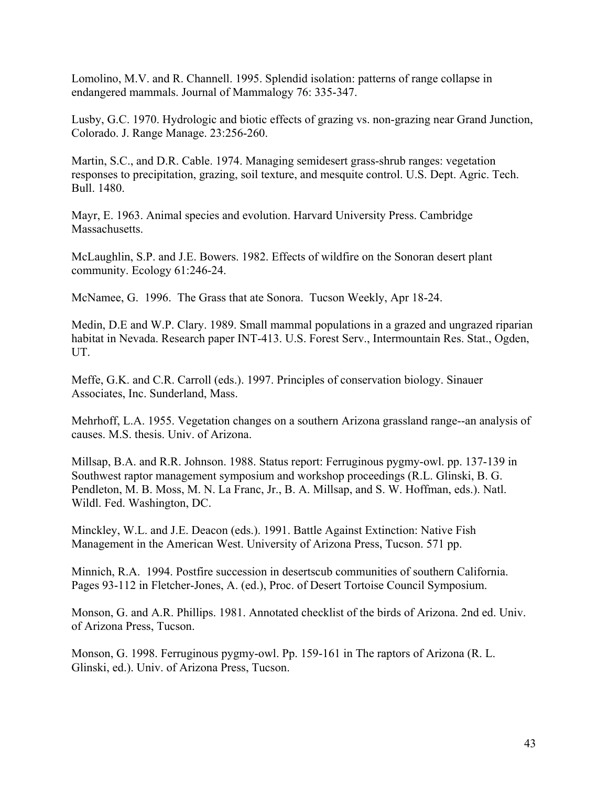Lomolino, M.V. and R. Channell. 1995. Splendid isolation: patterns of range collapse in endangered mammals. Journal of Mammalogy 76: 335-347.

Lusby, G.C. 1970. Hydrologic and biotic effects of grazing vs. non-grazing near Grand Junction, Colorado. J. Range Manage. 23:256-260.

Martin, S.C., and D.R. Cable. 1974. Managing semidesert grass-shrub ranges: vegetation responses to precipitation, grazing, soil texture, and mesquite control. U.S. Dept. Agric. Tech. Bull. 1480.

Mayr, E. 1963. Animal species and evolution. Harvard University Press. Cambridge Massachusetts.

McLaughlin, S.P. and J.E. Bowers. 1982. Effects of wildfire on the Sonoran desert plant community. Ecology 61:246-24.

McNamee, G. 1996. The Grass that ate Sonora. Tucson Weekly, Apr 18-24.

Medin, D.E and W.P. Clary. 1989. Small mammal populations in a grazed and ungrazed riparian habitat in Nevada. Research paper INT-413. U.S. Forest Serv., Intermountain Res. Stat., Ogden, UT.

Meffe, G.K. and C.R. Carroll (eds.). 1997. Principles of conservation biology. Sinauer Associates, Inc. Sunderland, Mass.

Mehrhoff, L.A. 1955. Vegetation changes on a southern Arizona grassland range--an analysis of causes. M.S. thesis. Univ. of Arizona.

Millsap, B.A. and R.R. Johnson. 1988. Status report: Ferruginous pygmy-owl. pp. 137-139 in Southwest raptor management symposium and workshop proceedings (R.L. Glinski, B. G. Pendleton, M. B. Moss, M. N. La Franc, Jr., B. A. Millsap, and S. W. Hoffman, eds.). Natl. Wildl. Fed. Washington, DC.

Minckley, W.L. and J.E. Deacon (eds.). 1991. Battle Against Extinction: Native Fish Management in the American West. University of Arizona Press, Tucson. 571 pp.

Minnich, R.A. 1994. Postfire succession in desertscub communities of southern California. Pages 93-112 in Fletcher-Jones, A. (ed.), Proc. of Desert Tortoise Council Symposium.

Monson, G. and A.R. Phillips. 1981. Annotated checklist of the birds of Arizona. 2nd ed. Univ. of Arizona Press, Tucson.

Monson, G. 1998. Ferruginous pygmy-owl. Pp. 159-161 in The raptors of Arizona (R. L. Glinski, ed.). Univ. of Arizona Press, Tucson.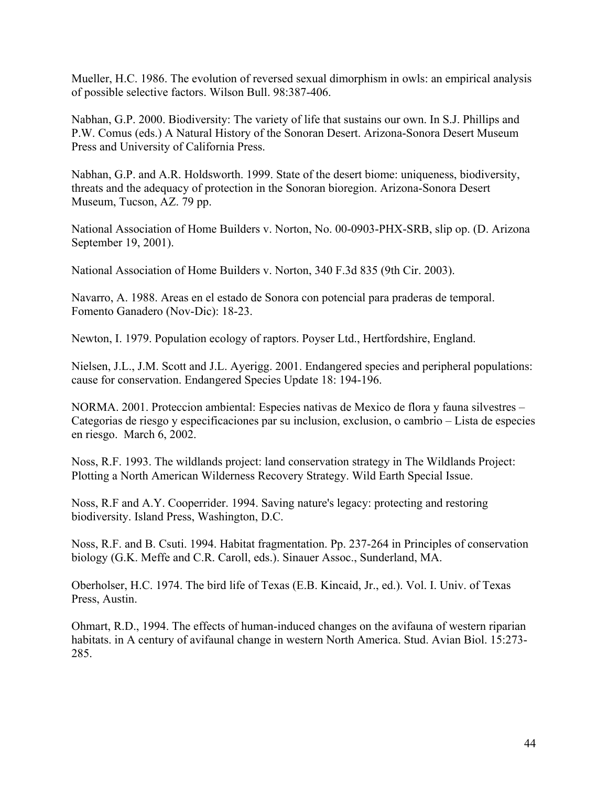Mueller, H.C. 1986. The evolution of reversed sexual dimorphism in owls: an empirical analysis of possible selective factors. Wilson Bull. 98:387-406.

Nabhan, G.P. 2000. Biodiversity: The variety of life that sustains our own. In S.J. Phillips and P.W. Comus (eds.) A Natural History of the Sonoran Desert. Arizona-Sonora Desert Museum Press and University of California Press.

Nabhan, G.P. and A.R. Holdsworth. 1999. State of the desert biome: uniqueness, biodiversity, threats and the adequacy of protection in the Sonoran bioregion. Arizona-Sonora Desert Museum, Tucson, AZ. 79 pp.

National Association of Home Builders v. Norton, No. 00-0903-PHX-SRB, slip op. (D. Arizona September 19, 2001).

National Association of Home Builders v. Norton, 340 F.3d 835 (9th Cir. 2003).

Navarro, A. 1988. Areas en el estado de Sonora con potencial para praderas de temporal. Fomento Ganadero (Nov-Dic): 18-23.

Newton, I. 1979. Population ecology of raptors. Poyser Ltd., Hertfordshire, England.

Nielsen, J.L., J.M. Scott and J.L. Ayerigg. 2001. Endangered species and peripheral populations: cause for conservation. Endangered Species Update 18: 194-196.

NORMA. 2001. Proteccion ambiental: Especies nativas de Mexico de flora y fauna silvestres – Categorias de riesgo y especificaciones par su inclusion, exclusion, o cambrio – Lista de especies en riesgo. March 6, 2002.

Noss, R.F. 1993. The wildlands project: land conservation strategy in The Wildlands Project: Plotting a North American Wilderness Recovery Strategy. Wild Earth Special Issue.

Noss, R.F and A.Y. Cooperrider. 1994. Saving nature's legacy: protecting and restoring biodiversity. Island Press, Washington, D.C.

Noss, R.F. and B. Csuti. 1994. Habitat fragmentation. Pp. 237-264 in Principles of conservation biology (G.K. Meffe and C.R. Caroll, eds.). Sinauer Assoc., Sunderland, MA.

Oberholser, H.C. 1974. The bird life of Texas (E.B. Kincaid, Jr., ed.). Vol. I. Univ. of Texas Press, Austin.

Ohmart, R.D., 1994. The effects of human-induced changes on the avifauna of western riparian habitats. in A century of avifaunal change in western North America. Stud. Avian Biol. 15:273- 285.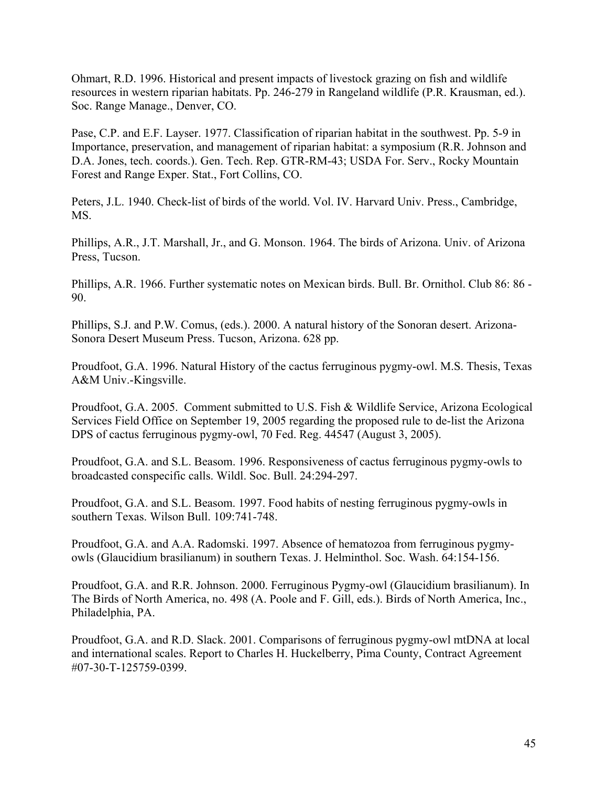Ohmart, R.D. 1996. Historical and present impacts of livestock grazing on fish and wildlife resources in western riparian habitats. Pp. 246-279 in Rangeland wildlife (P.R. Krausman, ed.). Soc. Range Manage., Denver, CO.

Pase, C.P. and E.F. Layser. 1977. Classification of riparian habitat in the southwest. Pp. 5-9 in Importance, preservation, and management of riparian habitat: a symposium (R.R. Johnson and D.A. Jones, tech. coords.). Gen. Tech. Rep. GTR-RM-43; USDA For. Serv., Rocky Mountain Forest and Range Exper. Stat., Fort Collins, CO.

Peters, J.L. 1940. Check-list of birds of the world. Vol. IV. Harvard Univ. Press., Cambridge, MS.

Phillips, A.R., J.T. Marshall, Jr., and G. Monson. 1964. The birds of Arizona. Univ. of Arizona Press, Tucson.

Phillips, A.R. 1966. Further systematic notes on Mexican birds. Bull. Br. Ornithol. Club 86: 86 - 90.

Phillips, S.J. and P.W. Comus, (eds.). 2000. A natural history of the Sonoran desert. Arizona-Sonora Desert Museum Press. Tucson, Arizona. 628 pp.

Proudfoot, G.A. 1996. Natural History of the cactus ferruginous pygmy-owl. M.S. Thesis, Texas A&M Univ.-Kingsville.

Proudfoot, G.A. 2005. Comment submitted to U.S. Fish & Wildlife Service, Arizona Ecological Services Field Office on September 19, 2005 regarding the proposed rule to de-list the Arizona DPS of cactus ferruginous pygmy-owl, 70 Fed. Reg. 44547 (August 3, 2005).

Proudfoot, G.A. and S.L. Beasom. 1996. Responsiveness of cactus ferruginous pygmy-owls to broadcasted conspecific calls. Wildl. Soc. Bull. 24:294-297.

Proudfoot, G.A. and S.L. Beasom. 1997. Food habits of nesting ferruginous pygmy-owls in southern Texas. Wilson Bull. 109:741-748.

Proudfoot, G.A. and A.A. Radomski. 1997. Absence of hematozoa from ferruginous pygmyowls (Glaucidium brasilianum) in southern Texas. J. Helminthol. Soc. Wash. 64:154-156.

Proudfoot, G.A. and R.R. Johnson. 2000. Ferruginous Pygmy-owl (Glaucidium brasilianum). In The Birds of North America, no. 498 (A. Poole and F. Gill, eds.). Birds of North America, Inc., Philadelphia, PA.

Proudfoot, G.A. and R.D. Slack. 2001. Comparisons of ferruginous pygmy-owl mtDNA at local and international scales. Report to Charles H. Huckelberry, Pima County, Contract Agreement #07-30-T-125759-0399.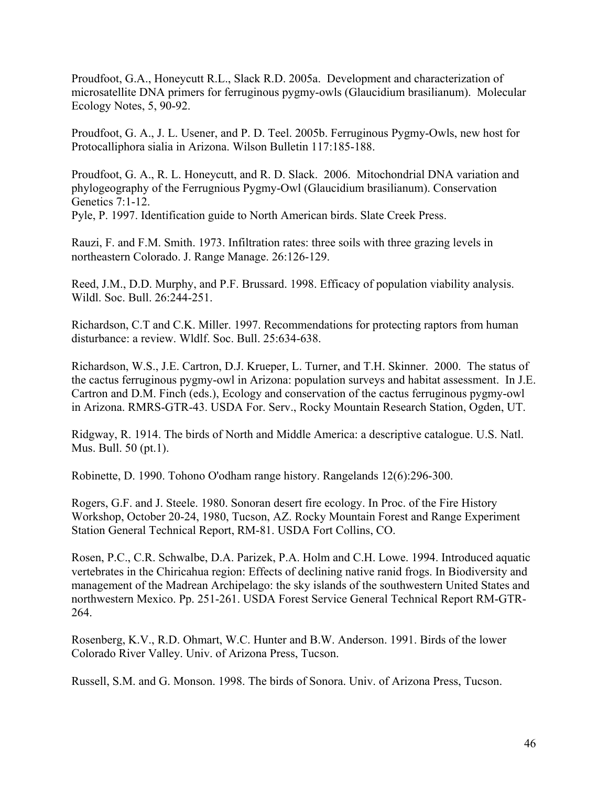Proudfoot, G.A., Honeycutt R.L., Slack R.D. 2005a. Development and characterization of microsatellite DNA primers for ferruginous pygmy-owls (Glaucidium brasilianum). Molecular Ecology Notes, 5, 90-92.

Proudfoot, G. A., J. L. Usener, and P. D. Teel. 2005b. Ferruginous Pygmy-Owls, new host for Protocalliphora sialia in Arizona. Wilson Bulletin 117:185-188.

Proudfoot, G. A., R. L. Honeycutt, and R. D. Slack. 2006. Mitochondrial DNA variation and phylogeography of the Ferrugnious Pygmy-Owl (Glaucidium brasilianum). Conservation Genetics 7:1-12.

Pyle, P. 1997. Identification guide to North American birds. Slate Creek Press.

Rauzi, F. and F.M. Smith. 1973. Infiltration rates: three soils with three grazing levels in northeastern Colorado. J. Range Manage. 26:126-129.

Reed, J.M., D.D. Murphy, and P.F. Brussard. 1998. Efficacy of population viability analysis. Wildl. Soc. Bull. 26:244-251.

Richardson, C.T and C.K. Miller. 1997. Recommendations for protecting raptors from human disturbance: a review. Wldlf. Soc. Bull. 25:634-638.

Richardson, W.S., J.E. Cartron, D.J. Krueper, L. Turner, and T.H. Skinner. 2000. The status of the cactus ferruginous pygmy-owl in Arizona: population surveys and habitat assessment. In J.E. Cartron and D.M. Finch (eds.), Ecology and conservation of the cactus ferruginous pygmy-owl in Arizona. RMRS-GTR-43. USDA For. Serv., Rocky Mountain Research Station, Ogden, UT.

Ridgway, R. 1914. The birds of North and Middle America: a descriptive catalogue. U.S. Natl. Mus. Bull. 50 (pt.1).

Robinette, D. 1990. Tohono O'odham range history. Rangelands 12(6):296-300.

Rogers, G.F. and J. Steele. 1980. Sonoran desert fire ecology. In Proc. of the Fire History Workshop, October 20-24, 1980, Tucson, AZ. Rocky Mountain Forest and Range Experiment Station General Technical Report, RM-81. USDA Fort Collins, CO.

Rosen, P.C., C.R. Schwalbe, D.A. Parizek, P.A. Holm and C.H. Lowe. 1994. Introduced aquatic vertebrates in the Chiricahua region: Effects of declining native ranid frogs. In Biodiversity and management of the Madrean Archipelago: the sky islands of the southwestern United States and northwestern Mexico. Pp. 251-261. USDA Forest Service General Technical Report RM-GTR-264.

Rosenberg, K.V., R.D. Ohmart, W.C. Hunter and B.W. Anderson. 1991. Birds of the lower Colorado River Valley. Univ. of Arizona Press, Tucson.

Russell, S.M. and G. Monson. 1998. The birds of Sonora. Univ. of Arizona Press, Tucson.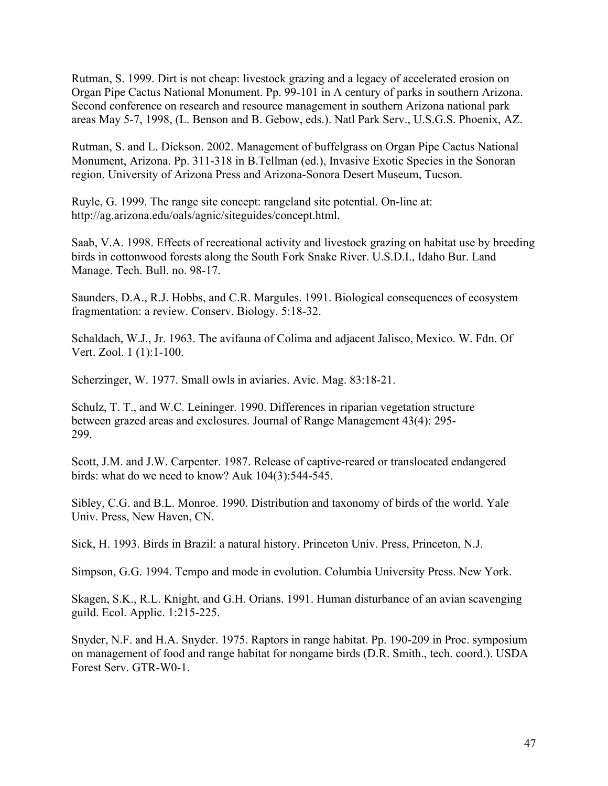Rutman, S. 1999. Dirt is not cheap: livestock grazing and a legacy of accelerated erosion on Organ Pipe Cactus National Monument. Pp. 99-101 in A century of parks in southern Arizona. Second conference on research and resource management in southern Arizona national park areas May 5-7, 1998, (L. Benson and B. Gebow, eds.). Natl Park Serv., U.S.G.S. Phoenix, AZ.

Rutman, S. and L. Dickson. 2002. Management of buffelgrass on Organ Pipe Cactus National Monument, Arizona. Pp. 311-318 in B.Tellman (ed.), Invasive Exotic Species in the Sonoran region. University of Arizona Press and Arizona-Sonora Desert Museum, Tucson.

Ruyle, G. 1999. The range site concept: rangeland site potential. On-line at: http://ag.arizona.edu/oals/agnic/siteguides/concept.html.

Saab, V.A. 1998. Effects of recreational activity and livestock grazing on habitat use by breeding birds in cottonwood forests along the South Fork Snake River. U.S.D.I., Idaho Bur. Land Manage. Tech. Bull. no. 98-17.

Saunders, D.A., R.J. Hobbs, and C.R. Margules. 1991. Biological consequences of ecosystem fragmentation: a review. Conserv. Biology. 5:18-32.

Schaldach, W.J., Jr. 1963. The avifauna of Colima and adjacent Jalisco, Mexico. W. Fdn. Of Vert. Zool. 1 (1):1-100.

Scherzinger, W. 1977. Small owls in aviaries. Avic. Mag. 83:18-21.

Schulz, T. T., and W.C. Leininger. 1990. Differences in riparian vegetation structure between grazed areas and exclosures. Journal of Range Management 43(4): 295- 299.

Scott, J.M. and J.W. Carpenter. 1987. Release of captive-reared or translocated endangered birds: what do we need to know? Auk 104(3):544-545.

Sibley, C.G. and B.L. Monroe. 1990. Distribution and taxonomy of birds of the world. Yale Univ. Press, New Haven, CN.

Sick, H. 1993. Birds in Brazil: a natural history. Princeton Univ. Press, Princeton, N.J.

Simpson, G.G. 1994. Tempo and mode in evolution. Columbia University Press. New York.

Skagen, S.K., R.L. Knight, and G.H. Orians. 1991. Human disturbance of an avian scavenging guild. Ecol. Applic. 1:215-225.

Snyder, N.F. and H.A. Snyder. 1975. Raptors in range habitat. Pp. 190-209 in Proc. symposium on management of food and range habitat for nongame birds (D.R. Smith., tech. coord.). USDA Forest Serv. GTR-W0-1.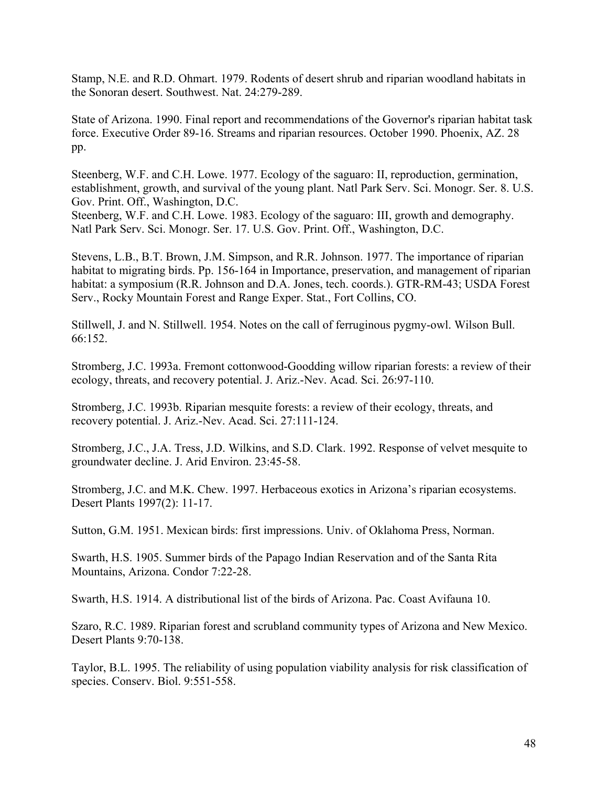Stamp, N.E. and R.D. Ohmart. 1979. Rodents of desert shrub and riparian woodland habitats in the Sonoran desert. Southwest. Nat. 24:279-289.

State of Arizona. 1990. Final report and recommendations of the Governor's riparian habitat task force. Executive Order 89-16. Streams and riparian resources. October 1990. Phoenix, AZ. 28 pp.

Steenberg, W.F. and C.H. Lowe. 1977. Ecology of the saguaro: II, reproduction, germination, establishment, growth, and survival of the young plant. Natl Park Serv. Sci. Monogr. Ser. 8. U.S. Gov. Print. Off., Washington, D.C.

Steenberg, W.F. and C.H. Lowe. 1983. Ecology of the saguaro: III, growth and demography. Natl Park Serv. Sci. Monogr. Ser. 17. U.S. Gov. Print. Off., Washington, D.C.

Stevens, L.B., B.T. Brown, J.M. Simpson, and R.R. Johnson. 1977. The importance of riparian habitat to migrating birds. Pp. 156-164 in Importance, preservation, and management of riparian habitat: a symposium (R.R. Johnson and D.A. Jones, tech. coords.). GTR-RM-43; USDA Forest Serv., Rocky Mountain Forest and Range Exper. Stat., Fort Collins, CO.

Stillwell, J. and N. Stillwell. 1954. Notes on the call of ferruginous pygmy-owl. Wilson Bull. 66:152.

Stromberg, J.C. 1993a. Fremont cottonwood-Goodding willow riparian forests: a review of their ecology, threats, and recovery potential. J. Ariz.-Nev. Acad. Sci. 26:97-110.

Stromberg, J.C. 1993b. Riparian mesquite forests: a review of their ecology, threats, and recovery potential. J. Ariz.-Nev. Acad. Sci. 27:111-124.

Stromberg, J.C., J.A. Tress, J.D. Wilkins, and S.D. Clark. 1992. Response of velvet mesquite to groundwater decline. J. Arid Environ. 23:45-58.

Stromberg, J.C. and M.K. Chew. 1997. Herbaceous exotics in Arizona's riparian ecosystems. Desert Plants 1997(2): 11-17.

Sutton, G.M. 1951. Mexican birds: first impressions. Univ. of Oklahoma Press, Norman.

Swarth, H.S. 1905. Summer birds of the Papago Indian Reservation and of the Santa Rita Mountains, Arizona. Condor 7:22-28.

Swarth, H.S. 1914. A distributional list of the birds of Arizona. Pac. Coast Avifauna 10.

Szaro, R.C. 1989. Riparian forest and scrubland community types of Arizona and New Mexico. Desert Plants 9:70-138.

Taylor, B.L. 1995. The reliability of using population viability analysis for risk classification of species. Conserv. Biol. 9:551-558.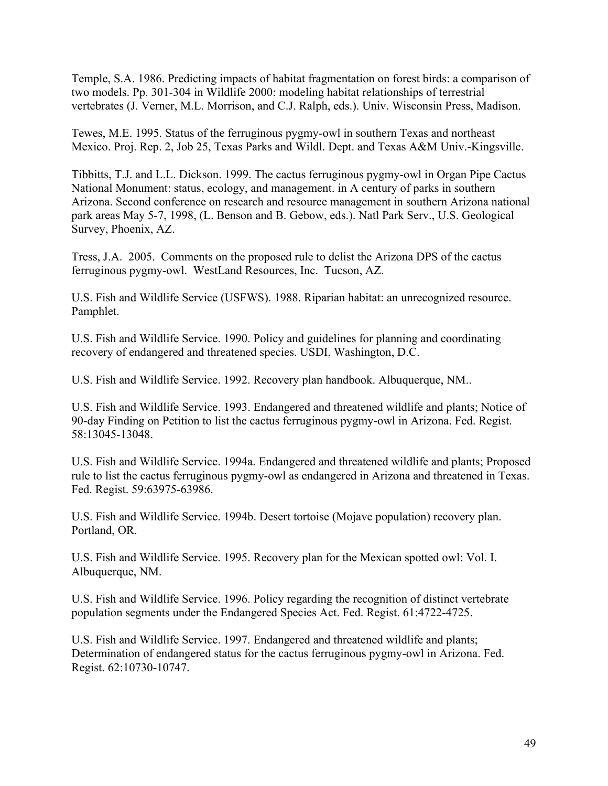Temple, S.A. 1986. Predicting impacts of habitat fragmentation on forest birds: a comparison of two models. Pp. 301-304 in Wildlife 2000: modeling habitat relationships of terrestrial vertebrates (J. Verner, M.L. Morrison, and C.J. Ralph, eds.). Univ. Wisconsin Press, Madison.

Tewes, M.E. 1995. Status of the ferruginous pygmy-owl in southern Texas and northeast Mexico. Proj. Rep. 2, Job 25, Texas Parks and Wildl. Dept. and Texas A&M Univ.-Kingsville.

Tibbitts, T.J. and L.L. Dickson. 1999. The cactus ferruginous pygmy-owl in Organ Pipe Cactus National Monument: status, ecology, and management. in A century of parks in southern Arizona. Second conference on research and resource management in southern Arizona national park areas May 5-7, 1998, (L. Benson and B. Gebow, eds.). Natl Park Serv., U.S. Geological Survey, Phoenix, AZ.

Tress, J.A. 2005. Comments on the proposed rule to delist the Arizona DPS of the cactus ferruginous pygmy-owl. WestLand Resources, Inc. Tucson, AZ.

U.S. Fish and Wildlife Service (USFWS). 1988. Riparian habitat: an unrecognized resource. Pamphlet.

U.S. Fish and Wildlife Service. 1990. Policy and guidelines for planning and coordinating recovery of endangered and threatened species. USDI, Washington, D.C.

U.S. Fish and Wildlife Service. 1992. Recovery plan handbook. Albuquerque, NM..

U.S. Fish and Wildlife Service. 1993. Endangered and threatened wildlife and plants; Notice of 90-day Finding on Petition to list the cactus ferruginous pygmy-owl in Arizona. Fed. Regist. 58:13045-13048.

U.S. Fish and Wildlife Service. 1994a. Endangered and threatened wildlife and plants; Proposed rule to list the cactus ferruginous pygmy-owl as endangered in Arizona and threatened in Texas. Fed. Regist. 59:63975-63986.

U.S. Fish and Wildlife Service. 1994b. Desert tortoise (Mojave population) recovery plan. Portland, OR.

U.S. Fish and Wildlife Service. 1995. Recovery plan for the Mexican spotted owl: Vol. I. Albuquerque, NM.

U.S. Fish and Wildlife Service. 1996. Policy regarding the recognition of distinct vertebrate population segments under the Endangered Species Act. Fed. Regist. 61:4722-4725.

U.S. Fish and Wildlife Service. 1997. Endangered and threatened wildlife and plants; Determination of endangered status for the cactus ferruginous pygmy-owl in Arizona. Fed. Regist. 62:10730-10747.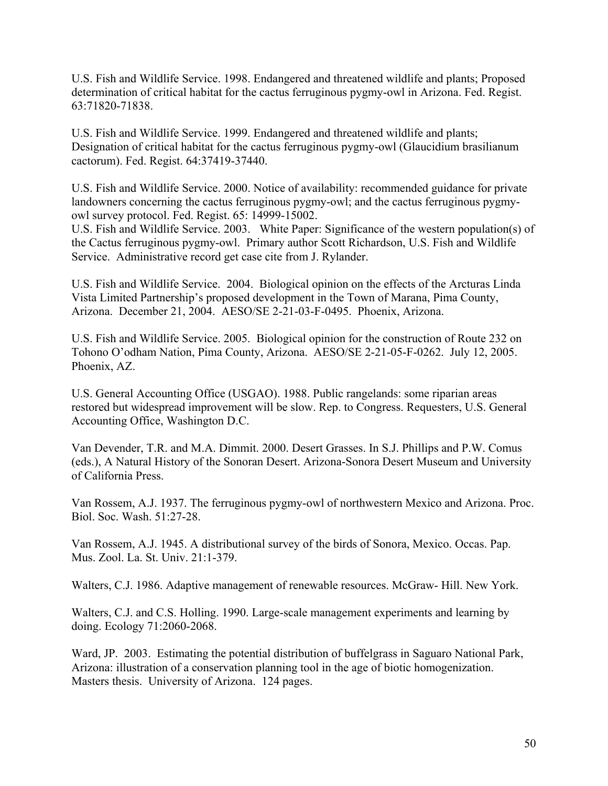U.S. Fish and Wildlife Service. 1998. Endangered and threatened wildlife and plants; Proposed determination of critical habitat for the cactus ferruginous pygmy-owl in Arizona. Fed. Regist. 63:71820-71838.

U.S. Fish and Wildlife Service. 1999. Endangered and threatened wildlife and plants; Designation of critical habitat for the cactus ferruginous pygmy-owl (Glaucidium brasilianum cactorum). Fed. Regist. 64:37419-37440.

U.S. Fish and Wildlife Service. 2000. Notice of availability: recommended guidance for private landowners concerning the cactus ferruginous pygmy-owl; and the cactus ferruginous pygmyowl survey protocol. Fed. Regist. 65: 14999-15002.

U.S. Fish and Wildlife Service. 2003. White Paper: Significance of the western population(s) of the Cactus ferruginous pygmy-owl. Primary author Scott Richardson, U.S. Fish and Wildlife Service. Administrative record get case cite from J. Rylander.

U.S. Fish and Wildlife Service. 2004. Biological opinion on the effects of the Arcturas Linda Vista Limited Partnership's proposed development in the Town of Marana, Pima County, Arizona. December 21, 2004. AESO/SE 2-21-03-F-0495. Phoenix, Arizona.

U.S. Fish and Wildlife Service. 2005. Biological opinion for the construction of Route 232 on Tohono O'odham Nation, Pima County, Arizona. AESO/SE 2-21-05-F-0262. July 12, 2005. Phoenix, AZ.

U.S. General Accounting Office (USGAO). 1988. Public rangelands: some riparian areas restored but widespread improvement will be slow. Rep. to Congress. Requesters, U.S. General Accounting Office, Washington D.C.

Van Devender, T.R. and M.A. Dimmit. 2000. Desert Grasses. In S.J. Phillips and P.W. Comus (eds.), A Natural History of the Sonoran Desert. Arizona-Sonora Desert Museum and University of California Press.

Van Rossem, A.J. 1937. The ferruginous pygmy-owl of northwestern Mexico and Arizona. Proc. Biol. Soc. Wash. 51:27-28.

Van Rossem, A.J. 1945. A distributional survey of the birds of Sonora, Mexico. Occas. Pap. Mus. Zool. La. St. Univ. 21:1-379.

Walters, C.J. 1986. Adaptive management of renewable resources. McGraw- Hill. New York.

Walters, C.J. and C.S. Holling. 1990. Large-scale management experiments and learning by doing. Ecology 71:2060-2068.

Ward, JP. 2003. Estimating the potential distribution of buffelgrass in Saguaro National Park, Arizona: illustration of a conservation planning tool in the age of biotic homogenization. Masters thesis. University of Arizona. 124 pages.